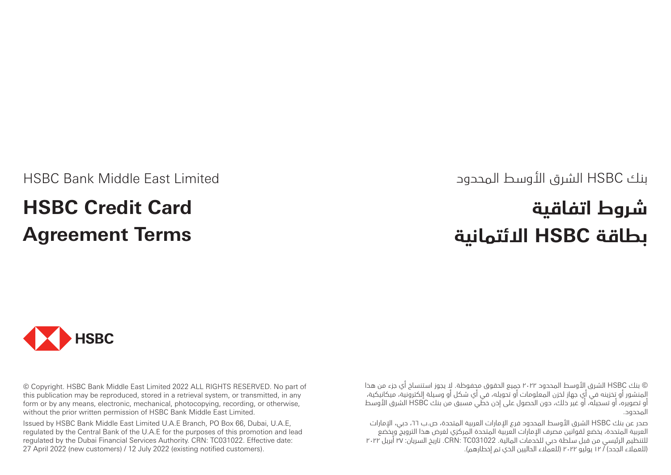# بنك HSBC الشرق األوسط المحدود

# **شروط اتفاقية بطاقة HSBC االئتمانية**

HSBC Bank Middle East Limited

# **HSBC Credit Card Agreement Terms**



© Copyright. HSBC Bank Middle East Limited 2022 ALL RIGHTS RESERVED. No part of this publication may be reproduced, stored in a retrieval system, or transmitted, in any form or by any means, electronic, mechanical, photocopying, recording, or otherwise, without the prior written permission of HSBC Bank Middle East Limited.

Issued by HSBC Bank Middle East Limited U.A.E Branch, PO Box 66, Dubai, U.A.E, regulated by the Central Bank of the U.A.E for the purposes of this promotion and lead regulated by the Dubai Financial Services Authority. CRN: TC031022. Effective date: 27 April 2022 (new customers) / 12 July 2022 (existing notified customers).

© بنك HSBC الشرق األوسط المحدود 2022 جميع الحقوق محفوظة. ال يجوز استنساخ أي جزء من هذا المنشور أو تخزينه في أي جهاز لخزن المعلومات أو تحويله، في أي شكل أو وسيلة إلكترونية، ميكانيكية، أو تصويره، أو تسجيله، أو غير ذلك، دون الحصول على إذن خطي مسبق من بنك HSBC الشرق األوسط المحدود.

صدر عن بنك HSBC الشرق األوسط المحدود فرع اإلمارات العربية المتحدة، ص.ب ،66 دبي، اإلمارات العربية المتحدة، يخضع لقوانين مصرف اإلمارات العربية المتحدة المركزي لغرض هذا الترويج ويخضع للتنظيم الرئيسي من قبل سلطة دبي للخدمات المالية. 031022TC :CRN. تاريخ السريان: 27 أبريل 2022 )للعمالء الجدد( / 12 يوليو 2022 )للعمالء الحاليين الذي تم إخطارهم(.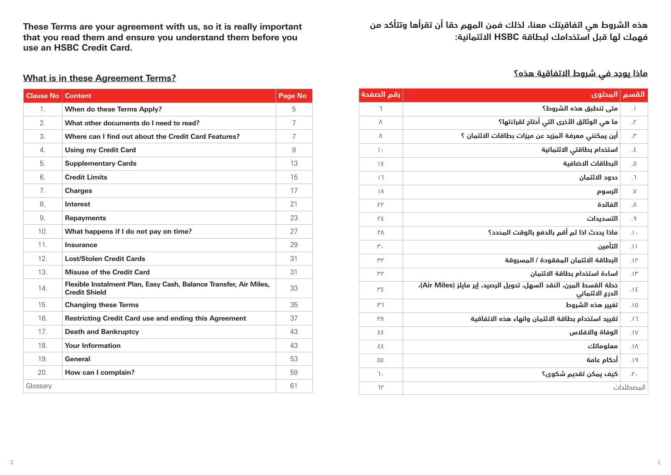**هذه الشروط هي اتفاقيتك معنا، لذلك فمن المهم حقا أن تقرأها وتتأكد من فهمك لها قبل استخدامك لبطاقة HSBC االئتمانية:**

# **ماذا يوجد في شروط االتفاقية هذه؟**

| رقم الصفحة               | القسم  المحتوى                                                                        |                 |
|--------------------------|---------------------------------------------------------------------------------------|-----------------|
| T.                       | متى تنطبق هذه الشروط؟                                                                 | $\cdot$         |
| Λ                        | ما هي الوثائق الأخرى التى أحتاج لقراءَتها؟                                            | $\cdot$         |
| Λ                        | أين يمكنني معرفة المزيد عن ميزات بطاقات الائتمان ؟                                    | $\cdot$         |
| $\vert \cdot$            | استخدام بطاقتى الائتمانية                                                             | $\cdot$ .       |
| $\overline{\phantom{0}}$ | البطاقات الاضافية                                                                     | .0              |
| $\vert \, \rceil$        | حدود الائتمان                                                                         | $\cdot$         |
| $\Lambda$                | الرسوم                                                                                | $\cdot$         |
| ۲۲                       | الفائدة                                                                               | $\Lambda$       |
| ۲٤                       | التسديدات                                                                             | $\mathsf{P}$ .  |
| $\mathsf{Y}\wedge$       | ماذا يحدث اذا لم أقم بالدفع بالوقت المحدد؟                                            | $  \cdot  $     |
| ٣.                       | التأمين                                                                               | 1               |
| ۳۲                       | البطاقة الائتمان المفقودة / المسروقة                                                  | .1 <sup>F</sup> |
| ٣٢                       | اساءة استخدام بطاقة الائتمان                                                          | $.1\mu$         |
| ٣٤                       | خطة القسط المرن، النقد السهل، تحويل الرصيد، إير مايلز (Air Miles)،<br>الدرع الائتماني | $.1\epsilon$    |
| ٣٦                       | تغيير هذه الشروط                                                                      | .10             |
| $M^{\prime}$             | تقييد استخدام بطاقة الائتمان وانهاء هذه الاتفاقية                                     | .17             |
| 33                       | الوفاة والافلاس                                                                       | .1V             |
| 33                       | معلوماتك                                                                              | $.1\Lambda$     |
| 90                       | أدكام عامة                                                                            | .19             |
| ٦.                       | كيف يمكن تقديم شكوى؟                                                                  | $\cdot$ .       |
| ٦۲                       | المصطلحات                                                                             |                 |

**These Terms are your agreement with us, so it is really important that you read them and ensure you understand them before you use an HSBC Credit Card.**

# **What is in these Agreement Terms?**

| <b>Clause No</b> | <b>Content</b>                                                                            | <b>Page No</b> |
|------------------|-------------------------------------------------------------------------------------------|----------------|
| 1.               | When do these Terms Apply?                                                                | 5              |
| $\mathfrak{D}$   | What other documents do I need to read?                                                   | $\overline{7}$ |
| 3.               | Where can I find out about the Credit Card Features?                                      | $\overline{7}$ |
| 4                | <b>Using my Credit Card</b>                                                               | 9              |
| 5                | <b>Supplementary Cards</b>                                                                | 13             |
| 6.               | <b>Credit Limits</b>                                                                      | 15             |
| $\overline{7}$   | <b>Charges</b>                                                                            | 17             |
| 8                | Interest                                                                                  | 21             |
| 9.               | <b>Repayments</b>                                                                         | 23             |
| 10 <sup>1</sup>  | What happens if I do not pay on time?                                                     | 27             |
| 11.              | Insurance                                                                                 | 29             |
| 12 <sup>°</sup>  | <b>Lost/Stolen Credit Cards</b>                                                           | 31             |
| 13.              | <b>Misuse of the Credit Card</b>                                                          | 31             |
| 14               | Flexible Instalment Plan, Easy Cash, Balance Transfer, Air Miles,<br><b>Credit Shield</b> | 33             |
| 15.              | <b>Changing these Terms</b>                                                               | 35             |
| 16               | <b>Restricting Credit Card use and ending this Agreement</b>                              | 37             |
| 17.              | <b>Death and Bankruptcy</b>                                                               | 43             |
| 18.              | <b>Your Information</b>                                                                   | 43             |
| 19.              | General                                                                                   | 53             |
| 20.              | How can I complain?                                                                       | 59             |
| Glossary         |                                                                                           | 61             |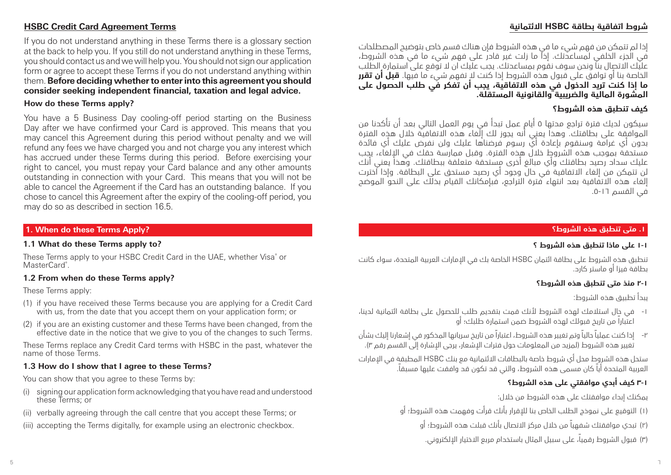# **شروط اتفاقية بطاقة HSBC االئتمانية**

### **HSBC Credit Card Agreement Terms**

If you do not understand anything in these Terms there is a glossary section at the back to help you. If you still do not understand anything in these Terms, you should contact us and we will help you. You should not sign our application form or agree to accept these Terms if you do not understand anything within them. **Before deciding whether to enter into this agreement you should consider seeking independent financial, taxation and legal advice.**

#### **How do these Terms apply?**

You have a 5 Business Day cooling-off period starting on the Business Day after we have confirmed your Card is approved. This means that you may cancel this Agreement during this period without penalty and we will refund any fees we have charged you and not charge you any interest which has accrued under these Terms during this period. Before exercising your right to cancel, you must repay your Card balance and any other amounts outstanding in connection with your Card. This means that you will not be able to cancel the Agreement if the Card has an outstanding balance. If you chose to cancel this Agreement after the expiry of the cooling-off period, you may do so as described in section 16.5.

#### **1. When do these Terms Apply?**

#### **1.1 What do these Terms apply to?**

These Terms apply to your HSBC Credit Card in the UAE, whether Visa® or MasterCard<sup>®</sup>.

### **1.2 From when do these Terms apply?**

These Terms apply:

- (1) if you have received these Terms because you are applying for a Credit Card with us, from the date that you accept them on your application form; or
- (2) if you are an existing customer and these Terms have been changed, from the effective date in the notice that we give to you of the changes to such Terms.

These Terms replace any Credit Card terms with HSBC in the past, whatever the name of those Terms.

#### **1.3 How do I show that I agree to these Terms?**

You can show that you agree to these Terms by:

- (i) signing our application form acknowledging that you have read and understood these Terms; or
- (ii) verbally agreeing through the call centre that you accept these Terms; or
- (iii) accepting the Terms digitally, for example using an electronic checkbox.

إذا لم تتمكن من فهم شيء ما في هذه الشروط فإن هناك قسم خاص بتوضيح المصطلحات في الجزء الخلفي لمساعدتك. إذا ما زلت غير قادر على فهم شيء ما في هذه الشروط، عليك االتصال بنا ونحن سوف نقوم بمساعدتك. يجب عليك ان ال توقع على استمارة الطلب الخاصة بنا أو توافق على قبول هذه الشروط إذا كنت ال تفهم شيء ما فيها. **قبل أن تقرر ما إذا كنت تريد الدخول في هذه االتفاقية، يجب أن تفكر في طلب الحصول على المشورة المالية والضريبية والقانونية المستقلة.**

#### **كيف تنطبق هذه الشروط؟**

سيكون لديك فترة تراجع مدتها 5 أيام عمل تبدأ في يوم العمل التالي بعد أن تأكدنا من الموافقة على بطاقتك. وهذا يعني أنه يجوز لك إلغاء هذه االتفاقية خالل هذه الفترة بدون أي غرامة وسنقوم بإعادة أي رسوم فرضناها عليك ولن نفرض عليك أي فائدة مستحقة بموجب هذه الشروط خالل هذه الفترة. وقبل ممارسة حقك في اإللغاء، يجب عليك سداد رصيد بطاقتك وأي مبالغ أخرى مستحقة متعلقة ببطاقتك. وهذا يعني أنك لن تتمكن من إلغاء االتفاقية في حال وجود أي رصيد مستحق على البطاقة. وإذا اخترت إلغاء هذه االتفاقية بعد انتهاء فترة التراجع، فبإمكانك القيام بذلك على النحو الموضح في القسم .5-16

#### **.1 متى تنطبق هذه الشروط؟**

#### **١-١ على ماذا تنطبق هذه الشروط ؟**

تنطبق هذه الشروط على بطاقة ائتمان HSBC الخاصة بك في اإلمارات العربية المتحدة، سواء كانت بطاقة فيزا أو ماستر كارد.

#### **٢-١ منذ متى تنطبق هذه الشروط؟**

يبدأ تطبيق هذه الشروط:

- -1 في حال استالمك لهذه الشروط ألنك قمت بتقديم طلب للحصول على بطاقة ائتمانية لدينا، اعتباراً من تاريخ قبولك لهذه الشروط ضمن استمارة طلبك؛ أو
- -2 إذا كنت عملياً حالياً وتم تغيير هذه الشروط، اعتباراً من تاريخ سريانها المذكور في إشعارنا إليك بشأن .<br>تغيير هذه الشروط (لمزيد من المعلومات حول فترات الأشعار، يرجى الإشارة إلى القسم رقم ٣).

ستحل هذه الشروط محل أي شروط خاصة بالبطاقات االئتمانية مع بنك HSBC المطبقة في اإلمارات العربية المتحدة أياً كان مسمى هذه الشروط، والتي قد تكون قد وافقت عليها مسبقا.ً

# **3-١ كيف أبدي موافقتي على هذه الشروط؟**

يمكنك إبداء موافقتك على هذه الشروط من خالل:

- )1( التوقيع على نموذج الطلب الخاص بنا لإلقرار بأنك قرأت وفهمت هذه الشروط؛ أو
	- )2( تبدي موافقتك شفهياً من خالل مركز االتصال بأنك قبلت هذه الشروط؛ أو
	- )3( قبول الشروط رقميا،ً على سبيل المثال باستخدام مربع االختيار اإللكتروني.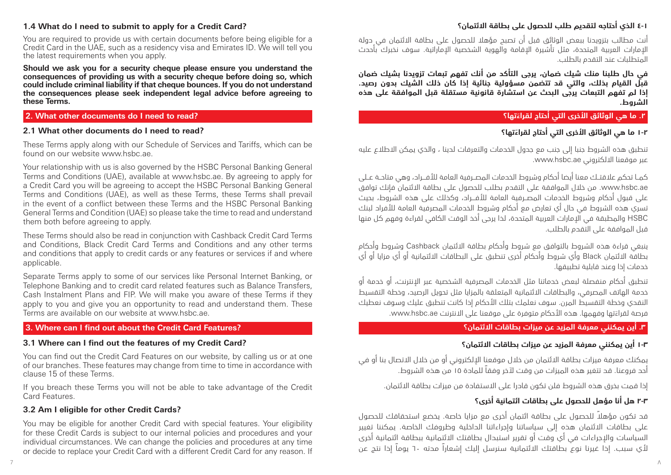#### **1.4 What do I need to submit to apply for a Credit Card?**

You are required to provide us with certain documents before being eligible for a Credit Card in the UAE, such as a residency visa and Emirates ID. We will tell you the latest requirements when you apply.

**Should we ask you for a security cheque please ensure you understand the consequences of providing us with a security cheque before doing so, which could include criminal liability if that cheque bounces. If you do not understand the consequences please seek independent legal advice before agreeing to these Terms.**

#### **2. What other documents do I need to read?**

#### **2.1 What other documents do I need to read?**

These Terms apply along with our Schedule of Services and Tariffs, which can be found on our website www.hsbc.ae.

Your relationship with us is also governed by the HSBC Personal Banking General Terms and Conditions (UAE), available at www.hsbc.ae. By agreeing to apply for a Credit Card you will be agreeing to accept the HSBC Personal Banking General Terms and Conditions (UAE), as well as these Terms, these Terms shall prevail in the event of a conflict between these Terms and the HSBC Personal Banking General Terms and Condition (UAE) so please take the time to read and understand them both before agreeing to apply.

These Terms should also be read in conjunction with Cashback Credit Card Terms and Conditions, Black Credit Card Terms and Conditions and any other terms and conditions that apply to credit cards or any features or services if and where applicable.

Separate Terms apply to some of our services like Personal Internet Banking, or Telephone Banking and to credit card related features such as Balance Transfers, Cash Instalment Plans and FIP. We will make you aware of these Terms if they apply to you and give you an opportunity to read and understand them. These Terms are available on our website at www.hsbc.ae.

#### **3. Where can I find out about the Credit Card Features?**

#### **3.1 Where can I find out the features of my Credit Card?**

You can find out the Credit Card Features on our website, by calling us or at one of our branches. These features may change from time to time in accordance with clause 15 of these Terms.

If you breach these Terms you will not be able to take advantage of the Credit Card Features.

#### **3.2 Am I eligible for other Credit Cards?**

You may be eligible for another Credit Card with special features. Your eligibility for these Credit Cards is subject to our internal policies and procedures and your individual circumstances. We can change the policies and procedures at any time or decide to replace your Credit Card with a different Credit Card for any reason. If

### **4-١ الذي أحتاجه لتقديم طلب للحصول على بطاقة االئتمان؟**

أنت مطالب بتزويدنا ببعض الوثائق قبل أن تصبح مؤهال للحصول على بطاقة االئتمان في دولة اإلمارات العربية المتحدة، مثل تأشيرة اإلقامة والهوية الشخصية اإلماراتية. سوف نخبرك بأحدث المتطلبات عند التقدم بالطلب.

**في حال طلبنا منك شيك ضمان، يرجى التأكد من أنك تفهم تبعات تزويدنا بشيك ضمان قبل القيام بذلك، والتي قد تتضمن مسؤولية جنائية إذا كان ذلك الشيك بدون رصيد. إذا لم تفهم التبعات يرجى البحث عن استشارة قانونية مستقلة قبل الموافقة على هذه الشروط.** 

### **2 َ . ما هي الوثائق األخرى التي أحتاج لقراءتها؟**

# **1-2 َ ما هي الوثائق األخرى التي أحتاج لقراءتها؟**

تنطبق هذه الشروط جنبا إلى جنب مع جدول الخدمات والتعرفات لدينا ، والذي يمكن االطالع عليه عبر موقعنا االلكتروني ae.hsbc.www.

كمــا تحكم عالقتــك معنا أيضا أحكام وشروط الخدمات المصــرفية العامة لألفـــراد، وهي متاحــة عــلى ae.hsbc.www. من خالل الموافقة على التقدم بطلب للحصول على بطاقة االئتمان فإنك توافق على قبول أحكام وشروط الخدمات المصــرفية العامة لألفـــراد، وكذلك على هذه الشروط، بحيث تسري هذه الشروط في حال أي تعارض مع أحكام وشروط الخدمات المصرفية العامة لألفراد لبنك HSBC والمطبقة في اإلمارات العربية المتحدة، لذا يرجى أخذ الوقت الكافي لقراءة وفهم كل منها قبل الموافقة على التقدم بالطلب.

ينبغي قراءة هذه الشروط بالتوافق مع شروط وأحكام بطاقة االئتمان Cashback وشروط وأحكام بطاقة االئتمان Black وأي شروط وأحكام أخرى تنطبق على البطاقات االئتمانية أو أي مزايا أو أي خدمات إذا وعند قابلية تطبيقها.

تنطبق أحكام منفصلة لبعض خدماتنا مثل الخدمات المصرفية الشخصية عبر اإلنترنت، أو خدمة أو خدمة الهاتف المصرفي، والبطاقات االئتمانية المتعلقة بالمزايا مثل تحويل الرصيد، وخطة التقسيط النقدي وخطة التقسيط المرن. سوف نعلمك بتلك األحكام إذا كانت تنطبق عليك وسوف نعطيك َ فرصة لقراءتها وفهمها. هذه األحكام متوفرة على موقعنا على االنترنت ae.hsbc.www.

### **.3 أين يمكنني معرفة المزيد عن ميزات بطاقات االئتمان؟**

### **1-3 أين يمكنني معرفة المزيد عن ميزات بطاقات االئتمان؟**

يمكنك معرفة ميزات بطاقة الائتمان من خلال موقعنا الإلكتروني أو من خلال الاتصال بنا أو في أحد فروعنا. قد تتغير هذه الميزات من وقت آلخر وفقاً للمادة 15 من هذه الشروط.

إذا قمت بخرق هذه الشروط فلن تكون قادرا على االستفادة من ميزات بطاقة االئتمان.

#### **2-3 هل أنا مؤهل للحصول على بطاقات ائتمانية أخرى؟**

ً قد تكون مؤهال للحصول على بطاقة ائتمان أخرى مع مزايا خاصة. يخضع استحقاقك للحصول على بطاقات االئتمان هذه إلى سياساتنا وإجراءاتنا الداخلية وظروفك الخاصة. يمكننا تغيير السياسات واإلجراءات في أي وقت أو تقرير استبدال بطاقتك االئتمانية ببطاقة ائتمانية أخرى ألي سبب. إذا غيرنا نوع بطاقتك االئتمانية سنرسل إليك إشعاراً مدته 60 يوماً إذا نتج عن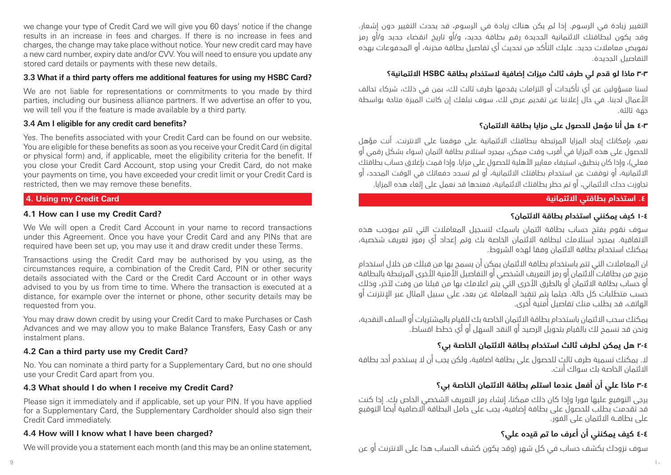we change your type of Credit Card we will give you 60 days' notice if the change results in an increase in fees and charges. If there is no increase in fees and charges, the change may take place without notice. Your new credit card may have a new card number, expiry date and/or CVV. You will need to ensure you update any stored card details or payments with these new details.

#### **3.3 What if a third party offers me additional features for using my HSBC Card?**

We are not liable for representations or commitments to you made by third parties, including our business alliance partners. If we advertise an offer to you, we will tell you if the feature is made available by a third party.

### **3.4 Am I eligible for any credit card benefits?**

Yes. The benefits associated with your Credit Card can be found on our website. You are eligible for these benefits as soon as you receive your Credit Card (in digital or physical form) and, if applicable, meet the eligibility criteria for the benefit. If you close your Credit Card Account, stop using your Credit Card, do not make your payments on time, you have exceeded your credit limit or your Credit Card is restricted, then we may remove these benefits.

### **4. Using my Credit Card**

### **4.1 How can I use my Credit Card?**

We We will open a Credit Card Account in your name to record transactions under this Agreement. Once you have your Credit Card and any PINs that are required have been set up, you may use it and draw credit under these Terms.

Transactions using the Credit Card may be authorised by you using, as the circumstances require, a combination of the Credit Card, PIN or other security details associated with the Card or the Credit Card Account or in other ways advised to you by us from time to time. Where the transaction is executed at a distance, for example over the internet or phone, other security details may be requested from you.

You may draw down credit by using your Credit Card to make Purchases or Cash Advances and we may allow you to make Balance Transfers, Easy Cash or any instalment plans.

### **4.2 Can a third party use my Credit Card?**

No. You can nominate a third party for a Supplementary Card, but no one should use your Credit Card apart from you.

### **4.3 What should I do when I receive my Credit Card?**

Please sign it immediately and if applicable, set up your PIN. If you have applied for a Supplementary Card, the Supplementary Cardholder should also sign their Credit Card immediately.

### **4.4 How will I know what I have been charged?**

We will provide you a statement each month (and this may be an online statement,

التغيير زيادة في الرسوم. إذا لم يكن هناك زيادة في الرسوم، قد يحدث التغيير دون إشعار. وقد يكون لبطاقتك االئتمانية الجديدة رقم بطاقة جديد، و/أو تاريخ انقضاء جديد و/أو رمز تفويض معامالت جديد. عليك التأكد من تحديث أي تفاصيل بطاقة مخزنة، أو المدفوعات بهذه التفاصيل الجديدة.

# **3-3 ماذا لو قدم لي طرف ثالث ميزات إضافية الستخدام بطاقة HSBC االئتمانية؟**

لسنا مسؤولين عن أي تأكيدات أو التزامات يقدمها طرف ثالث لك، بمن في ذلك، شركاء تحالف األعمال لدينا. في حال إعالننا عن تقديم عرض لك، سوف نبلغك إن كانت الميزة متاحة بواسطة جهة ثالثة.

# **4-3 هل أنا مؤهل للحصول على مزايا بطاقة االئتمان؟**

نعم، بإمكانك إيجاد المزايا المرتبطة ببطاقتك االئتمانية على موقعنا على االنترنت. أنت مؤهل للحصول على هذه المزايا في أقرب وقت ممكن، بمجرد استالم بطاقة ائتمان )سواء بشكل رقمي أو .<br>فعلي)، وإذا كان ينطبق، استيفاء معايير الأهلية للحصول على مزايا. وإذا قمت بإغلاق حساب بطاقتك االئتمانية، أو توقفت عن استخدام بطاقتك االئتمانية، أو لم تسدد دفعاتك في الوقت المحدد، أو تجاوزت حدك االئتماني، أو تم حظر بطاقتك االئتمانية، فعندها قد نعمل على إلغاء هذه المزايا.

# **.4 استخدام بطاقتي االئتمانية**

# **١-٤ كيف يمكنني استخدام بطاقة االئتمان؟**

سوف نقوم بفتح حساب بطاقة ائتمان باسمك لتسجيل المعامالت التي تتم بموجب هذه االتفاقية. بمجرد استالمك لبطاقة االئتمان الخاصة بك وتم إعداد أي رموز تعريف شخصية، يمكنك استخدام بطاقة االئتمان وفقا لهذه الشروط.

ان المعامالت التي تتم باستخدام بطاقة االئتمان يمكن أن يسمح بها من قبلك من خالل استخدام مزيج من بطاقات االئتمان أو رمز التعريف الشخصي أو التفاصيل األمنية األخرى المرتبطة بالبطاقة أو حساب بطاقة االئتمان أو بالطرق األخرى التي يتم اعالمك بها من قبلنا من وقت آلخر، وذلك حسب متطلبات كل حالة. حيثما يتم تنفيذ المعاملة عن بعد، على سبيل المثال عبر اإلنترنت أو الهاتف، قد يطلب منك تفاصيل أمنية أخرى.

يمكنك سحب االئتمان باستخدام بطاقة االئتمان الخاصة بك للقيام بالمشتريات أو السلف النقدية، ونحن قد نسمح لك بالقيام بتحويل الرصيد أو النقد السهل أو أي خطط اقساط.

# **2-4 هل يمكن لطرف ثالث استخدام بطاقة االئتمان الخاصة بي؟**

ال. يمكنك تسمية طرف ثالث للحصول على بطاقة اضافية، ولكن يجب أن ال يستخدم أحد بطاقة االئتمان الخاصة بك سواك أنت.

# **3-4 ماذا علي أن أفعل عندما استلم بطاقة االئتمان الخاصة بي؟**

يرجى التوقيع عليها فورا وإذا كان ذلك ممكنا، إنشاء رمز التعريف الشخصي الخاص بك. إذا كنت قد تقدمت بطلب للحصول على بطاقة إضافية، يجب على حامل البطاقة االضافية أيضا التوقيع على بطاقــة االئتمان على الفور.

# **٤-٤ كيف يمكنني أن أعرف ما تم قيده علي؟**

سوف نزودك بكشف حساب في كل شهر )وقد يكون كشف الحساب هذا على االنترنت أو عن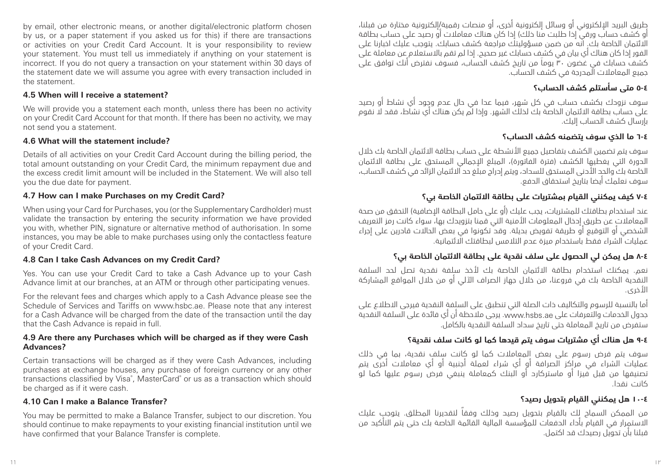by email, other electronic means, or another digital/electronic platform chosen by us, or a paper statement if you asked us for this) if there are transactions or activities on your Credit Card Account. It is your responsibility to review your statement. You must tell us immediately if anything on your statement is incorrect. If you do not query a transaction on your statement within 30 days of the statement date we will assume you agree with every transaction included in the statement.

#### **4.5 When will I receive a statement?**

We will provide you a statement each month, unless there has been no activity on your Credit Card Account for that month. If there has been no activity, we may not send you a statement.

#### **4.6 What will the statement include?**

Details of all activities on your Credit Card Account during the billing period, the total amount outstanding on your Credit Card, the minimum repayment due and the excess credit limit amount will be included in the Statement. We will also tell you the due date for payment.

#### **4.7 How can I make Purchases on my Credit Card?**

When using your Card for Purchases, you (or the Supplementary Cardholder) must validate the transaction by entering the security information we have provided you with, whether PIN, signature or alternative method of authorisation. In some instances, you may be able to make purchases using only the contactless feature of your Credit Card.

#### **4.8 Can I take Cash Advances on my Credit Card?**

Yes. You can use your Credit Card to take a Cash Advance up to your Cash Advance limit at our branches, at an ATM or through other participating venues.

For the relevant fees and charges which apply to a Cash Advance please see the Schedule of Services and Tariffs on www.hsbc.ae. Please note that any interest for a Cash Advance will be charged from the date of the transaction until the day that the Cash Advance is repaid in full.

#### **4.9 Are there any Purchases which will be charged as if they were Cash Advances?**

Certain transactions will be charged as if they were Cash Advances, including purchases at exchange houses, any purchase of foreign currency or any other transactions classified by Visa®, MasterCard® or us as a transaction which should be charged as if it were cash.

#### **4.10 Can I make a Balance Transfer?**

You may be permitted to make a Balance Transfer, subject to our discretion. You should continue to make repayments to your existing financial institution until we have confirmed that your Balance Transfer is complete.

طريق البريد اإللكتروني أو وسائل إلكترونية أخرى، أو منصات رقمية/إلكترونية مختارة من قبلنا، أو كشف حساب ورقي إذا طلبت منا ذلك) إذا كان هناك معاملات أو رصيد على حساب بطاقة االئتمان الخاصة بك. انه من ضمن مسؤوليتك مراجعة كشف حسابك. يتوجب عليك اخبارنا على الفور إذا كان هناك أي بيان في كشف حسابك غير صحيح. إذا لم تقم باالستعالم عن معاملة على كشف حسابك في غضون 30 يوماَ من تاريخ كشف الحساب، فسوف نفترض أنك توافق على جميع المعامالت المدرجة في كشف الحساب.

# **٥-٤ متى سأستلم كشف الحساب؟**

سوف نزودك بكشف حساب في كل شهر، فيما عدا في حال عدم وجود أي نشاط أو رصيد على حساب بطاقة االئتمان الخاصة بك لذلك الشهر. وإذا لم يكن هناك أي نشاط، فقد ال نقوم بإرسال كشف الحساب إليك.

# **٦-٤ ما الذي سوف يتضمنه كشف الحساب؟**

سوف يتم تضمين الكشف بتفاصيل جميع األنشطة على حساب بطاقة االئتمان الخاصة بك خالل الدورة التي يغطيها الكشف (فترة الفاتورة)، المبلغ الإجمالي المستحق على بطاقة الائتمان الخاصة بك والحد الأدنى المستحق للسداد، ويتم إدراج مبلَغ حد الائتمان الزائد في كشف الحساب، سوف نعلمك أيضا بتاريخ استحقاق الدفع.

# **٧-٤ كيف يمكنني القيام بمشتريات على بطاقة االئتمان الخاصة بي؟**

عند استخدام بطاقتك للمشتريات، يجب عليك (أو على حامل البطاقة الإضافية) التحقق من صحة المعامالت عن طريق إدخال المعلومات األمنية التي قمنا بتزويدك بها، سواء كانت رمز التعريف الشخصي أو التوقيع أو طريقة تفويض بديلة. وقد تكونوا في بعض الحاالت قادرين على إجراء عمليات الشراء فقط باستخدام ميزة عدم التلامس لبطاقتك الّائتمانية.

# **٨-٤ هل يمكن لي الحصول على سلف نقدية على بطاقة االئتمان الخاصة بي؟**

نعم. يمكنك استخدام بطاقة االئتمان الخاصة بك ألخذ سلفة نقدية تصل لحد السلفة النقدية الخاصة بك في فروعنا، من خالل جهاز الصراف اآللي أو من خالل المواقع المشاركة األخرى.

أما بالنسبة للرسوم والتكاليف ذات الصلة التي تنطبق على السلفة النقدية فيرجى االطالع على جدول الخدمات والتعرفات على ae.hsbs.www. يرجى مالحظة أن أي فائدة على السلفة النقدية ستفرض من تاريخ المعاملة حتى تاريخ سداد السلفة النقدية بالكامل.

# **٩-٤ هل هناك أي مشتريات سوف يتم قيدها كما لو كانت سلف نقدية؟**

سوف يتم فرض رسوم على بعض المعامالت كما لو كانت سلف نقدية، بما في ذلك عمليات الشراء في مراكز الصرافة أو أي شراء لعملة أجنبية أو أي معامالت أخرى يتم تصنيفها من قبل فيزا أو ماستركارد أو البنك كمعاملة ينبغي فرض رسوم عليها كما لو كانت نقدا.

# **١٠-٤ هل يمكنني القيام بتحويل رصيد؟**

من الممكن السماح لك بالقيام بتحويل رصيد وذلك وفقاً لتقديرنا المطلق. يتوجب عليك االستمرار في القيام بأداء الدفعات للمؤسسة المالية القائمة الخاصة بك حتى يتم التأكيد من قبلنا بأن تحويل رصيدك قد اكتمل.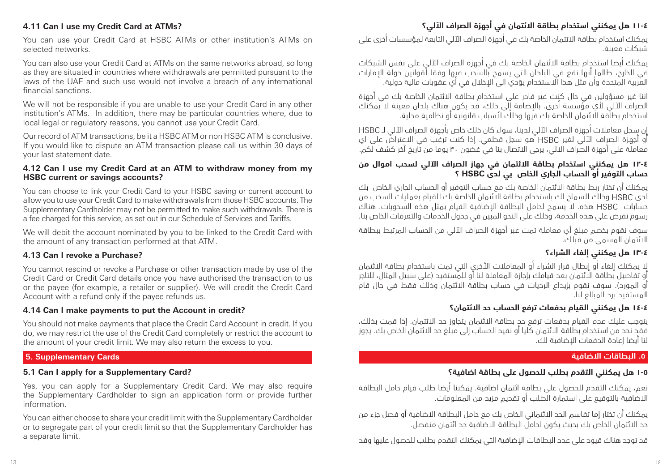# **١١-٤ هل يمكنني استخدام بطاقة االئتمان في أجهزة الصراف اآللي؟**

### **4.11 Can I use my Credit Card at ATMs?**

You can use your Credit Card at HSBC ATMs or other institution's ATMs on selected networks.

You can also use your Credit Card at ATMs on the same networks abroad, so long as they are situated in countries where withdrawals are permitted pursuant to the laws of the UAE and such use would not involve a breach of any international financial sanctions.

We will not be responsible if you are unable to use your Credit Card in any other institution's ATMs. In addition, there may be particular countries where, due to local legal or regulatory reasons, you cannot use your Credit Card.

Our record of ATM transactions, be it a HSBC ATM or non HSBC ATM is conclusive. If you would like to dispute an ATM transaction please call us within 30 days of your last statement date.

#### **4.12 Can I use my Credit Card at an ATM to withdraw money from my HSBC current or savings accounts?**

You can choose to link your Credit Card to your HSBC saving or current account to allow you to use your Credit Card to make withdrawals from those HSBC accounts. The Supplementary Cardholder may not be permitted to make such withdrawals. There is a fee charged for this service, as set out in our Schedule of Services and Tariffs.

We will debit the account nominated by you to be linked to the Credit Card with the amount of any transaction performed at that ATM.

#### **4.13 Can I revoke a Purchase?**

You cannot rescind or revoke a Purchase or other transaction made by use of the Credit Card or Credit Card details once you have authorised the transaction to us or the payee (for example, a retailer or supplier). We will credit the Credit Card Account with a refund only if the payee refunds us.

#### **4.14 Can I make payments to put the Account in credit?**

You should not make payments that place the Credit Card Account in credit. If you do, we may restrict the use of the Credit Card completely or restrict the account to the amount of your credit limit. We may also return the excess to you.

### **5. Supplementary Cards**

### **5.1 Can I apply for a Supplementary Card?**

Yes, you can apply for a Supplementary Credit Card. We may also require the Supplementary Cardholder to sign an application form or provide further information.

You can either choose to share your credit limit with the Supplementary Cardholder or to segregate part of your credit limit so that the Supplementary Cardholder has a separate limit.

يمكنك استخدام بطاقة االئتمان الخاصة بك في أجهزة الصراف اآللي التابعة لمؤسسات أخرى على شبكات معينة.

يمكنك أيضا استخدام بطاقة االئتمان الخاصة بك في أجهزة الصراف اآللي على نفس الشبكات في الخارج، طالما أنها تقع في البلدان التي يسمح بالسحب فيها وفقا لقوانين دولة اإلمارات العربية المتحدة وأن مثل هذا االستخدام يؤدي الى اإلخالل في أي عقوبات مالية دولية.

اننا غير مسؤولين في حال كنت غير قادر على استخدام بطاقة االئتمان الخاصة بك في أجهزة الصراف اآللي ألي مؤسسة أخرى. باإلضافة إلى ذلك، قد يكون هناك بلدان معينة ال يمكنك استخدام بطاقة االئتمان الخاصة بك فيها وذلك ألسباب قانونية أو نظامية محلية.

إن سجل معامالت أجهزة الصراف اآللي لدينا، سواء كان ذلك خاص بأجهزة الصراف اآللي لـ HSBC أو أجهزة الصراف اآللي لغير HSBC هو سجل قطعي. إذا كنت ترغب في االعتراض على اي معاملة على أجهزة الصراف االلي، يرجى االتصال بنا في غضون 30 يوما من تاريخ آخر كشف لكم.

### **١٢-٤ هل يمكنني استخدام بطاقة االئتمان في جهاز الصراف اآللي لسحب اموال من حساب التوفير أو الحساب الجاري الخاص بي لدى HSBC ؟**

يمكنك أن تختار ربط بطاقة االئتمان الخاصة بك مع حساب التوفير أو الحساب الجاري الخاص بك لدى HSBC وذلك للسماح لك باستخدام بطاقة االئتمان الخاصة بك للقيام بعمليات السحب من حسابات HSBC هذه. ال يسمح لحامل البطاقة اإلضافية القيام بمثل هذه السحوبات. هناك رسوم تفرض على هذه الخدمة، وذلك على النحو المبين في جدول الخدمات والتعرفات الخاص بنا.

سوف نقوم بخصم مبلغ أي معاملة تمت عبر أجهزة الصراف اآللي من الحساب المرتبط ببطاقة االئتمان المسمى من قبلك.

# **١٣-٤ هل يمكنني إلغاء الشراء؟**

ال يمكنك إلغاء أو إبطال قرار الشراء أو المعامالت األخرى التي تمت باستخدام بطاقة االئتمان أو تفاصيل بطاقة االئتمان بعد قيامك بإجازة المعاملة لنا أو للمستفيد )على سبيل المثال، للتاجر أو المورد). سوف نقوم بإيداع الرديات في حساب بطاقة الائتمان وذلك فقط في حال قام المستفيد برد المبالغ لنا.

### **١٤-٤ هل يمكنني القيام بدفعات ترفع الحساب حد االئتمان؟**

يتوجب عليك عدم القيام بدفعات ترفع حد بطاقة االئتمان يتجاوز حد االئتمان. إذا قمت بذلك، فقد نحد من استخدام بطاقة االئتمان كليا أو نقيد الحساب إلى مبلغ حد االئتمان الخاص بك. يجوز لنا أيضا إعادة الدفعات اإلضافية لك.

#### **.5 البطاقات االضافية**

# **١-٥ هل يمكنني التقدم بطلب للحصول على بطاقة اضافية؟**

نعم، يمكنك التقدم للحصول على بطاقة ائتمان اضافية. يمكننا أيضا طلب قيام حامل البطاقة االضافية بالتوقيع على استمارة الطلب أو تقديم مزيد من المعلومات.

يمكنك أن تختار إما تقاسم الحد االئتماني الخاص بك مع حامل البطاقة االضافية أو فصل جزء من حد االئتمان الخاص بك بحيث يكون لحامل البطاقة االضافية حد ائتمان منفصل.

قد توجد هناك قيود على عدد البطاقات اإلضافية التي يمكنك التقدم بطلب للحصول عليها وقد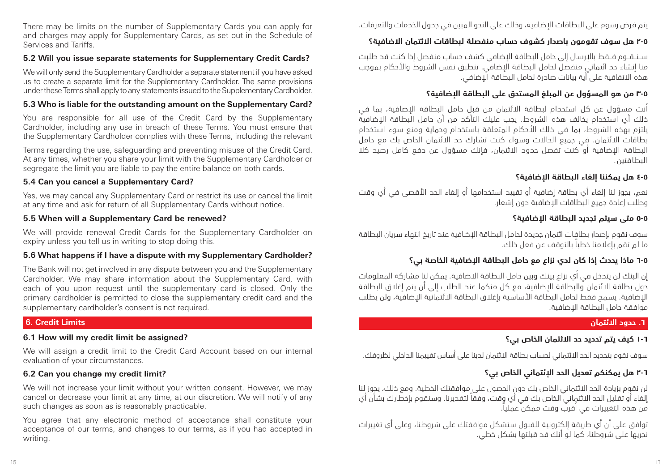يتم فرض رسوم على البطاقات اإلضافية، وذلك على النحو المبين في جدول الخدمات والتعرفات.

# **٢-٥ هل سوف تقومون باصدار كشوف حساب منفصلة لبطاقات االئتمان االضافية؟**

ســنــقــوم فــقط باإلرسال إلى حامل البطاقة اإلضافي كشف حساب منفصل إذا كنت قد طلبت منا إنشاء حد ائتماني منفصل لحامل البطاقة اإلضافي. تنطبق نفس الشروط واألحكام بموجب هذه االتفاقية على أية بيانات صادرة لحامل البطاقة اإلضافي.

# **٣-٥ من هو المسؤول عن المبلغ المستحق على البطاقة اإلضافية؟**

أنت مسؤول عن كل استخدام لبطاقة االئتمان من قبل حامل البطاقة اإلضافية، بما في ذلك أي استخدام يخالف هذه الشروط. يجب عليك التأكد من أن حامل البطاقة اإلضافية يلتزم بهذه الشروط، بما في ذلك األحكام المتعلقة باستخدام وحماية ومنع سوء استخدام بطاقات االئتمان. في جميع الحاالت وسواء كنت تشارك حد االئتمان الخاص بك مع حامل البطاقة اإلضافية أو كنت تفصل حدود االئتمان، فإنك مسؤول عن دفع كامل رصيد كال البطاقتين.

# **٤-٥ هل يمكننا إلغاء البطاقة اإلضافية؟**

نعم، يجوز لنا إلغاء أي بطاقة إضافية أو تقييد استخدامها أو إلغاء الحد األقصى في أي وقت وطلب إعادة جميع البطاقات اإلضافية دون إشعار.

# **٥-٥ متى سيتم تجديد البطاقة اإلضافية؟**

سوف نقوم بإصدار بطاقات ائتمان جديدة لحامل البطاقة اإلضافية عند تاريخ انتهاء سريان البطاقة ما لم تقم بإعالمنا خطياً بالتوقف عن فعل ذلك.

# **٦-٥ ماذا يحدث إذا كان لدي نزاع مع حامل البطاقة اإلضافية الخاصة بي؟**

إن البنك لن يتدخل في أي نزاع بينك وبين حامل البطاقة االضافية. يمكن لنا مشاركة المعلومات حول بطاقة االئتمان والبطاقة اإلضافية، مع كل منكما عند الطلب إلى أن يتم إغالق البطاقة الاضافية. يسمد فقط لحامل البطاقة الأساسية بإغلاق البطاقة الائتمانية الاضافية، ولن يطلب موافقة حامل البطاقة اإلضافية.

### **.6 حدود االئتمان**

# **١-٦ كيف يتم تحديد حد االئتمان الخاص بي؟**

سوف نقوم بتحديد الحد االئتماني لحساب بطاقة االئتمان لدينا على أساس تقييمنا الداخلي لظروفك.

# **٢-٦ هل يمكنكم تعديل الحد اإلئتماني الخاص بي؟**

لن نقوم بزيادة الحد االئتماني الخاص بك دون الحصول على موافقتك الخطية. ومع ذلك، يجوز لنا إلغاء أو تقليل الحد االئتماني الخاص بك في أي وقت، وفقاً لتقديرنا. وسنقوم بإخطارك بشأن أي من هذه التغييرات في أقرب وقت ممكن عمليا.ً

توافق على أن أي طريقة إلكترونية للقبول ستشكل موافقتك على شروطنا، وعلى أي تغييرات نجريها على شروطنا، كما لو أنك قد قبلتها بشكل خطي.

There may be limits on the number of Supplementary Cards you can apply for and charges may apply for Supplementary Cards, as set out in the Schedule of Services and Tariffs.

# **5.2 Will you issue separate statements for Supplementary Credit Cards?**

We will only send the Supplementary Cardholder a separate statement if you have asked us to create a separate limit for the Supplementary Cardholder. The same provisions under these Terms shall apply to any statements issued to the Supplementary Cardholder.

# **5.3 Who is liable for the outstanding amount on the Supplementary Card?**

You are responsible for all use of the Credit Card by the Supplementary Cardholder, including any use in breach of these Terms. You must ensure that the Supplementary Cardholder complies with these Terms, including the relevant

Terms regarding the use, safeguarding and preventing misuse of the Credit Card. At any times, whether you share your limit with the Supplementary Cardholder or segregate the limit you are liable to pay the entire balance on both cards.

# **5.4 Can you cancel a Supplementary Card?**

Yes, we may cancel any Supplementary Card or restrict its use or cancel the limit at any time and ask for return of all Supplementary Cards without notice.

# **5.5 When will a Supplementary Card be renewed?**

We will provide renewal Credit Cards for the Supplementary Cardholder on expiry unless you tell us in writing to stop doing this.

# **5.6 What happens if I have a dispute with my Supplementary Cardholder?**

The Bank will not get involved in any dispute between you and the Supplementary Cardholder. We may share information about the Supplementary Card, with each of you upon request until the supplementary card is closed. Only the primary cardholder is permitted to close the supplementary credit card and the supplementary cardholder's consent is not required.

# **6. Credit Limits**

# **6.1 How will my credit limit be assigned?**

We will assign a credit limit to the Credit Card Account based on our internal evaluation of your circumstances.

# **6.2 Can you change my credit limit?**

We will not increase your limit without your written consent. However, we may cancel or decrease your limit at any time, at our discretion. We will notify of any such changes as soon as is reasonably practicable.

You agree that any electronic method of acceptance shall constitute your acceptance of our terms, and changes to our terms, as if you had accepted in writing.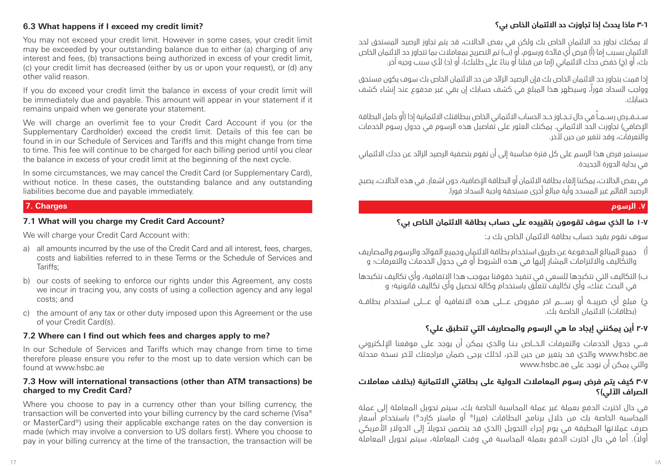# **٣-٦ ماذا يحدث إذا تجاوزت حد االئتمان الخاص بي؟**

### **6.3 What happens if I exceed my credit limit?**

You may not exceed your credit limit. However in some cases, your credit limit may be exceeded by your outstanding balance due to either (a) charging of any interest and fees, (b) transactions being authorized in excess of your credit limit, (c) your credit limit has decreased (either by us or upon your request), or (d) any other valid reason.

If you do exceed your credit limit the balance in excess of your credit limit will be immediately due and payable. This amount will appear in your statement if it remains unpaid when we generate your statement.

We will charge an overlimit fee to your Credit Card Account if you (or the Supplementary Cardholder) exceed the credit limit. Details of this fee can be found in in our Schedule of Services and Tariffs and this might change from time to time. This fee will continue to be charged for each billing period until you clear the balance in excess of your credit limit at the beginning of the next cycle.

In some circumstances, we may cancel the Credit Card (or Supplementary Card), without notice. In these cases, the outstanding balance and any outstanding liabilities become due and payable immediately.

#### **7. Charges**

#### **7.1 What will you charge my Credit Card Account?**

We will charge your Credit Card Account with:

- a) all amounts incurred by the use of the Credit Card and all interest, fees, charges, costs and liabilities referred to in these Terms or the Schedule of Services and Tariffs;
- b) our costs of seeking to enforce our rights under this Agreement, any costs we incur in tracing you, any costs of using a collection agency and any legal costs; and
- c) the amount of any tax or other duty imposed upon this Agreement or the use of your Credit Card(s).

#### **7.2 Where can I find out which fees and charges apply to me?**

In our Schedule of Services and Tariffs which may change from time to time therefore please ensure you refer to the most up to date version which can be found at www.hsbc.ae

#### **7.3 How will international transactions (other than ATM transactions) be charged to my Credit Card?**

Where you choose to pay in a currency other than your billing currency, the transaction will be converted into your billing currency by the card scheme (Visa® or MasterCard®) using their applicable exchange rates on the day conversion is made (which may involve a conversion to US dollars first). Where you choose to pay in your billing currency at the time of the transaction, the transaction will be

الا يمكنك تجاوز حد الائتمان الخاص بك ولكن في بعض الحالات، قد يتم تجاوز الرصيد المستحق لحد االئتمان بسبب إما )أ( فرض أي فائدة ورسوم، أو )ب( تم التصريح بمعامالت بما تتجاوز حد االئتمان الخاص ً بك، أو )ج( خفض حدك االئتماني )إما من قبلنا أو بناء على طلبك(، أو )د( ألي سبب وجيه آخر.

إذا قمت بتجاوز حد االئتمان الخاص بك فإن الرصيد الزائد من حد االئتمان الخاص بك سوف يكون مستحق وواجب السداد فورا،ً وسيظهر هذا المبلغ في كشف حسابك إن بقي غير مدفوع عند إنشاء كشف حسابك.

ســنــفــرض رســمــاً في حال تــجــاوز حــد الحساب االئتماني الخاص ببطاقتك االئتمانية إذا )أو حامل البطاقة الإضافي) تجاوزت الحد الائتماني. يمكنك العثور على تفاصيل هذه الرسوم في جدول رسوم الخدمات والتعرفات، وقد تتغير من حين آلخر.

سيستمر فرض هذا الرسم على كل فترة محاسبة إلى أن تقوم بتصفية الرصيد الزائد عن حدك االئتماني في بداية الدورة الجديدة.

في بعض الحاالت، يمكننا إلغاء بطاقة االئتمان أو البطاقة اإلضافية، دون اشعار. في هذه الحاالت، يصبح الرصيد القائم غير المسدد وأية مبالغ أخرى مستحقة واجبة السداد فورا.

# **.7 الرسوم**

# **١-٧ ما الذي سوف تقومون بتقييده على حساب بطاقة االئتمان الخاص بي؟**

سوف نقوم بقيد حساب بطاقة االئتمان الخاص بك بـ:

- أ) جميع المبالغ المدفوعة عن طريق استخدام بطاقة الائتمان وجميع الفوائد والرسوم والمصاريف والتكاليف وااللتزامات المشار إليها في هذه الشروط أو في جدول الخدمات والتعرفات؛ و
- ب) التكاليف التي نتكبدها للسعي في تنفيذ حقوقنا بموجب هذا الِاتفاقية، وأي تكاليف نتكبدها في البحث عنك، وأي تكاليف تتعلق باستخدام وكالة تحصيل وأي تكاليف قانونية؛ و
- ج( مبلغ أي ضريبــة أو رســــم اخر مفروض عــــلى هذه االتفاقية أو عــــلى استخدام بطاقــة (بطاقات) الائتمان الخاصة بك.

# **٢-٧ أين يمكنني إيجاد ما هي الرسوم والمصاريف التي تنطبق علي؟**

فـــي جدول الخدمات والتعرفات الـخـــاص بـنـا والذي يمكن أن يوجد على موقعنا اإللـكتروني .<br>www.hsbc.ae والذي قد يتغير من حين لآخر، لذلك يرجى ضمان مراجعتك لآخر نسخة محدثة والتي يمكن أن توجد على ae.hsbc.www

### **3-7 كيف يتم فرض رسوم المعامالت الدولية على بطاقتي االئتمانية )بخالف معامالت الصراف اآللي(؟**

في حال اخترت الدفع بعملة غير عملة المحاسبة الخاصة بك، سيتم تحويل المعاملة إلى عملة المحاسبة الخاصة بك من خلال برنامج البطاقات (فيزا® أو ماستر كارد®) باستخدام أسعار ً صرف عمالتها المطبقة في يوم إجراء التحويل )الذي قد يتضمن تحويال إلى الدوالر األمريكي ً أوال(. أما في حال اخترت الدفع بعملة المحاسبة في وقت المعاملة، سيتم تحويل المعاملة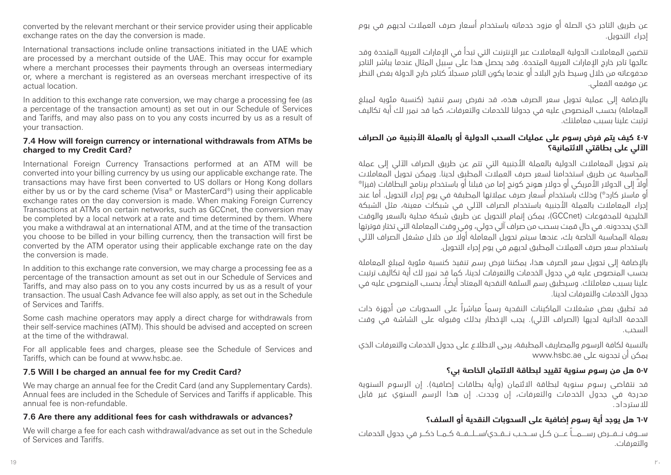عن طريق التاجر ذي الصلة أو مزود خدماته باستخدام أسعار صرف العمالت لديهم في يوم إجراء التحويل.

تتضمن المعامالت الدولية المعامالت عبر اإلنترنت التي تبدأ في اإلمارات العربية المتحدة وقد عالجها تاجر خارج اإلمارات العربية المتحدة. وقد يحصل هذا على سبيل المثال عندما يباشر التاجر محفوعاته من خلال وسيط خارج البلاد أو عندما يكون التاجر مسجلاً كتاجر خارج الدولة بغض النظر عن موقعه الفعلي.

باإلضافة إلى عملية تحويل سعر الصرف هذه، قد نفرض رسم تنفيذ )كنسبة مئوية لمبلغ المعاملة) بحسب المنصوص عليه في جدولنا للخدمات والتعرفات، كما قد نمرر لك أية تكاليف ترتبت علينا بسبب معاملتك.

### **4-7 كيف يتم فرض رسوم على عمليات السحب الدولية أو بالعملة األجنبية من الصراف اآللي على بطاقتي االئتمانية؟**

يتم تحويل المعامالت الدولية بالعملة األجنبية التي تتم عن طريق الصراف اآللي إلى عملة المحاسبة عن طريق استخدامنا لسعر صرف العمالت المطبق لدينا. ويمكن تحويل المعامالت ً أوال إلى الدوالر األمريكي أو دوالر هونج كونج إما من قبلنا أو باستخدام برنامج البطاقات )فيزاR أو ماستر كاردR( وذلك باستخدام أسعار صرف عمالتها المطبقة في يوم إجراء التحويل. أما عند إجراء المعامالت بالعملة األجنبية باستخدام الصراف اآللي في شبكات معينة، مثل الشبكة الخليجية للمدفوعات )GCCnet)، يمكن إتمام التحويل عن طريق شبكة محلية بالسعر والوقت الذي يحددونه. في حال قمت بسحب من صراف آلي دولي، وفي وقت المعاملة التي تختار فوترتها بعملة المحاسبة الخاصة بك، عندها سيتم تحويل المعاملة أولًا من خلال مشغل الصراف الآلي باستخدام سعر صرف العمالت المطبق لديهم في يوم إجراء التحويل.

باإلضافة إلى تحويل سعر الصرف هذا، يمكننا فرض رسم تنفيذ كنسبة مئوية لمبلغ المعاملة بحسب المنصوص عليه في جدول الخدمات والتعرفات لدينا، كما قد نمرر لك أية تكاليف ترتبت علينا بسبب معاملتك. وسيطبق رسم السلفة النقدية المعتاد أيضا،ً بحسب المنصوص عليه في جدول الخدمات والتعرفات لدينا.

قد تطبق بعض مشغالت الماكينات النقدية رسماً مباشراً على السحوبات من أجهزة ذات الخدمة الذاتية لديها (الصراف الآلي). يجب الإخطار بذلك وقبوله على الشاشة في وقت السحب.

بالنسبة لكافة الرسوم والمصاريف المطبقة، يرجى االطالع على جدول الخدمات والتعرفات الذي يمكن أن تجدونه على ae.hsbc.www

# **٥-٧ هل من رسوم سنوية تقييد لبطاقة االئتمان الخاصة بي؟**

قد نتقاضى رسوم سنوية لبطاقة الائتمان (وأية بطاقات إضافية). إن الرسوم السنوية مدرجة في جدول الخدمات والتعرفات، إن وجدت. إن هذا الرسم السنوي غير قابل لالسترداد.

# **٦-٧ هل يوجد أية رسوم إضافية على السحوبات النقدية أو السلف؟**

ســـوف نـــفـــرض رســــمــــاً عــــن كــل ســـحــب نـــقــدي/ســـلـــفـــة كــمـــا ذكـــر في جدول الخدمات والتعرفات.

converted by the relevant merchant or their service provider using their applicable exchange rates on the day the conversion is made.

International transactions include online transactions initiated in the UAE which are processed by a merchant outside of the UAE. This may occur for example where a merchant processes their payments through an overseas intermediary or, where a merchant is registered as an overseas merchant irrespective of its actual location.

In addition to this exchange rate conversion, we may charge a processing fee (as a percentage of the transaction amount) as set out in our Schedule of Services and Tariffs, and may also pass on to you any costs incurred by us as a result of your transaction.

### **7.4 How will foreign currency or international withdrawals from ATMs be charged to my Credit Card?**

International Foreign Currency Transactions performed at an ATM will be converted into your billing currency by us using our applicable exchange rate. The transactions may have first been converted to US dollars or Hong Kong dollars either by us or by the card scheme (Visa® or MasterCard®) using their applicable exchange rates on the day conversion is made. When making Foreign Currency Transactions at ATMs on certain networks, such as GCCnet, the conversion may be completed by a local network at a rate and time determined by them. Where you make a withdrawal at an international ATM, and at the time of the transaction you choose to be billed in your billing currency, then the transaction will first be converted by the ATM operator using their applicable exchange rate on the day the conversion is made.

In addition to this exchange rate conversion, we may charge a processing fee as a percentage of the transaction amount as set out in our Schedule of Services and Tariffs, and may also pass on to you any costs incurred by us as a result of your transaction. The usual Cash Advance fee will also apply, as set out in the Schedule of Services and Tariffs.

Some cash machine operators may apply a direct charge for withdrawals from their self-service machines (ATM). This should be advised and accepted on screen at the time of the withdrawal.

For all applicable fees and charges, please see the Schedule of Services and Tariffs, which can be found at www.hsbc.ae.

# **7.5 Will I be charged an annual fee for my Credit Card?**

We may charge an annual fee for the Credit Card (and any Supplementary Cards). Annual fees are included in the Schedule of Services and Tariffs if applicable. This annual fee is non-refundable.

# **7.6 Are there any additional fees for cash withdrawals or advances?**

We will charge a fee for each cash withdrawal/advance as set out in the Schedule of Services and Tariffs.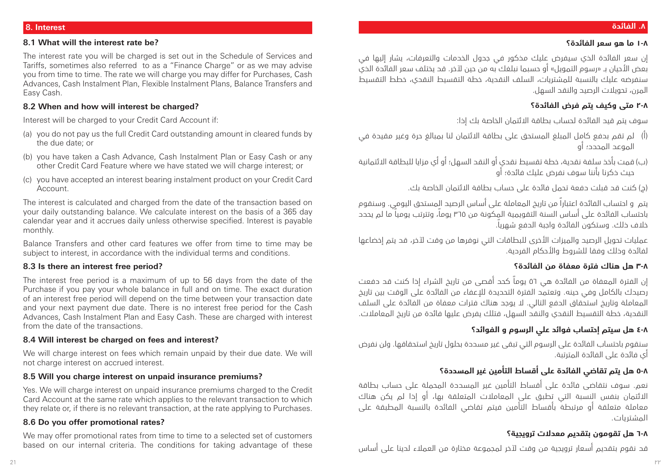#### **8. Interest**

#### **8.1 What will the interest rate be?**

The interest rate you will be charged is set out in the Schedule of Services and Tariffs, sometimes also referred to as a "Finance Charge" or as we may advise you from time to time. The rate we will charge you may differ for Purchases, Cash Advances, Cash Instalment Plan, Flexible Instalment Plans, Balance Transfers and Easy Cash.

#### **8.2 When and how will interest be charged?**

Interest will be charged to your Credit Card Account if:

- (a) you do not pay us the full Credit Card outstanding amount in cleared funds by the due date; or
- (b) you have taken a Cash Advance, Cash Instalment Plan or Easy Cash or any other Credit Card Feature where we have stated we will charge interest; or
- (c) you have accepted an interest bearing instalment product on your Credit Card Account.

The interest is calculated and charged from the date of the transaction based on your daily outstanding balance. We calculate interest on the basis of a 365 day calendar year and it accrues daily unless otherwise specified. Interest is payable monthly.

Balance Transfers and other card features we offer from time to time may be subject to interest, in accordance with the individual terms and conditions.

#### **8.3 Is there an interest free period?**

The interest free period is a maximum of up to 56 days from the date of the Purchase if you pay your whole balance in full and on time. The exact duration of an interest free period will depend on the time between your transaction date and your next payment due date. There is no interest free period for the Cash Advances, Cash Instalment Plan and Easy Cash. These are charged with interest from the date of the transactions.

#### **8.4 Will interest be charged on fees and interest?**

We will charge interest on fees which remain unpaid by their due date. We will not charge interest on accrued interest.

#### **8.5 Will you charge interest on unpaid insurance premiums?**

Yes. We will charge interest on unpaid insurance premiums charged to the Credit Card Account at the same rate which applies to the relevant transaction to which they relate or, if there is no relevant transaction, at the rate applying to Purchases.

#### **8.6 Do you offer promotional rates?**

We may offer promotional rates from time to time to a selected set of customers based on our internal criteria. The conditions for taking advantage of these إن سعر الفائدة الذي سيفرض عليك مذكور في جدول الخدمات والتعرفات، يشار إليها في بعض األحيان بـ »رسوم التمويل« أو حسبما نبلغك به من حين آلخر. قد يختلف سعر الفائدة الذي سنفرضه عليك بالنسبة للمشتريات، السلف النقدية، خطة التقسيط النقدي، خطط التقسيط المرن، تحويالت الرصيد والنقد السهل.

#### **٢-٨ متى وكيف يتم فرض الفائدة؟**

سوف يتم قيد الفائدة لحساب بطاقة االئتمان الخاصة بك إذا:

- )أ( لم تقم بدفع كامل المبلغ المستحق على بطاقة االئتمان لنا بمبالغ حرة وغير مقيدة في الموعد المحدد؛ أو
- )ب( قمت بأخذ سلفة نقدية، خطة تقسيط نقدي أو النقد السهل؛ أو أي مزايا للبطاقة االئتمانية حيث ذكرنا بأننا سوف نفرض عليك فائدة؛ أو

)ج( كنت قد قبلت دفعة تحمل فائدة على حساب بطاقة االئتمان الخاصة بك.

يتم و احتساب الفائدة اعتباراً من تاريخ المعاملة على أساس الرصيد المستحق اليومي. وسنقوم باحتساب الفائدة على أساس السنة التقويمية المكونة من 365 يوما،ً وتترتب يومياً ما لم يحدد خالف ذلك. وستكون الفائدة واجبة الدفع شهريا.ً

عمليات تحويل الرصيد والميزات األخرى للبطاقات التي نوفرها من وقت آلخر، قد يتم إخضاعها لفائدة وذلك وفقا للشروط واألحكام الفردية.

#### **٣-٨ هل هناك فترة معفاة من الفائدة؟**

إن الفترة المعفاة من الفائدة هي 56 يوماً كحد أقصى من تاريخ الشراء إذا كنت قد دفعت رصيدك بالكامل وفي حينه. وتعتمد الفترة التحديدة للإعفاء من الفائدة على الوقت بين تاريخ المعاملة وتاريخ استحقاق الدفع التالي. ال يوجد هناك فترات معفاة من الفائدة على السلف النقدية، خطة التقسيط النقدي والنقد السهل، فتلك يفرض عليها فائدة من تاريخ المعامالت.

# **٤-٨ هل سيتم إحتساب فوائد علي الرسوم و الفوائد؟**

سنقوم باحتساب الفائدة على الرسوم التي تبقى غير مسددة بحلول تاريخ استحقاقها. ولن نفرض أي فائدة على الفائدة المترتبة.

# **٥-٨ هل يتم تقاضي الفائدة على أقساط التأمين غير المسددة؟**

نعم. سوف نتقاضى فائدة على أقساط التأمين غير المسددة المحملة على حساب بطاقة االئتمان بنفس النسبة التي تطبق على المعامالت المتعلقة بها، أو إذا لم يكن هناك معاملة متعلقة أو مرتبطة بأقساط التأمين فيتم تقاضي الفائدة بالنسبة المطبقة على المشتريات.

#### **6-٨ هل تقومون بتقديم معدالت ترويجية؟**

قد نقوم بتقديم أسعار ترويجية من وقت آلخر لمجموعة مختارة من العمالء لدينا على أساس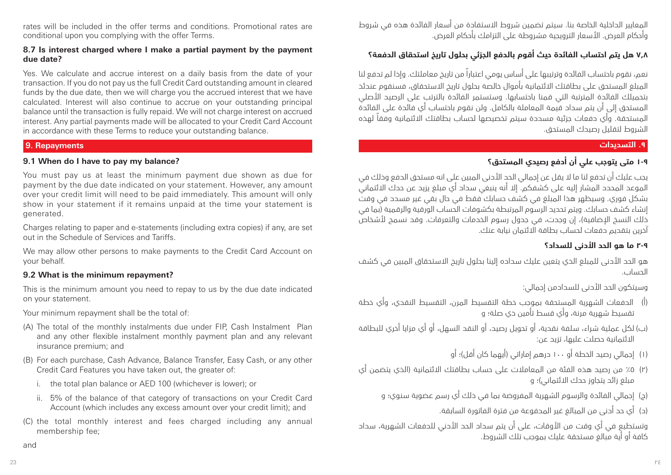rates will be included in the offer terms and conditions. Promotional rates are conditional upon you complying with the offer Terms.

#### **8.7 Is interest charged where I make a partial payment by the payment due date?**

Yes. We calculate and accrue interest on a daily basis from the date of your transaction. If you do not pay us the full Credit Card outstanding amount in cleared funds by the due date, then we will charge you the accrued interest that we have calculated. Interest will also continue to accrue on your outstanding principal balance until the transaction is fully repaid. We will not charge interest on accrued interest. Any partial payments made will be allocated to your Credit Card Account in accordance with these Terms to reduce your outstanding balance.

### **9. Repayments**

### **9.1 When do I have to pay my balance?**

You must pay us at least the minimum payment due shown as due for payment by the due date indicated on your statement. However, any amount over your credit limit will need to be paid immediately. This amount will only show in your statement if it remains unpaid at the time your statement is generated.

Charges relating to paper and e-statements (including extra copies) if any, are set out in the Schedule of Services and Tariffs.

We may allow other persons to make payments to the Credit Card Account on your behalf.

### **9.2 What is the minimum repayment?**

This is the minimum amount you need to repay to us by the due date indicated on your statement.

Your minimum repayment shall be the total of:

- (A) The total of the monthly instalments due under FIP, Cash Instalment Plan and any other flexible instalment monthly payment plan and any relevant insurance premium; and
- (B) For each purchase, Cash Advance, Balance Transfer, Easy Cash, or any other Credit Card Features you have taken out, the greater of:
	- i. the total plan balance or AED 100 (whichever is lower); or
	- ii. 5% of the balance of that category of transactions on your Credit Card Account (which includes any excess amount over your credit limit); and
- (C) the total monthly interest and fees charged including any annual membership fee;

المعايير الداخلية الخاصة بنا. سيتم تضمين شروط االستفادة من أسعار الفائدة هذه في شروط وأحكام العرض. األسعار الترويجية مشروطة على التزامك بأحكام العرض.

# **7.8 هل يتم احتساب الفائدة حيث أقوم بالدفع الجزئي بحلول تاريخ استحقاق الدفعة؟**

نعم، نقوم باحتساب الفائدة وترتيبها على أساس يومي اعتباراً من تاريخ معاملتك. وإذا لم تدفع لنا المبلغ المستحق على بطاقتك االئتمانية بأموال خالصة بحلول تاريخ االستحقاق، فسنقوم عندئذ بتحميلك الفائدة المترتبة التي قمنا باحتسابها. وستستمر الفائدة بالترتب على الرصيد األصلي المستحق إلى أن يتم سداد قيمة المعاملة بالكامل. ولن نقوم باحتساب أي فائدة على الفائدة المستحقة. وأي دفعات جزئية مسددة سيتم تخصيصها لحساب بطاقتك االئتمانية وفقاً لهذه الشروط لتقليل رصيدك المستحق.

# **.9 التسديدات**

# **١-٩ متى يتوجب علي أن أدفع رصيدي المستحق؟**

يجب عليك أن تدفع لنا ما ال يقل عن إجمالي الحد األدنى المبين على انه مستحق الدفع وذلك في الموعد المحدد المشار إليه على كشفكم. إال أنه ينبغي سداد أي مبلغ يزيد عن حدك االئتماني بشكل فوري. وسيظهر هذا المبلغ في كشف حسابك فقط في حال بقي غير مسدد في وقت إنشاء كشف حسابك. ويتم تحديد الرسوم المرتبطة بكشوفات الحساب الورقية والرقمية )بما في .<br>خلك النسخ الإضافية)، إن وجدت، في جدول رسوم الخدمات والتعرفات. وقد نسمح لأشخاص آخرين بتقديم دفعات لحساب بطاقة االئتمان نيابة عنك.

# **٢-٩ ما هو الحد األدنى للسداد؟**

هو الحد األدنى للمبلغ الذي يتعين عليك سداده إلينا بحلول تاريخ االستحقاق المبين في كشف الحساب.

وسيتكون الحد األدنى للسدادمن إجمالي:

- )أ( الدفعات الشهرية المستحقة بموجب خطة التقسيط المرن، التقسيط النقدي، وأي خطة تقسيط شهرية مرنة، وأي قسط تأمين ذي صلة؛ و
- )ب( لكل عملية شراء، سلفة نقدية، أو تحويل رصيد، أو النقد السهل، أو أي مزايا أخري للبطاقة االئتمانية حصلت عليها، تزيد عن:
	- (١) إجمالي رصيد الخطة أو ١٠٠ درهم إماراتي (أيهما كان أقل)؛ أو
- )2( %5 من رصيد هذه الفئة من المعامالت على حساب بطاقتك االئتمانية )الذي يتضمن أي مبلغ زائد يتجاوز حدك الائتماني)؛ و
	- )ج( إجمالي الفائدة والرسوم الشهرية المفروضة بما في ذلك أي رسم عضوية سنوي؛ و
		- )د( أي حد أدنى من المبالغ غير المدفوعة من فترة الفاتورة السابقة.

وتستطيع في أي وقت من األوقات، على أن يتم سداد الحد األدني للدفعات الشهرية، سداد كافة أو أية مبالغ مستحقة عليك بموجب تلك الشروط.

and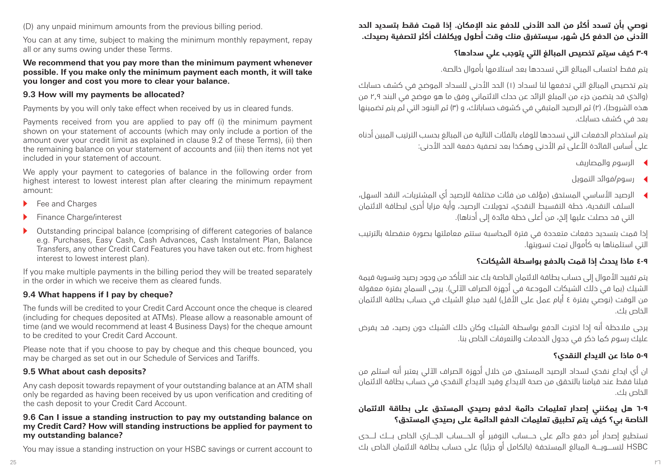(D) any unpaid minimum amounts from the previous billing period.

You can at any time, subject to making the minimum monthly repayment, repay all or any sums owing under these Terms.

#### **We recommend that you pay more than the minimum payment whenever possible. If you make only the minimum payment each month, it will take you longer and cost you more to clear your balance.**

#### **9.3 How will my payments be allocated?**

Payments by you will only take effect when received by us in cleared funds.

Payments received from you are applied to pay off (i) the minimum payment shown on your statement of accounts (which may only include a portion of the amount over your credit limit as explained in clause 9.2 of these Terms), (ii) then the remaining balance on your statement of accounts and (iii) then items not yet included in your statement of account.

We apply your payment to categories of balance in the following order from highest interest to lowest interest plan after clearing the minimum repayment amount:

- $\blacktriangleright$  Fee and Charges
- Finance Charge/interest
- <sup>u</sup> Outstanding principal balance (comprising of different categories of balance e.g. Purchases, Easy Cash, Cash Advances, Cash Instalment Plan, Balance Transfers, any other Credit Card Features you have taken out etc. from highest interest to lowest interest plan).

If you make multiple payments in the billing period they will be treated separately in the order in which we receive them as cleared funds.

### **9.4 What happens if I pay by cheque?**

The funds will be credited to your Credit Card Account once the cheque is cleared (including for cheques deposited at ATMs). Please allow a reasonable amount of time (and we would recommend at least 4 Business Days) for the cheque amount to be credited to your Credit Card Account.

Please note that if you choose to pay by cheque and this cheque bounced, you may be charged as set out in our Schedule of Services and Tariffs.

### **9.5 What about cash deposits?**

Any cash deposit towards repayment of your outstanding balance at an ATM shall only be regarded as having been received by us upon verification and crediting of the cash deposit to your Credit Card Account.

#### **9.6 Can I issue a standing instruction to pay my outstanding balance on my Credit Card? How will standing instructions be applied for payment to my outstanding balance?**

You may issue a standing instruction on your HSBC savings or current account to

# **نوصي بأن تسدد أكثر من الحد األدنى للدفع عند اإلمكان. إذا قمت فقط بتسديد الحد األدنى من الدفع كل شهر، سيستغرق منك وقت أطول ويكلفك أكثر لتصفية رصيدك.**

# **٣-٩ كيف سيتم تخصيص المبالغ التي يتوجب علي سدادها؟**

يتم فقط احتساب المبالغ التي تسددها بعد استالمها بأموال خالصة.

يتم تخصيص المبالغ التي تدفعها لنا لسداد (١) الحد الأدنى للسداد الموضح في كشف حسابك )والذي قد يتضمن جزء من المبلغ الزائد عن حدك االئتماني وفق ما هو موضح في البند 2.9 من هذه الشروط)، (٢) ثم الرصيد المتبقي في كشوف حساباتك، و (٣) ثم البنود التي لم يتم تضمينها بعد في كشف حسابك.

يتم استخدام الدفعات التي تسددها للوفاء بالفئات التالية من المبالغ بحسب الترتيب المبين أدناه على أساس الفائدة األعلى ثم األدنى وهكذا بعد تصفية دفعة الحد األدنى:

- <sup>t</sup> الرسوم والمصاريف
- <sup>t</sup> رسوم/فوائد التمويل
- <sup>t</sup> الرصيد األساسي المستحق )مؤلف من فئات مختلفة للرصيد أي المشتريات، النقد السهل، السلف النقدية، خطة التقسيط النقدي، تحويالت الرصيد، وأية مزايا أخرى لبطاقة االئتمان .<br>التي قد حصلت عليها إلخ، من أعلى خطة فائدة إلى أدناها).

إذا قمت بتسديد دفعات متعددة في فترة المحاسبة ستتم معاملتها بصورة منفصلة بالترتيب التي استلمناها به كأموال تمت تسويتها.

# **٤-٩ ماذا يحدث إذا قمت بالدفع بواسطة الشيكات؟**

يتم تقييد األموال إلى حساب بطاقة االئتمان الخاصة بك عند التأكد من وجود رصيد وتسوية قيمة الشيك (بما في ذلك الشيكات المودعة في أجهزة الصراف الآلي). يرجى السماح بفترة معقولة من الوقت (نوصي بفترة ٤ أيام عمل على الَّأقل) لقيد مبلغ الشيك في حساب بطاقة الائتمان الخاص بك.

يرجى مالحظة أنه إذا اخترت الدفع بواسطة الشيك وكان ذلك الشيك دون رصيد، قد يفرض عليك رسوم كما ذكر في جدول الخدمات والتعرفات الخاص بنا.

# **٥-٩ ماذا عن االيداع النقدي؟**

ان أي ايداع نقدي لسداد الرصيد المستحق من خالل أجهزة الصراف اآللي يعتبر أنه استلم من قبلنا فقط عند قيامنا بالتحقق من صحة االيداع وقيد االيداع النقدي في حساب بطاقة االئتمان الخاص بك.

# **٦-٩ هل يمكنني إصدار تعليمات دائمة لدفع رصيدي المستحق على بطاقة االئتمان الخاصة بي؟ كيف يتم تطبيق تعليمات الدفع الدائمة على رصيدي المستحق؟**

تستطيع إصدار أمر دفع دائم على حــــساب التوفير أو الحــــساب الجــــاري الخاص بــــك لــــدى HSBC لتســــويــــة المبالغ المستحقة )بالكامل أو جزئيا( على حساب بطاقة االئتمان الخاص بك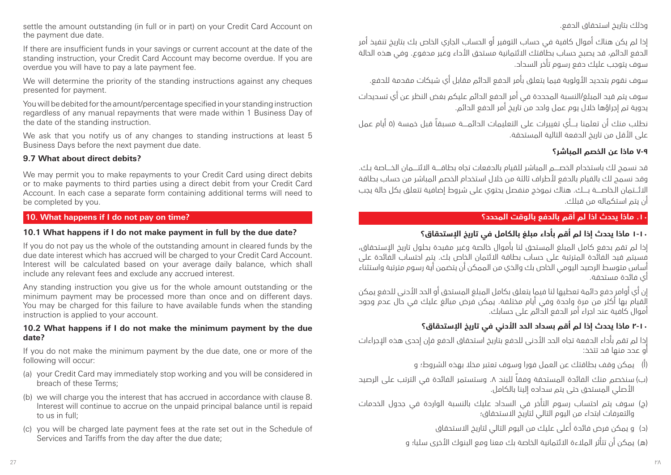settle the amount outstanding (in full or in part) on your Credit Card Account on the payment due date.

If there are insufficient funds in your savings or current account at the date of the standing instruction, your Credit Card Account may become overdue. If you are overdue you will have to pay a late payment fee.

We will determine the priority of the standing instructions against any cheques presented for payment.

You will be debited for the amount/percentage specified in your standing instruction regardless of any manual repayments that were made within 1 Business Day of the date of the standing instruction.

We ask that you notify us of any changes to standing instructions at least 5 Business Days before the next payment due date.

#### **9.7 What about direct debits?**

We may permit you to make repayments to your Credit Card using direct debits or to make payments to third parties using a direct debit from your Credit Card Account. In each case a separate form containing additional terms will need to be completed by you.

#### **10. What happens if I do not pay on time?**

#### **10.1 What happens if I do not make payment in full by the due date?**

If you do not pay us the whole of the outstanding amount in cleared funds by the due date interest which has accrued will be charged to your Credit Card Account. Interest will be calculated based on your average daily balance, which shall include any relevant fees and exclude any accrued interest.

Any standing instruction you give us for the whole amount outstanding or the minimum payment may be processed more than once and on different days. You may be charged for this failure to have available funds when the standing instruction is applied to your account.

#### **10.2 What happens if I do not make the minimum payment by the due date?**

If you do not make the minimum payment by the due date, one or more of the following will occur:

- (a) your Credit Card may immediately stop working and you will be considered in breach of these Terms;
- (b) we will charge you the interest that has accrued in accordance with clause 8. Interest will continue to accrue on the unpaid principal balance until is repaid to us in full;
- (c) you will be charged late payment fees at the rate set out in the Schedule of Services and Tariffs from the day after the due date;

وذلك بتاريخ استحقاق الدفع.

إذا لم يكن هناك أموال كافية في حساب التوفير أو الحساب الجاري الخاص بك بتاريخ تنفيذ أمر الدفع الدائم، قد يصبح حساب بطاقتك االئتمانية مستحق األداء وغير مدفوع. وفي هذه الحالة سوف يتوجب عليك دفع رسوم تأخر السداد.

سوف نقوم بتحديد األولوية فيما يتعلق بأمر الدفع الدائم مقابل أي شيكات مقدمة للدفع.

سوف يتم قيد المبلغ/النسبة المحددة في أمر الدفع الدائم عليكم بغض النظر عن أي تسديدات يدوية تم إجراؤها خالل يوم عمل واحد من تاريخ أمر الدفع الدائم.

نطلب منك أن تعلمنا بــــأي تغييرات على التعليمات الدائمــــة مسبقاً قبل خمسة )5 أيام عمل على الأقل من تاريخ الدفعة التالية المستحقة.

### **٧-٩ ماذا عن الخصم المباشر؟**

قد نسمح لك باستخدام الخصــــم المباشر للقيام بالدفعات تجاه بطاقــــة االئتــــمان الخــــاصة بـك. وقد نسمح لك بالقيام بالدفع لأطراف ثالثة من خلال استخدام الخصم المباشر من حساب بطاقة االئـــتمان الـخاصــــة بــــك. هناك نموذج منفصل يحتوي على شروط إضافية تتعلق بكل حالة يجب أن يتم استكماله من قبلك.

#### **.10 ماذا يحدث اذا لم أقم بالدفع بالوقت المحدد؟**

# **١-١٠ ماذا يحدث إذا لم أقم بأداء مبلغ بالكامل في تاريخ اإلستحقاق؟**

إذا لم تقم بدفع كامل المبلغ المستحق لنا بأموال خالصة وغير مقيدة بحلول تاريخ اإلستحقاق، فسيتم قيد الفائدة المترتبة على حساب بطاقة االئتمان الخاص بك. يتم احتساب الفائدة على أساس متوسط الرصيد اليومي الخاص بك والذي من الممكن أن يتضمن أية رسوم مترتبة واستثناء أي فائدة مستحقة.

إن أي أوامر دفع دائمة تعطيها لنا فيما يتعلق بكامل المبلغ المستحق أو الحد األدنى للدفع يمكن القيام بها أكثر من مرة واحدة وفي أيام مختلفة. يمكن فرض مبالغ عليك في حال عدم وجود أموال كافية عند اجراء أمر الدفع الدائم على حسابك.

# **٢-١٠ ماذا يحدث إذا لم أقم بسداد الحد األدني في تاريخ اإلستحقاق؟**

إذا لم تقم بأداء الدفعة تجاه الحد األدنى للدفع بتاريخ استحقاق الدفع فإن إحدى هذه اإلجراءات أو عدد منها قد تتخذ:

- )أ( يمكن وقف بطاقتك عن العمل فورا وسوف تعتبر مخال بهذه الشروط؛ و
- )ب( سنخصم منك الفائدة المستحقة وفقاً للبند .8 وستستمر الفائدة في الترتب على الرصيد األصلي المستحق حتى يتم سداده إلينا بالكامل.
- )ج( سوف يتم احتساب رسوم التأخر في السداد عليك بالنسبة الواردة في جدول الخدمات والتعرفات ابتداء من اليوم التالي لتاريخ االستحقاق؛
	- )د( و يمكن فرض فائدة أعلى عليك من اليوم التالي لتاريخ االستحقاق
	- )ه( يمكن أن تتأثر المالءة االئتمانية الخاصة بك معنا ومع البنوك األخرى سلبا؛ و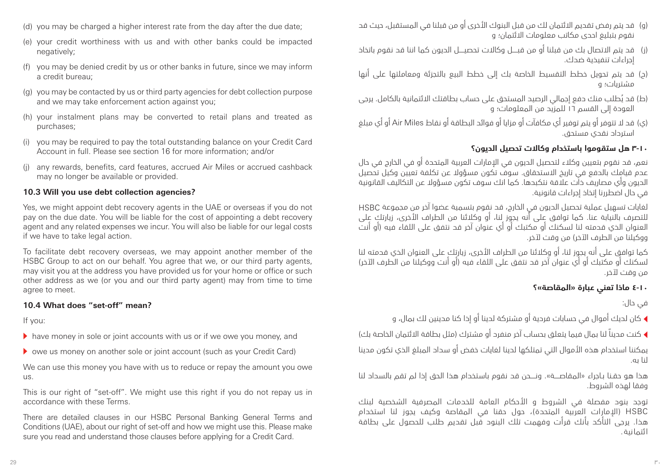- (d) you may be charged a higher interest rate from the day after the due date;
- (e) your credit worthiness with us and with other banks could be impacted negatively;
- (f) you may be denied credit by us or other banks in future, since we may inform a credit bureau;
- (g) you may be contacted by us or third party agencies for debt collection purpose and we may take enforcement action against you;
- (h) your instalment plans may be converted to retail plans and treated as purchases;
- (i) you may be required to pay the total outstanding balance on your Credit Card Account in full. Please see section 16 for more information; and/or
- (j) any rewards, benefits, card features, accrued Air Miles or accrued cashback may no longer be available or provided.

#### **10.3 Will you use debt collection agencies?**

Yes, we might appoint debt recovery agents in the UAE or overseas if you do not pay on the due date. You will be liable for the cost of appointing a debt recovery agent and any related expenses we incur. You will also be liable for our legal costs if we have to take legal action.

To facilitate debt recovery overseas, we may appoint another member of the HSBC Group to act on our behalf. You agree that we, or our third party agents, may visit you at the address you have provided us for your home or office or such other address as we (or you and our third party agent) may from time to time agree to meet.

#### **10.4 What does "set-off" mean?**

If you:

- $\blacktriangleright$  have money in sole or joint accounts with us or if we owe you money, and
- $\triangleright$  owe us money on another sole or joint account (such as your Credit Card)

We can use this money you have with us to reduce or repay the amount you owe us.

This is our right of "set-off". We might use this right if you do not repay us in accordance with these Terms.

There are detailed clauses in our HSBC Personal Banking General Terms and Conditions (UAE), about our right of set-off and how we might use this. Please make sure you read and understand those clauses before applying for a Credit Card.

- )و( قد يتم رفض تقديم االئتمان لك من قبل البنوك األخرى أو من قبلنا في المستقبل، حيث قد نقوم بتبليغ احدى مكاتب معلومات االئتمان؛ و
- )ز( قد يتم االتصال بك من قبلنا أو من قبــــل وكاالت تحصيــــل الديون كما اننا قد نقوم باتخاذ إجراءات تنفيذية ضدك.
- )ح( قد يتم تحويل خطط التقسيط الخاصة بك إلى خطط البيع بالتجزئة ومعاملتها على أنها مشتريات؛ و
- )ط( ُ قد يطلب منك دفع إجمالي الرصيد المستحق على حساب بطاقتك االئتمانية بالكامل. يرجى العودة إلى القسم 16 للمزيد من المعلومات؛ و
- )ي( قد ال تتوفر أو يتم توفير أي مكافآت أو مزايا أو فوائد البطاقة أو نقاط Miles Air أو أي مبلغ استرداد نقدي مستحق.

#### **٣-١٠ هل ستقوموا باستخدام وكاالت تحصيل الديون؟**

نعم، قد نقوم بتعيين وكالء لتحصيل الديون في اإلمارات العربية المتحدة أو في الخارج في حال عدم قيامك بالدفع في تاريخ االستحقاق. سوف تكون مسؤوال عن تكلفة تعيين وكيل تحصيل الديون وأي مصاريف ذات عالقة نتكبدها. كما انك سوف تكون مسؤوال عن التكاليف القانونية في حال اضطررنا إتخاذ إجراءات قانونية.

لغايات تسهيل عملية تحصيل الديون في الخارج، قد نقوم بتسمية عضوا آخر من مجموعة HSBC للتصرف بالنيابة عنا. كما توافق على أنه يجوز لنا، أو وكالئنا من الطراف األخرى، زيارتك على العنوان الذي قدمته لنا لسكنك أو مكتبك أو أي عنوان آخر قد نتفق على اللقاء فيه )أو أنت ووكيلنا من الطرف اآلخر( من وقت آلخر.

كما توافق على أنه يجوز لنا، أو وكالئنا من الطراف األخرى، زيارتك على العنوان الذي قدمته لنا ر<br>لسكنك أو مكتبك أو أي عنوان آخر قد نتفق على اللقاء فيه (أو أنت ووكيلنا من الطرف الآخر) من وقت آلخر.

#### **٤-١٠ ماذا تعني عبارة »المقاصة«؟**

في حال:

<sup>t</sup> كان لديك أموال في حسابات فردية أو مشتركة لدينا أو إذا كنا مدينين لك بمال، و

▶ كنت مديناً لنا بمال فيما يتعلق بحساب آخر منفرد أو مشترك (مثل بطاقة الائتمان الخاصة بك)

يمكننا استخدام هذه األموال التي تمتلكها لدينا لغايات خفض أو سداد المبلغ الذي تكون مدينا لنا به.

هذا هو حقـنا بـاجراء »المقاصــــة«. ونــــحن قد نقوم باستخدام هذا الحق إذا لم تقم بالسداد لنا وفقا لهذه الشروط.

توجد بنود مفصلة في الشروط و األحكام العامة للخدمات المصرفية الشخصية لبنك HSBC( اإلمارات العربية المتحدة(، حول حقنا في المقاصة وكيف يجوز لنا استخدام هذا. يرجى التأكد بأنك قرأت وفهمت تلك البنود قبل تقديم طلب للحصول على بطاقة ائتمانية.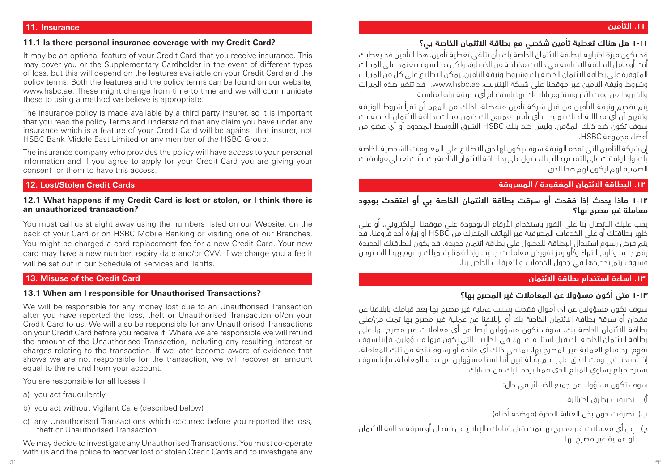#### **.11 التأمين**

#### **11. Insurance**

#### **11.1 Is there personal insurance coverage with my Credit Card?**

It may be an optional feature of your Credit Card that you receive insurance. This may cover you or the Supplementary Cardholder in the event of different types of loss, but this will depend on the features available on your Credit Card and the policy terms. Both the features and the policy terms can be found on our website, www.hsbc.ae. These might change from time to time and we will communicate these to using a method we believe is appropriate.

The insurance policy is made available by a third party insurer, so it is important that you read the policy Terms and understand that any claim you have under any insurance which is a feature of your Credit Card will be against that insurer, not HSBC Bank Middle East Limited or any member of the HSBC Group.

The insurance company who provides the policy will have access to your personal information and if you agree to apply for your Credit Card you are giving your consent for them to have this access.

#### **12. Lost/Stolen Credit Cards**

#### **12.1 What happens if my Credit Card is lost or stolen, or I think there is an unauthorized transaction?**

You must call us straight away using the numbers listed on our Website, on the back of your Card or on HSBC Mobile Banking or visiting one of our Branches. You might be charged a card replacement fee for a new Credit Card. Your new card may have a new number, expiry date and/or CVV. If we charge you a fee it will be set out in our Schedule of Services and Tariffs.

#### **13. Misuse of the Credit Card**

#### **13.1 When am I responsible for Unauthorised Transactions?**

We will be responsible for any money lost due to an Unauthorised Transaction after you have reported the loss, theft or Unauthorised Transaction of/on your Credit Card to us. We will also be responsible for any Unauthorised Transactions on your Credit Card before you receive it. Where we are responsible we will refund the amount of the Unauthorised Transaction, including any resulting interest or charges relating to the transaction. If we later become aware of evidence that shows we are not responsible for the transaction, we will recover an amount equal to the refund from your account.

You are responsible for all losses if

- a) you act fraudulently
- b) you act without Vigilant Care (described below)
- c) any Unauthorised Transactions which occurred before you reported the loss, theft or Unauthorised Transaction.

We may decide to investigate any Unauthorised Transactions. You must co-operate with us and the police to recover lost or stolen Credit Cards and to investigate any

قد تكون ميزة اختيارية لبطاقة االئتمان الخاصة بك بأن تتلقى تغطية تأمين. هذا التأمين قد يغطيك أنت أو حامل البطاقة اإلضافية في حاالت مختلفة من الخسارة، ولكن هذا سوف يعتمد على الميزات المتوفرة على بطاقة االئتمان الخاصة بك وشروط وثيقة التامين. يمكن االطالع على كل من الميزات وشروط وثيقة التامين عبر موقعنا على شبكة اإلنترنت، ae.hsbc.www. قد تتغير هذه الميزات والشروط من وقت آلخر وسنقوم بإبالغك بها باستخدام أي طريقة نراها مناسبة.

يتم تقديم وثيقة التأمين من قبل شركة تأمين منفصلة، لذلك من المهم أن تقرأ شروط الوثيقة وتفهم أن أي مطالبة لديك بموجب أي تأمين ممنوح لك ضمن ميزات بطاقة االئتمان الخاصة بك سوف تكون ضد ذلك المؤمن، وليس ضد بنك HSBC الشرق األوسط المحدود أو أي عضو من أعضاء مجموعة HSBC.

إن شركة التأمين التي تقدم الوثيقة سوف يكون لها حق االطالع على المعلومات الشخصية الخاصة بك، وإذا وافقت على التقدم بطلب للحصول على بطــــاقة االئتمان الخاصة بك فأنك تعطي موافقتك الضمنية لهم ليكون لهم هذا الحق.

#### **.12 البطاقة االئتمان المفقودة / المسروقة**

### **١-١٢ ماذا يحدث إذا فقدت أو سرقت بطاقة االئتمان الخاصة بي أو اعتقدت بوجود معاملة غير مصرح بها؟**

يجب عليك االتصال بنا على الفور باستخدام األرقام الموجودة على موقعنا اإللكتروني، أو على ظهر بطاقتك أو على الخدمات المصرفية عبر الهاتف المتحرك من HSBC أو زيارة أحد فروعنا. قد يتم فرض رسوم استبدال البطاقة للحصول على بطاقة ائتمان جديدة. قد يكون لبطاقتك الحديدة رقم جديد وتاريخ انتهاء و/أو رمز تفويض معامالت جديد. وإذا قمنا بتحميلك رسوم بهذا الخصوص فسوف يتم تحديدها في جدول الخدمات والتعرفات الخاص بنا.

### **.13 اساءة استخدام بطاقة االئتمان**

# **١-١3 متى أكون مسؤوال عن المعامالت غير المصرح بها؟**

سوف نكون مسؤولين عن أي أموال فقدت بسبب عملية غير مصرح بها بعد قيامك بابالغنا عن فقدان أو سرقة بطاقة االئتمان الخاصة بك أو بإبالغنا عن عملية غير مصرح بها تمت من/على بطاقة االئتمان الخاصة بك. سوف نكون مسؤولين أيضاً عن أي معامالت غير مصرح بها على بطاقة االئتمان الخاصة بك قبل استالمك لها. في الحاالت التي نكون فيها مسؤولين، فإننا سوف نقوم برد مبلغ العملية غير المصرح بها، بما في ذلك أي فائدة أو رسوم ناتجة من تلك المعاملة. إذا أصبحنا في وقت الحق على علم بأدلة تبين أننا لسنا مسؤولين عن هذه المعاملة، فإننا سوف نسترد مبلغ يساوي المبلغ الذي قمنا برده اليك من حسابك.

سوف تكون مسؤوال عن جميع الخسائر في حال:

- أ( تصرفت بطرق احتيالية
- ب) تصرفت دون بذل العناية الحذرة (موضحة أدناه)
- ج( عن أي معامالت غير مصرح بها تمت قبل قيامك باإلبالغ عن فقدان أو سرقة بطاقة االئتمان أو عملية غير مصرح بها.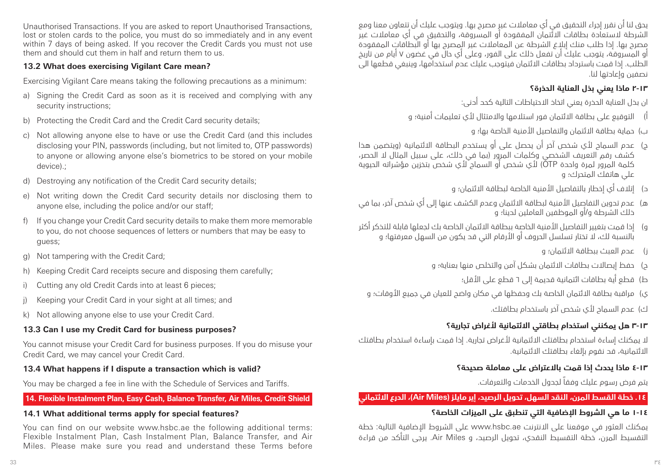Unauthorised Transactions. If you are asked to report Unauthorised Transactions, lost or stolen cards to the police, you must do so immediately and in any event within 7 days of being asked. If you recover the Credit Cards you must not use them and should cut them in half and return them to us.

#### **13.2 What does exercising Vigilant Care mean?**

Exercising Vigilant Care means taking the following precautions as a minimum:

- a) Signing the Credit Card as soon as it is received and complying with any security instructions;
- b) Protecting the Credit Card and the Credit Card security details;
- c) Not allowing anyone else to have or use the Credit Card (and this includes disclosing your PIN, passwords (including, but not limited to, OTP passwords) to anyone or allowing anyone else's biometrics to be stored on your mobile device).;
- d) Destroying any notification of the Credit Card security details;
- e) Not writing down the Credit Card security details nor disclosing them to anyone else, including the police and/or our staff;
- f) If you change your Credit Card security details to make them more memorable to you, do not choose sequences of letters or numbers that may be easy to guess;
- g) Not tampering with the Credit Card;
- h) Keeping Credit Card receipts secure and disposing them carefully;
- i) Cutting any old Credit Cards into at least 6 pieces;
- j) Keeping your Credit Card in your sight at all times; and
- k) Not allowing anyone else to use your Credit Card.

# **13.3 Can I use my Credit Card for business purposes?**

You cannot misuse your Credit Card for business purposes. If you do misuse your Credit Card, we may cancel your Credit Card.

### **13.4 What happens if I dispute a transaction which is valid?**

You may be charged a fee in line with the Schedule of Services and Tariffs.

### **14. Flexible Instalment Plan, Easy Cash, Balance Transfer, Air Miles, Credit Shield**

### **14.1 What additional terms apply for special features?**

You can find on our website www.hsbc.ae the following additional terms: Flexible Instalment Plan, Cash Instalment Plan, Balance Transfer, and Air Miles. Please make sure you read and understand these Terms before

يحق لنا أن نقرر إجراء التحقيق في أي معامالت غير مصرح بها. ويتوجب عليك أن تتعاون معنا ومع الشرطة الستعادة بطاقات االئتمان المفقودة أو المسروقة، والتحقيق في أي معامالت غير مصرح بها. إذا طلب منك إبالغ الشرطة عن المعامالت غير المصرح بها أو البطاقات المفقودة أو المسروقة، يتوجب عليك أن تفعل ذلك على الفور، وعلى أي حال في غضون 7 أيام من تاريخ الطلب. إذا قمت باسترداد بطاقات االئتمان فيتوجب عليك عدم استخدامها، وينبغي قطعها الى نصفين وإعادتها لنا.

# **٢-13 ماذا يعني بذل العناية الحذرة؟**

ان بذل العناية الحذرة يعني اتخاذ االحتياطات التالية كحد أدنى:

أ) التوقيع على بطاقة الائتمان فور استلامها والامتثال لأي تعليمات أمنية؛ و

ب( حماية بطاقة االئتمان والتفاصيل األمنية الخاصة بها؛ و

- ج( عدم السماح ألي شخص آخر أن يحصل على أو يستخدم البطاقة االئتمانية )ويتضمن هذا كشف رقم التعريف الشخصي وكلمات المرور )بما في ذلك، على سبيل المثال ال الحصر، كلمة المرور لمرة واحدة OTP )ألي شخص أو السماح ألي شخص بتخزين مؤشراته الحيوية علي هاتفك المتحرك؛ و
	- د) إتلاف أي إخطار بالتفاصيل الأمنية الخاصة لبطاقة الائتمان؛ و
- ه) عدم تدوين التفاصيل الأمنية لبطاقة الائتمان وعدم الكشف عنها إلى أي شخص آخر، بما في ذلك الشرطة و/أو الموظفين العاملين لدينا؛ و
- و) إذا قمت بتغيير التفاصيل الأمنية الخاصة ببطاقة الائتمان الخاصة بك لجعلها قابلة للتذكر أكثر بالنسبة لك، ال تختار تسلسل الحروف أو األرقام التي قد يكون من السهل معرفتها؛ و
	- ز( عدم العبث ببطاقة االئتمان؛ و
	- ح) \_حفظ ابصالات بطاقات الائتمان بشكل آمن والتخلص منها بعناية؛ و
		- ط) قطع أية بطاقات ائتمانية قديمة إلى ٦ قطع على الأقل؛
	- ي) مراقبة بطاقة الائتمان الخاصة بك وحفظها في مكان واضح للعيان في جميع الأوقات؛ و

ك( عدم السماح ألي شخص آخر باستخدام بطاقتك.

# **٣-١٣ هل يمكنني استخدام بطاقتي االئتمانية ألغراض تجارية؟**

ال يمكنك إساءة استخدام بطاقتك االئتمانية ألغراض تجارية. إذا قمت بإساءة استخدام بطاقتك االئتمانية، قد نقوم بإلغاء بطاقتك االئتمانية.

# **٤-١٣ ماذا يحدث إذا قمت باالعتراض على معاملة صحيحة؟**

يتم فرض رسوم عليك وفقاً لجدول الخدمات والتعرفات.

**.14 خطة القسط المرن، النقد السهل، تحويل الرصيد، إير مايلز )Miles Air)، الدرع االئتماني**

# **١-١4 ما هي الشروط اإلضافية التي تنطبق على الميزات الخاصة؟**

يمكنك العثور في موقعنا على االنترنت ae.hsbc.www على الشروط اإلضافية التالية: خطة التقسيط المرن، خطة التقسيط النقدي، تحويل الرصيد، و Miles Air. يرجى التأكد من قراءة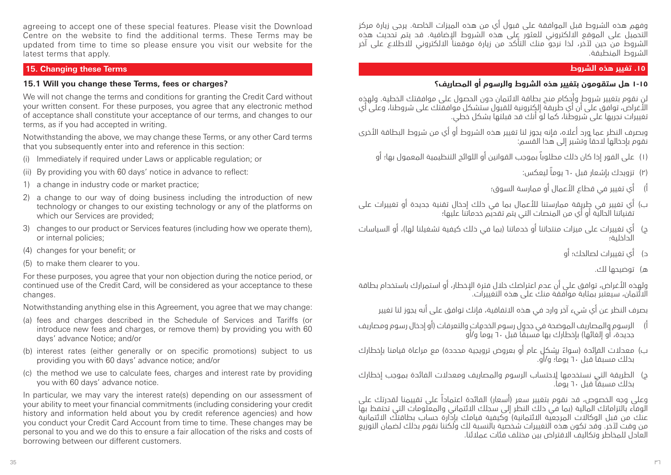agreeing to accept one of these special features. Please visit the Download Centre on the website to find the additional terms. These Terms may be updated from time to time so please ensure you visit our website for the latest terms that apply.

#### **15. Changing these Terms**

#### **15.1 Will you change these Terms, fees or charges?**

We will not change the terms and conditions for granting the Credit Card without your written consent. For these purposes, you agree that any electronic method of acceptance shall constitute your acceptance of our terms, and changes to our terms, as if you had accepted in writing.

Notwithstanding the above, we may change these Terms, or any other Card terms that you subsequently enter into and reference in this section:

- (i) Immediately if required under Laws or applicable regulation; or
- (ii) By providing you with 60 days' notice in advance to reflect:
- 1) a change in industry code or market practice;
- 2) a change to our way of doing business including the introduction of new technology or changes to our existing technology or any of the platforms on which our Services are provided;
- 3) changes to our product or Services features (including how we operate them), or internal policies;
- (4) changes for your benefit; or
- (5) to make them clearer to you.

For these purposes, you agree that your non objection during the notice period, or continued use of the Credit Card, will be considered as your acceptance to these changes.

Notwithstanding anything else in this Agreement, you agree that we may change:

- (a) fees and charges described in the Schedule of Services and Tariffs (or introduce new fees and charges, or remove them) by providing you with 60 days' advance Notice; and/or
- (b) interest rates (either generally or on specific promotions) subject to us providing you with 60 days' advance notice; and/or
- (c) the method we use to calculate fees, charges and interest rate by providing you with 60 days' advance notice.

In particular, we may vary the interest rate(s) depending on our assessment of your ability to meet your financial commitments (including considering your credit history and information held about you by credit reference agencies) and how you conduct your Credit Card Account from time to time. These changes may be personal to you and we do this to ensure a fair allocation of the risks and costs of borrowing between our different customers.

وفهم هذه الشروط قبل الموافقة على قبول أي من هذه الميزات الخاصة. يرجى زيارة مركز التحميل على الموقع االلكتروني للعثور على هذه الشروط اإلضافية. قد يتم تحديث هذه الشروط من حين آلخر، لذا نرجو منك التأكد من زيارة موقعنا االلكتروني لالطالع على آخر الشروط المنطبقة.

#### **.15 تغيير هذه الشروط**

# **١-١٥ هل ستقومون بتغيير هذه الشروط والرسوم أو المصاريف؟**

لن نقوم بتغيير شروط وأحكام منح بطاقة االئتمان دون الحصول على موافقتك الخطية. ولهذه األغراض، توافق على أن أي طريقة إلكترونية للقبول ستشكل موافقتك على شروطنا، وعلى أي . تعصر في الوسي على الله على شروع المستقدم في المستقدم في الله على شروط الله على شروط الله على الله على الله ع<br>تغييرات نجريها على شروطنا، كما لو أنك قد قبلتها بشكل خطي.

وبصرف النظر عما ورد أعاله، فإنه يجوز لنا تغيير هذه الشروط أو أي من شروط البطاقة األخرى نقوم بإدخالها الحقاً وتشير إلى هذا القسم:

- )1( على الفور إذا كان ذلك مطلوباً بموجب القوانين أو اللوائح التنظيمية المعمول بها؛ أو
	- )2( تزويدك بإشعار قبل 60 يوماً ليعكس:
	- أ) أي تغيير في قطاع الأعمال أو ممارسة السوق؛
- ب) اي تغيير في طٍربِقة ممارستنا للأعمال بما في ذلك إحخال تقنية جديدة او تغييرات على تقنياتنا الحالية أو أي من المنصات التي يتم تقديم خدماتنا عليها؛
- ج) أي تغييرات على ميزات منتجاتنا أو خدماتنا (بما في ذلك كيفية تشغيلنا لها)، أو السياسات الداخلية؛
	- د( أي تغييرات لصالحك؛ أو
		- ه) توضيحها لك.

ولهذه األغراض، توافق على أن عدم اعتراضك خالل فترة اإلخطار، أو استمرارك باستخدام بطاقة االئتمان، سيعتبر بمثابة موافقة منك على هذه التغييرات.

بصرف النظر عن أي شيء آخر وارد في هذه االتفاقية، فإنك توافق على أنه يجوز لنا تغيير

- ا) الرسوم والمصاريف الموضحة في جدول رسوم الخدمات والتعرفات (او إدخال رسوم ومصاريف جديدة، أو إلغائها) بإخطارك بها مسبقًا قبل ٦٠ يوماً و/أو
- ب) معدلات الفائدة (سواءً بشكل عام أو بعروض ترويجية محددة) مع مراعاة قيامنا بإخطارك بذلك مسبقاً قبل 60 يوماً؛ و/أو.
- ج( الطريقة التي نستخدمها الحتساب الرسوم والمصاريف ومعدالت الفائدة بموجب إخطارك بذلك مسبقاً قبل 60 يوما.ً

وعلى وجه الخصوص، قد نقوم بتغيير سعر (أسعار) الفائدة اعتماداً على تقييمنا لقدرتك على الوفاء بالتزاماتك المالية (بما في ذلك النظر إلى سجلك الائتماني والمعلومات التي تحتفظ بها عنك من قبل الوكاالت المرجعية االئتمانية( وكيفية قيامك بإدارة حساب بطاقتك االئتمانية من وقت آلخر. وقد تكون هذه التغييرات شخصية بالنسبة لك ولكننا نقوم بذلك لضمان التوزيع العادل للمخاطر وتكاليف االقتراض بين مختلف فئات عمالئنا.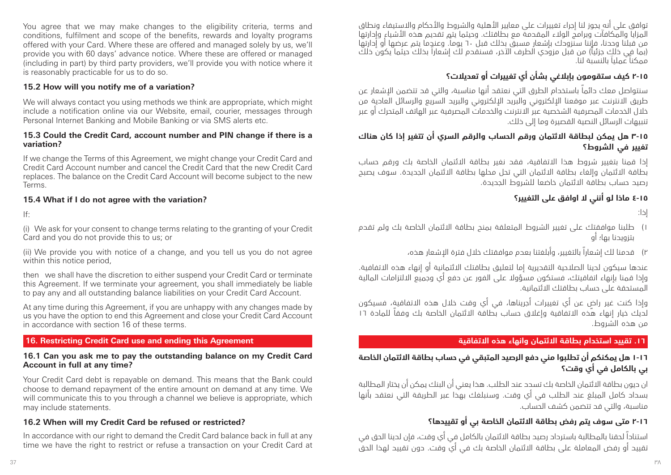You agree that we may make changes to the eligibility criteria, terms and conditions, fulfilment and scope of the benefits, rewards and loyalty programs offered with your Card. Where these are offered and managed solely by us, we'll provide you with 60 days' advance notice. Where these are offered or managed (including in part) by third party providers, we'll provide you with notice where it is reasonably practicable for us to do so.

#### **15.2 How will you notify me of a variation?**

We will always contact you using methods we think are appropriate, which might include a notification online via our Website, email, courier, messages through Personal Internet Banking and Mobile Banking or via SMS alerts etc.

#### **15.3 Could the Credit Card, account number and PIN change if there is a variation?**

If we change the Terms of this Agreement, we might change your Credit Card and Credit Card Account number and cancel the Credit Card that the new Credit Card replaces. The balance on the Credit Card Account will become subject to the new Terms.

### **15.4 What if I do not agree with the variation?**

If:

(i) We ask for your consent to change terms relating to the granting of your Credit Card and you do not provide this to us; or

(ii) We provide you with notice of a change, and you tell us you do not agree within this notice period,

then we shall have the discretion to either suspend your Credit Card or terminate this Agreement. If we terminate your agreement, you shall immediately be liable to pay any and all outstanding balance liabilities on your Credit Card Account.

At any time during this Agreement, if you are unhappy with any changes made by us you have the option to end this Agreement and close your Credit Card Account in accordance with section 16 of these terms.

### **16. Restricting Credit Card use and ending this Agreement**

#### **16.1 Can you ask me to pay the outstanding balance on my Credit Card Account in full at any time?**

Your Credit Card debt is repayable on demand. This means that the Bank could choose to demand repayment of the entire amount on demand at any time. We will communicate this to you through a channel we believe is appropriate, which may include statements.

### **16.2 When will my Credit Card be refused or restricted?**

In accordance with our right to demand the Credit Card balance back in full at any time we have the right to restrict or refuse a transaction on your Credit Card at توافق على أنه يجوز لنا اجراء تغييرات على معايير الأهلية والشروط والأحكام والاستيفاء ونطاق المزايا والمكافآت وبرامج الوالء المقدمة مع بطاقتك. وحيثما يتم تقديم هذه األشياء وإدارتها معرب وحدد.<br>من قبلنا وحدنا، فإننا سنزودك بإشعار مسبق بذلك قبل ٦٠ يوماً. وعندما يتم عرضها أو إدارتها )بما في ذلك جزئياً( من قبل مزودي الطرف اآلخر، فسنقدم لك إشعاراً بذلك حيثما يكون ذلك ممكناً عملياَ بالنسبة لنا.

# **2-١٥ كيف ستقومون بإبالغي بشأن أي تغييرات أو تعديالت؟**

سنتواصل معك دائماً باستخدام الطرق التي نعتقد أنها مناسبة، والتي قد تتضمن اإلشعار عن طريق االنترنت عبر موقعنا اإللكتروني والبريد اإللكتروني والبريد السريع والرسائل العادية من خالل الخدمات المصرفية الشخصية عبر االنترنت والخدمات المصرفية عبر الهاتف المتحرك أو عبر تنبيهات الرسائل النصية القصيرة وما إلى ذلك.

### **٣-١٥ هل يمكن لبطاقة االئتمان ورقم الحساب والرقم السري أن تتغير إذا كان هناك تغيير في الشروط؟**

إذا قمنا بتغيير شروط هذا االتفاقية، فقد نغير بطاقة االئتمان الخاصة بك ورقم حساب بطاقة االئتمان وإلغاء بطاقة االئتمان التي تحل محلها بطاقة االئتمان الجديدة. سوف يصبح رصيد حساب بطاقة االئتمان خاضعا للشروط الجديدة.

# **٤-١٥ ماذا لو أنني ال اوافق على التغيير؟**

إذا:

- 1( طلبنا موافقتك على تغيير الشروط المتعلقة بمنح بطاقة االئتمان الخاصة بك ولم تقدم بتزويدنا بها؛ أو
	- 2( قدمنا لك إشعاراً بالتغيير، وأبلغتنا بعدم موافقتك خالل فترة اإلشعار هذه،

عندها سيكون لدينا الصلاحية التقديرية إما لتعليق بطاقتك الائتمانية أو إنماء هذه الاتفافية. وإذا قمنا بإنهاء اتفاقيتك، فستكون مسؤوال على الفور عن دفع أي وجميع االلتزامات المالية المستحقة على حساب بطاقتك االئتمانية.

ٍ وإذا كنت غير راض عن أي تغييرات أجريناها، في أي وقت خالل هذه االتفاقية، فسيكون .<br>لديك خيار إنهاء هذه الاتفاقية وإغلاق حساب بطاقة الائتمان الخاصة بك وفقاً للمادة ١٦ من هذه الشروط.

### **.16 تقييد استخدام بطاقة االئتمان وانهاء هذه االتفاقية**

# **١-١٦ هل يمكنكم أن تطلبوا مني دفع الرصيد المتبقي في حساب بطاقة االئتمان الخاصة بي بالكامل في أي وقت؟**

ان ديون بطاقة االئتمان الخاصة بك تسدد عند الطلب. هذا يعني أن البنك يمكن أن يختار المطالبة بسداد كامل المبلغ عند الطلب في أي وقت. وسنبلغك بهذا عبر الطريقة التي نعتقد بأنها مناسبة، والتي قد تتضمن كشف الحساب.

# **٢-١٦ متى سوف يتم رفض بطاقة االئتمان الخاصة بي أو تقييدها؟**

استناداً لحقنا بالمطالبة باسترداد رصيد بطاقة االئتمان بالكامل في أي وقت، فإن لدينا الحق في تقييد أو رفض المعاملة على بطاقة االئتمان الخاصة بك في أي وقت. دون تقييد لهذا الحق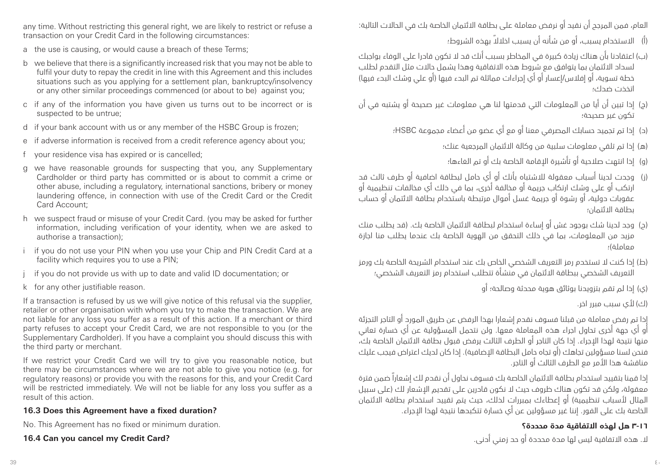any time. Without restricting this general right, we are likely to restrict or refuse a transaction on your Credit Card in the following circumstances:

- a the use is causing, or would cause a breach of these Terms;
- b we believe that there is a significantly increased risk that you may not be able to fulfil your duty to repay the credit in line with this Agreement and this includes situations such as you applying for a settlement plan, bankruptcy/insolvency or any other similar proceedings commenced (or about to be) against you;
- c if any of the information you have given us turns out to be incorrect or is suspected to be untrue;
- d if your bank account with us or any member of the HSBC Group is frozen;
- e if adverse information is received from a credit reference agency about you;
- f your residence visa has expired or is cancelled;
- g we have reasonable grounds for suspecting that you, any Supplementary Cardholder or third party has committed or is about to commit a crime or other abuse, including a regulatory, international sanctions, bribery or money laundering offence, in connection with use of the Credit Card or the Credit Card Account;
- h we suspect fraud or misuse of your Credit Card. (you may be asked for further information, including verification of your identity, when we are asked to authorise a transaction);
- i if you do not use your PIN when you use your Chip and PIN Credit Card at a facility which requires you to use a PIN;
- if you do not provide us with up to date and valid ID documentation; or
- k for any other justifiable reason.

If a transaction is refused by us we will give notice of this refusal via the supplier, retailer or other organisation with whom you try to make the transaction. We are not liable for any loss you suffer as a result of this action. If a merchant or third party refuses to accept your Credit Card, we are not responsible to you (or the Supplementary Cardholder). If you have a complaint you should discuss this with the third party or merchant.

If we restrict your Credit Card we will try to give you reasonable notice, but there may be circumstances where we are not able to give you notice (e.g. for regulatory reasons) or provide you with the reasons for this, and your Credit Card will be restricted immediately. We will not be liable for any loss you suffer as a result of this action.

#### **16.3 Does this Agreement have a fixed duration?**

No. This Agreement has no fixed or minimum duration.

#### **16.4 Can you cancel my Credit Card?**

العام، فمن المرجح أن نقيد أو نرفض معاملة على بطاقة االئتمان الخاصة بك في الحاالت التالية:

- )أ( ً االستخدام يسبب، أو من شأنه أن يسبب اخالال بهذه الشروط؛
- )ب( اعتقادنا بأن هناك زيادة كبيرة في المخاطر بسبب أنك قد ال تكون قادرا على الوفاء بواجبك ر<br>لسداد الائتمان بما يتوافق مع شروط هذه الاتفاقية وهذا يشمل حالات مثل التقدم لطلب خطة تسوية، أو إفلاس/إعسار أو أي إجراءات مماثلة تم البدء فيها (أو على وشك البدء فيها) اتخذت ضدك؛
- )ج( إذا تبين أن أيا من المعلومات التي قدمتها لنا هي معلومات غير صحيحة أو يشتبه في أن تكون غير صحيحة؛
	- )د( إذا تم تجميد حسابك المصرفي معنا أو مع أي عضو من أعضاء مجموعة HSBC؛
		- )ه( إذا تم تلقي معلومات سلبية من وكالة االئتمان المرجعية عنك؛
		- )و( إذا انتهت صالحية أو تأشيرة اإلقامة الخاصة بك أو تم الغاءها؛
- )ز( وجدت لدينا أسباب معقولة لالشتباه بأنك أو أي حامل لبطاقة اضافية أو طرف ثالث قد ارتكب أو على وشك ارتكاب جريمة أو مخالفة أخرى، بما في ذلك أي مخالفات تنظيمية أو عقوبات دولية، أو رشوة أو جريمة غسل أموال مرتبطة باستخدام بطاقة االئتمان أو حساب بطاقة االئتمان؛
- (د) وجد لدينا شك بوجود غش أو إساءة استخدام لبطاقة الائتمان الخاصة بك. (قد يطلب منك مزيد من المعلومات، بما في ذلك التحقق من الهوية الخاصة بك عندما يطلب منا اجازة معاملة(؛
- )ط( إذا كنت ال تستخدم رمز التعريف الشخصي الخاص بك عند استخدام الشريحة الخاصة بك ورمز التعريف الشخصي ببطاقة االئتمان في منشأة تتطلب استخدام رمز التعريف الشخصي؛
	- )ي( إذا لم تقم بتزويدنا بوثائق هوية محدثة وصالحة؛ أو

)ك( ألي سبب مبرر اخر.

إذا تم رفض معاملة من قبلنا فسوف نقدم إشعارا بهذا الرفض عن طريق المورد أو التاجر التجزئة أو أي جهة أخرى تحاول اجراء هذه المعاملة معها. ولن نتحمل المسؤولية عن أي خسارة تعاني منها نتيجة لهذا اإلجراء. إذا كان التاجر أو الطرف الثالث يرفض قبول بطاقة االئتمان الخاصة بك، فنحن لسنا مسؤولين تجاهك (أو تجاه حامل البطاقة الإضافية). إذا كان لديك اعتراض فيجب عليك مناقشة هذا األمر مع الطرف الثالث أو التاجر.

إذا قمنا بتقييد استخدام بطاقة االئتمان الخاصة بك فسوف نحاول أن نقدم لك إشعاراً ضمن فترة معقولة، ولكن قد تكون هناك ظروف حيث لا نكون قادرين على تقديم الإشعار لك (على سبيل المثال لأسباب تنظيمية) أو إعطاءك بمبررات لذلك، حيث يتم تقييد استخدام بطاقة الائتمان الخاصة بك على الفور. إننا غير مسؤولين عن أي خسارة تتكبدها نتيجة لهذا اإلجراء.

# **٣-١٦ هل لهذه االتفاقية مدة محددة؟**

ال. هذه االتفاقية ليس لها مدة محددة أو حد زمني أدنى.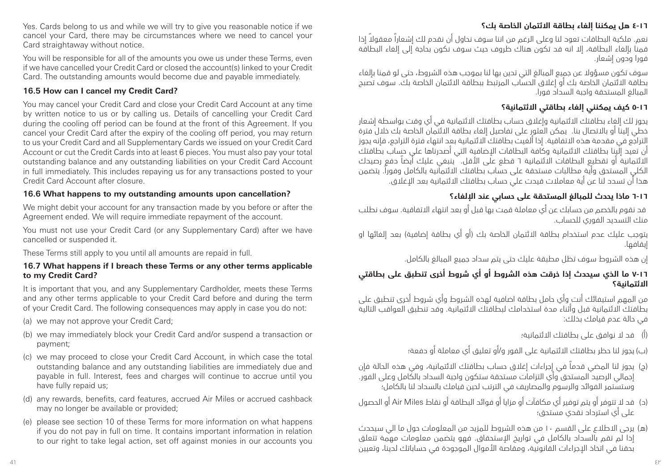# **٤-١٦ هل يمكننا إلغاء بطاقة االئتمان الخاصة بك؟**

نعم. ملكية البطاقات تعود لنا وعلى الرغم من اننا سوف نحاول أن نقدم لك إشعاراً ً معقوال إذا قمنا بإلغاء البطاقة، إال انه قد تكون هناك ظروف حيث سوف نكون بحاجة إلى إلغاء البطاقة فورا ودون إشعار.

سوف تكون مسؤوال عن جميع المبالغ التي تدين بها لنا بموجب هذه الشروط، حتى لو قمنا بإلغاء بطاقة االئتمان الخاصة بك أو إغالق الحساب المرتبط ببطاقة االئتمان الخاصة بك. سوف تصبح المبالغ المستحقة واجبة السداد فورا.

### **٥-١٦ كيف يمكنني إلغاء بطاقتي االئتمانية؟**

يجوز لك إلغاء بطاقتك االئتمانية وإغالق حساب بطاقتك االئتمانية في أي وقت بواسطة إشعار خطي إلينا أو باالتصال بنا. يمكن العثور على تفاصيل إلغاء بطاقة االئتمان الخاصة بك خالل فترة التراجع في مقدمة هذه االتفاقية. إذا ألغيت بطاقتك االئتمانية بعد انتهاء فترة التراجع، فإنه يجوز أن تعيد إلينا بطاقتك االئتمانية وكافة البطاقات اإلضافية التي أصدرناها على حساب بطاقتك االئتمانية أو تقطيع البطاقات االئتمانية 6 قطع على األقل. ينبغي عليك أيضاً دفع رصيدك الكلي المستحق وأية مطالبات مستحقة على حساب بطاقتك االئتمانية بالكامل وفورا.ً يتضمن هذا أن تسدد لنا عن أية معامالت قيدت علي حساب بطاقتك االئتمانية بعد اإلغالق.

# **٦-١٦ ماذا يحدث للمبالغ المستحقة على حسابي عند اإللغاء؟**

 قد نقوم بالخصم من حسابك عن أي معاملة قمت بها قبل أو بعد انتهاء االتفاقية. سوف نطلب منك التسديد الفوري للحساب.

يتوجب عليك عدم استخدام بطاقة الائتمان الخاصة بك (أو أي بطاقة إضافية) بعد الغائها او إيقافها.

إن هذه الشروط سوف تظل مطبقة عليك حتى يتم سداد جميع المبالغ بالكامل.

### **7-١٦ ما الذي سيحدث إذا خرقت هذه الشروط أو أي شروط أخرى تنطبق على بطاقتي االئتمانية؟**

من المهم استيفائك أنت وأي حامل بطاقة اضافية لهذه الشروط وأي شروط أخرى تنطبق على بطاقتك االئتمانية قبل وأثناء مدة استخدامك لبطاقتك االئتمانية. وقد تنطبق العواقب التالية في حالة عدم قيامك بذلك:

)أ( قد ال نوافق على بطاقتك االئتمانية؛

)ب( يجوز لنا حظر بطاقتك االئتمانية على الفور و/أو تعليق أي معاملة أو دفعة؛

- )ج( يجوز لنا المضي قدماً في إجراءات إغالق حساب بطاقتك االئتمانية، وفي هذه الحالة فإن إجمالي الرصيد المستحق وأي التزامات مستحقة ستكون واجبة السداد بالكامل وعلى الفور. وستستمر الفوائد والرسوم والمصاريف في الترتب لحين قيامك بالسداد لنا بالكامل؛
- )د( قد ال تتوفر أو يتم توفير أي مكافآت أو مزايا أو فوائد البطاقة أو نقاط Miles Air أو الحصول على أي استرداد نقدي مستحق؛
- )ه( يرجى االطالع على القسم 10 من هذه الشروط للمزيد من المعلومات حول ما الي سيحدث إذا لم تقم بالسداد بالكامل في تواريخ اإلستحقاق. فهو يتضمن معلومات مهمة تتعلق بحقنا في اتخاذ اإلجراءات القانونية، ومقاصة األموال الموجودة في حساباتك لدينا، وتعيين

Yes. Cards belong to us and while we will try to give you reasonable notice if we cancel your Card, there may be circumstances where we need to cancel your Card straightaway without notice.

You will be responsible for all of the amounts you owe us under these Terms, even if we have cancelled your Credit Card or closed the account(s) linked to your Credit Card. The outstanding amounts would become due and payable immediately.

#### **16.5 How can I cancel my Credit Card?**

You may cancel your Credit Card and close your Credit Card Account at any time by written notice to us or by calling us. Details of cancelling your Credit Card during the cooling off period can be found at the front of this Agreement. If you cancel your Credit Card after the expiry of the cooling off period, you may return to us your Credit Card and all Supplementary Cards we issued on your Credit Card Account or cut the Credit Cards into at least 6 pieces. You must also pay your total outstanding balance and any outstanding liabilities on your Credit Card Account in full immediately. This includes repaying us for any transactions posted to your Credit Card Account after closure.

#### **16.6 What happens to my outstanding amounts upon cancellation?**

We might debit your account for any transaction made by you before or after the Agreement ended. We will require immediate repayment of the account.

You must not use your Credit Card (or any Supplementary Card) after we have cancelled or suspended it.

These Terms still apply to you until all amounts are repaid in full.

#### **16.7 What happens if I breach these Terms or any other terms applicable to my Credit Card?**

It is important that you, and any Supplementary Cardholder, meets these Terms and any other terms applicable to your Credit Card before and during the term of your Credit Card. The following consequences may apply in case you do not:

- (a) we may not approve your Credit Card;
- (b) we may immediately block your Credit Card and/or suspend a transaction or payment;
- (c) we may proceed to close your Credit Card Account, in which case the total outstanding balance and any outstanding liabilities are immediately due and payable in full. Interest, fees and charges will continue to accrue until you have fully repaid us;
- (d) any rewards, benefits, card features, accrued Air Miles or accrued cashback may no longer be available or provided;
- (e) please see section 10 of these Terms for more information on what happens if you do not pay in full on time. It contains important information in relation to our right to take legal action, set off against monies in our accounts you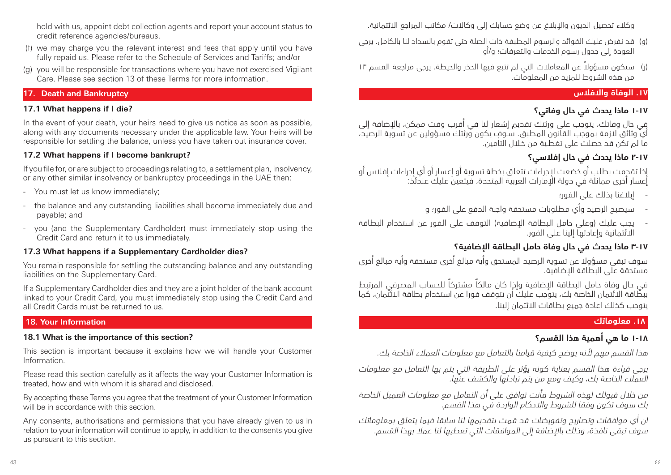hold with us, appoint debt collection agents and report your account status to credit reference agencies/bureaus.

- (f) we may charge you the relevant interest and fees that apply until you have fully repaid us. Please refer to the Schedule of Services and Tariffs; and/or
- (g) you will be responsible for transactions where you have not exercised Vigilant Care. Please see section 13 of these Terms for more information.

### **17. Death and Bankruptcy**

#### **17.1 What happens if I die?**

In the event of your death, your heirs need to give us notice as soon as possible, along with any documents necessary under the applicable law. Your heirs will be responsible for settling the balance, unless you have taken out insurance cover.

### **17.2 What happens if I become bankrupt?**

If you file for, or are subject to proceedings relating to, a settlement plan, insolvency, or any other similar insolvency or bankruptcy proceedings in the UAE then:

- You must let us know immediately;
- the balance and any outstanding liabilities shall become immediately due and payable; and
- you (and the Supplementary Cardholder) must immediately stop using the Credit Card and return it to us immediately.

#### **17.3 What happens if a Supplementary Cardholder dies?**

You remain responsible for settling the outstanding balance and any outstanding liabilities on the Supplementary Card.

If a Supplementary Cardholder dies and they are a joint holder of the bank account linked to your Credit Card, you must immediately stop using the Credit Card and all Credit Cards must be returned to us.

#### **18. Your Information**

#### **18.1 What is the importance of this section?**

This section is important because it explains how we will handle your Customer Information.

Please read this section carefully as it affects the way your Customer Information is treated, how and with whom it is shared and disclosed.

By accepting these Terms you agree that the treatment of your Customer Information will be in accordance with this section.

Any consents, authorisations and permissions that you have already given to us in relation to your information will continue to apply, in addition to the consents you give us pursuant to this section.

وكلاء تحصيل الديون والإبلاغ عن وضع حسابك إلى وكالات/ مكاتب المراجع الائتمانية.

- )و( قد نفرض عليك الفوائد والرسوم المطبقة ذات الصلة حتى تقوم بالسداد لنا بالكامل. يرجى العودة إلى جدول رسوم الخدمات والتعرفات؛ و/أو
- )ز( ً ستكون مسؤوال عن المعامالت التي لم تتبع فيها الحذر والحيطة. يرجى مراجعة القسم 13 من هذه الشروط للمزيد من المعلومات.

### **.17 الوفاة واالفالس**

# **١-١٧ ماذا يحدث في حال وفاتي؟**

في حال وفاتك، يتوجب على ورثتك تقديم إشعار لنا في أقرب وقت ممكن، باإلضافة إلى أي وثائق الزمة بموجب القانون المطبق. سـوف يكون ورثتك مسؤولين عن تسوية الرصيد، ما لم تكن قد حصلت على تغطـية من خـالل التأمين.

# **٢-١٧ ماذا يحدث في حال إفالسي؟**

إذا تقدمت بطلب أو خضعت إلجراءات تتعلق بخطة تسوية أو إعسار أو أي إجراءات إفالس أو إعسار أخرى مماثلة في دولة اإلمارات العربية المتحدة، فيتعين عليك عندئذ:

- إبالغنا بذلك على الفور؛
- سيصبح الرصيد وأي مطلوبات مستحقة واجبة الدفع على الفور؛ و
- يجب عليك (وعلى حامل البطاقة الإضافية) التوقف على الفور عن استخدام البطاقة االئتمانية وإعادتها إلينا على الفور.

# **٣-١٧ ماذا يحدث في حال وفاة حامل البطاقة اإلضافية؟**

سوف تبقى مسؤوال عن تسوية الرصيد المستحق وأية مبالغ أخرى مستحقة وأية مبالغ أخرى مستحقة على البطاقة اإلضافية.

في حال وفاة حامل البطاقة اإلضافية وإذا كان مالكاً مشتركاً للحساب المصرفي المرتبط ببطاقة االئتمان الخاصة بك، يتوجب عليك أن تتوقف فورا عن استخدام بطاقة االئتمان، كما يتوجب كذلك اعادة جميع بطاقات االئتمان إلينا.

### **.18 معلوماتك**

# **١-١٨ ما هي أهمية هذا القسم؟**

هذا القسم مهم ألنه يوضح كيفية قيامنا بالتعامل مع معلومات العمالء الخاصة بك.

يرجى قراءة هذا القسم بعناية كونه يؤثر على الطريقة التي يتم بها التعامل مع معلومات العمالء الخاصة بك، وكيف ومع من يتم تبادلها والكشف عنها.

من خالل قبولك لهذه الشروط فأنت توافق على أن التعامل مع معلومات العميل الخاصة بك سوف تكون وفقا للشروط واالحكام الواردة في هذا القسم.

ان أي موافقات وتصاريح وتفويضات قد قمت بتقديمها لنا سابقا فيما يتعلق بمعلوماتك سوف تبقى نافذة، وذلك باإلضافة إلى الموافقات التي تعطيها لنا عمال بهذا القسم.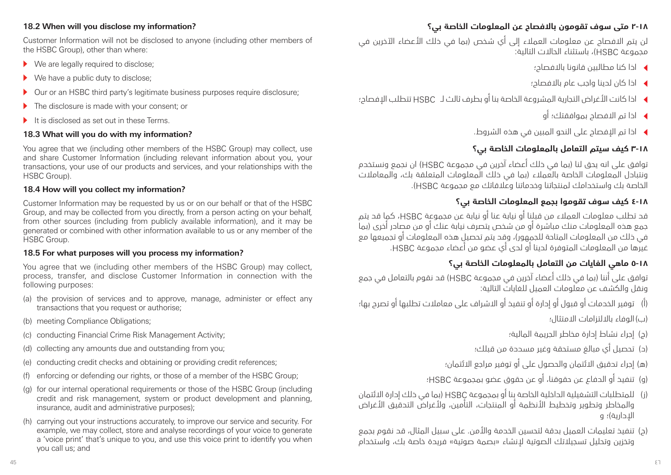#### **18.2 When will you disclose my information?**

Customer Information will not be disclosed to anyone (including other members of the HSBC Group), other than where:

- $\blacktriangleright$  We are legally required to disclose;
- $\blacktriangleright$  We have a public duty to disclose:
- ▶ Our or an HSBC third party's legitimate business purposes require disclosure;
- $\blacktriangleright$  The disclosure is made with your consent; or
- $\blacktriangleright$  It is disclosed as set out in these Terms.

### **18.3 What will you do with my information?**

You agree that we (including other members of the HSBC Group) may collect, use and share Customer Information (including relevant information about you, your transactions, your use of our products and services, and your relationships with the HSBC Group).

### **18.4 How will you collect my information?**

Customer Information may be requested by us or on our behalf or that of the HSBC Group, and may be collected from you directly, from a person acting on your behalf, from other sources (including from publicly available information), and it may be generated or combined with other information available to us or any member of the HSBC Group.

#### **18.5 For what purposes will you process my information?**

You agree that we (including other members of the HSBC Group) may collect, process, transfer, and disclose Customer Information in connection with the following purposes:

- (a) the provision of services and to approve, manage, administer or effect any transactions that you request or authorise;
- (b) meeting Compliance Obligations;
- (c) conducting Financial Crime Risk Management Activity;
- (d) collecting any amounts due and outstanding from you;
- (e) conducting credit checks and obtaining or providing credit references;
- (f) enforcing or defending our rights, or those of a member of the HSBC Group;
- (g) for our internal operational requirements or those of the HSBC Group (including credit and risk management, system or product development and planning, insurance, audit and administrative purposes);
- (h) carrying out your instructions accurately, to improve our service and security. For example, we may collect, store and analyse recordings of your voice to generate a 'voice print' that's unique to you, and use this voice print to identify you when you call us; and

# **٢-١٨ متى سوف تقومون باالفصاح عن المعلومات الخاصة بي؟**

لن يتم االفصاح عن معلومات العمالء إلى أي شخص )بما في ذلك األعضاء اآلخرين في مجموعة HSBC)، باستثناء الحاالت التالية:

- <sup>t</sup> اذا كنا مطالبين قانونا باالفصاح؛
- <sup>t</sup> اذا كان لدينا واجب عام باالفصاح؛
- <sup>t</sup> اذا كانت األغراض التجارية المشروعة الخاصة بنا أو بطرف ثالث لـ HSBC تتطلب اإلفصاح؛
	- <sup>t</sup> اذا تم االفصاح بموافقتك؛ أو
	- <sup>t</sup> اذا تم اإلفصاح على النحو المبين في هذه الشروط.

# **٣-١٨ كيف سيتم التعامل بالمعلومات الخاصة بي؟**

توافق على انه يحق لنا )بما في ذلك أعضاء آخرين في مجموعة HSBC )ان نجمع ونستخدم .<br>ونتبادل المعلومات الخاصة بالعملاء (بما في ذلك المعلومات المتعلقة بك، والمعاملات الخاصة بك واستخدامك لمنتجاتنا وخدماتنا وعالقاتك مع مجموعة HSBC).

# **٤-١٨ كيف سوف تقوموا بجمع المعلومات الخاصة بي؟**

قد تطلب معلومات العمالء من قبلنا أو نيابة عنا أو نيابة عن مجموعة HSBC، كما قد يتم جمع هذه المعلومات منك مباشرة أو من شخص يتصرف نيابة عنك أو من مصادر أخرى )بما في ذلك من المعلومات المتاحة للجمهور(، وقد يتم تحصيل هذه المعلومات أو تجميعها مع غيرها من المعلومات المتوفرة لدينا أو لدى أي عضو من أعضاء مجموعة HSBC.

# **٥-١٨ ماهي الغايات من التعامل بالمعلومات الخاصة بي؟**

توافق على أننا )بما في ذلك أعضاء آخرين في مجموعة HSBC )قد نقوم بالتعامل في جمع ونقل والكشف عن معلومات العميل للغايات التالية:

)أ( توفير الخدمات أو قبول أو إدارة أو تنفيذ أو االشراف على معامالت تطلبها أو تصرح بها؛

)ب(الوفاء بااللتزامات االمتثال؛

- )ج( إجراء نشاط إدارة مخاطر الجريمة المالية؛
- )د( تحصيل أي مبالغ مستحقة وغير مسددة من قبلك؛
- )ه( إجراء تدقيق االئتمان والحصول على أو توفير مراجع االئتمان؛
- )و( تنفيذ أو الدفاع عن حقوقنا، أو عن حقوق عضو بمجموعة HSBC؛
- )ز( للمتطلبات التشغيلية الداخلية الخاصة بنا أو بمجموعة HSBC( بما في ذلك إدارة االئتمان والمخاطر وتطوير وتخطيط الأنظمة أو المنتحات، التأمين، ولأغراض التدقيق الأغراض الإدارية)؛ و
- (د) تنفيذ تعليمات العميل بدقة لتحسين الخدمة والأمن. على سبيل المثال، قد نقوم بجمع وتخزين وتحليل تسجيلاتك الصوتية لإنشاء «بصمة صوتية» فريدة خاصة بك، واستخدام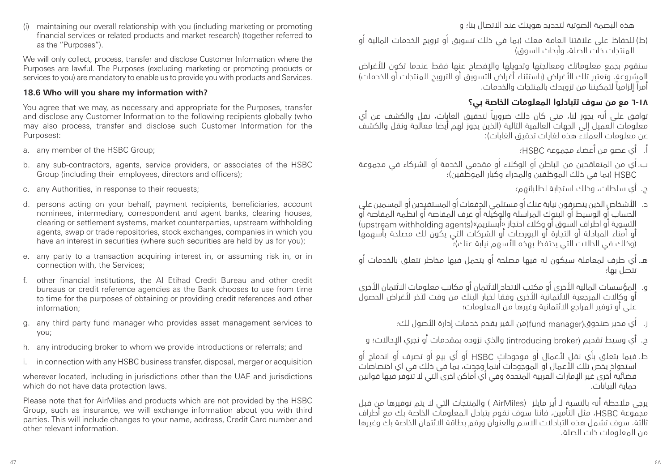هذه البصمة الصوتية لتحديد هويتك عند االتصال بنا؛ و

)ط( للحفاظ على عالقتنا العامة معك )بما في ذلك تسويق أو ترويج الخدمات المالية أو المنتحات ذات الصلة، وأبحاث السوق)

> سنقوم بجمع معلوماتك ومعالجتها وتحويلها والإفصاح عنها فقط عندما تكون للأغراض المشروعة. وتعتبر تلك الأغراض (باستثناء أغراض التسويق أو الترويج للمنتجات أو الخدمات) أمراً إلزامياً لتمكيننا من تزويدك بالمنتجات والخدمات.

# **٦-١٨ مع من سوف تتبادلوا المعلومات الخاصة بي؟**

توافق على أنه يجوز لنا، متى كان ذلك ضرورياً لتحقيق الغايات، نقل والكشف عن أي معلومات العميل إلى الجهات العالمية التالية )الذين يجوز لهم أيضا معالجة ونقل والكشف عن معلومات العملاء هذه لغايات تحقيق الغايات):

- أ. أي عضو من أعضاء مجموعة HSBC؛
- ب. أي من المتعاقدين من الباطن أو الوكالء أو مقدمي الخدمة أو الشركاء في مجموعة HSBC( بما في ذلك الموظفين والمدراء وكبار الموظفين(؛
	- ج. أي سلطات، وذلك استجابة لطلباتهم؛
- د. األشخاص الذين يتصرفون نيابة عنك أو مستلمي الدفعات أو المستفيدين أو المسمين على الحساب أو الوسيط أو البنوك المراسلة والوكيلة أو غرف المقاصة أو انظمة المقاصة أو التسوية أو اطراف السوق أو وكلاء احتجاز «أبستريم»(upstream withholding agents) أو أمناء المبادلة أو التجارة أو البورصات أو الشركات التي يكون لك مصلحة بأسهمها )وذلك في الحاالت التي يحتفظ بهذه األسهم نيابة عنك(؛
- هـ. أي طرف لمعاملة سيكون له فيها مصلحة أو يتحمل فيها مخاطر تتعلق بالخدمات أو تتصل بها؛
- و. المؤسسات المالية الأخرى أو مكتب الاتحاد الائتمان أو مكاتب معلومات الائتمان الأخرى أو وكاالت المرجعية االئتمانية األخرى وفقاً لخيار البنك من وقت آلخر ألغراض الحصول على أو توفير المراجع االئتمانية وغيرها من المعلومات؛
	- ز. أي مدير صندوق)manager fund)من الغير يقدم خدمات إدارة األصول لك؛
	- ح. أي وسيط تقديم (introducing broker) والذي نزوده بمقدمات أو نجري الإحالات؛ و
- ط. فيما يتعلق بأي نقل ألعمال أو موجودات HSBC أو أي بيع أو تصرف أو اندماج أو استحواذ يخص تلك الأعمال او الموجودات اينما وجدت، بما في ذلك في اي اختصاصات قضائية اخرى غير الإمارات العربية المتحدة وفي اي اماكن اخرى التي لا تتوفر فيها قوانين حماية البيانات.

يرجى مالحظة أنه بالنسبة لـ أير مايلز )AirMiles ) والمنتجات التي ال يتم توفيرها من قبل مجموعة HSBC، مثل التأمين، فاننا سوف نقوم بتبادل المعلومات الخاصة بك مع أطراف ثالثة. سوف تشمل هذه التبادالت االسم والعنوان ورقم بطاقة االئتمان الخاصة بك وغيرها من المعلومات ذات الصلة.

(i) maintaining our overall relationship with you (including marketing or promoting financial services or related products and market research) (together referred to as the "Purposes").

We will only collect, process, transfer and disclose Customer Information where the Purposes are lawful. The Purposes (excluding marketing or promoting products or services to you) are mandatory to enable us to provide you with products and Services.

# **18.6 Who will you share my information with?**

You agree that we may, as necessary and appropriate for the Purposes, transfer and disclose any Customer Information to the following recipients globally (who may also process, transfer and disclose such Customer Information for the Purposes):

- a. any member of the HSBC Group;
- b. any sub-contractors, agents, service providers, or associates of the HSBC Group (including their employees, directors and officers);
- c. any Authorities, in response to their requests;
- d. persons acting on your behalf, payment recipients, beneficiaries, account nominees, intermediary, correspondent and agent banks, clearing houses, clearing or settlement systems, market counterparties, upstream withholding agents, swap or trade repositories, stock exchanges, companies in which you have an interest in securities (where such securities are held by us for you);
- e. any party to a transaction acquiring interest in, or assuming risk in, or in connection with, the Services;
- f. other financial institutions, the Al Etihad Credit Bureau and other credit bureaus or credit reference agencies as the Bank chooses to use from time to time for the purposes of obtaining or providing credit references and other information;
- g. any third party fund manager who provides asset management services to you;
- h. any introducing broker to whom we provide introductions or referrals; and
- in connection with any HSBC business transfer, disposal, merger or acquisition

wherever located, including in jurisdictions other than the UAE and jurisdictions which do not have data protection laws.

Please note that for AirMiles and products which are not provided by the HSBC Group, such as insurance, we will exchange information about you with third parties. This will include changes to your name, address, Credit Card number and other relevant information.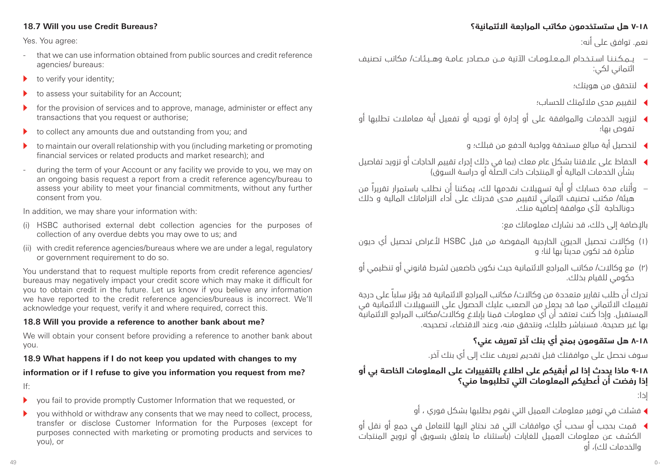#### **18.7 Will you use Credit Bureaus?**

Yes. You agree:

- that we can use information obtained from public sources and credit reference agencies/ bureaus:
- $\bullet$  to verify your identity;
- to assess your suitability for an Account;
- $\blacktriangleright$  for the provision of services and to approve, manage, administer or effect any transactions that you request or authorise;
- $\blacktriangleright$  to collect any amounts due and outstanding from you; and
- $\blacktriangleright$  to maintain our overall relationship with you (including marketing or promoting financial services or related products and market research); and
- during the term of your Account or any facility we provide to you, we may on an ongoing basis request a report from a credit reference agency/bureau to assess your ability to meet your financial commitments, without any further consent from you.

In addition, we may share your information with:

- (i) HSBC authorised external debt collection agencies for the purposes of collection of any overdue debts you may owe to us; and
- (ii) with credit reference agencies/bureaus where we are under a legal, regulatory or government requirement to do so.

You understand that to request multiple reports from credit reference agencies/ bureaus may negatively impact your credit score which may make it difficult for you to obtain credit in the future. Let us know if you believe any information we have reported to the credit reference agencies/bureaus is incorrect. We'll acknowledge your request, verify it and where required, correct this.

#### **18.8 Will you provide a reference to another bank about me?**

We will obtain your consent before providing a reference to another bank about you.

#### **18.9 What happens if I do not keep you updated with changes to my**

#### **information or if I refuse to give you information you request from me?**

If:

- $\blacktriangleright$  vou fail to provide promptly Customer Information that we requested, or
- $\triangleright$  you withhold or withdraw any consents that we may need to collect, process, transfer or disclose Customer Information for the Purposes (except for purposes connected with marketing or promoting products and services to you), or

### **٧-18 هل ستستخدمون مكاتب المراجعة االئتمانية؟**

نعم. توافق على أنه:

- يــمـكـنـنـا اسـتـخـدام الـمـعـلـومـات اآلتية مــن مـصـادر عـامـة وهــيـئـات/ مكاتب تصنيف ائتماني لكي:
	- <sup>t</sup> لنتحقق من هويتك؛
	- <sup>t</sup> لتقييم مدى مالئمتك للحساب؛
- <sup>t</sup> لتزويد الخدمات والموافقة على أو إدارة أو توجيه أو تفعيل أية معامالت تطلبها أو تفوض بها؛
	- <sup>t</sup> لتحصيل أية مبالغ مستحقة وواجبة الدفع من قبلك؛ و
- <sup>t</sup> الحفاظ على عالقتنا بشكل عام معك )بما في ذلك إجراء تقييم الحاجات أو تزويد تفاصيل بشأن الخدمات المالية أو المنتجات ذات الصلة أو دراسة السوق(
- وأثناء مدة حسابك أو أية تسهيالت نقدمها لك، يمكننا أن نطلب باستمرار تقريراً من هيئة/ مكتب تصنيف ائتماني لتقييم مدى قدرتك على أداء التزاماتك المالية و ذلك دونالحاجة ألي موافقة إضافية منك.

باإلضافة إلى ذلك، قد نشارك معلوماتك مع:

- )1( وكاالت تحصيل الديون الخارجية المفوضة من قبل HSBC ألغراض تحصيل أي ديون متأخرة قد تكون مديناً بها لنا؛ و
- )2( مع وكاالت/ مكاتب المراجع االئتمانية حيث نكون خاضعين لشرط قانوني أو تنظيمي أو حكومي للقيام بذلك.

تدرك أن طلب تقارير متعددة من وكاالت/ مكاتب المراجع االئتمانية قد يؤثر سلباً على درجة تقييمك االئتماني مما قد يجعل من الصعب عليك الحصول على التسهيالت االئتمانية في المستقبل. وإذا كنت تعتقد أن أي معلومات قمنا بإبالغ وكاالت/مكاتب المراجع االئتمانية بها غير صحيحة. فسنباشر طلبك، ونتحقق منه، وعند االقتضاء، تصحيحه.

# **٨-١٨ هل ستقومون بمنح أي بنك آخر تعريف عني؟**

سوف نحصل على موافقتك قبل تقديم تعريف عنك إلى أي بنك آخر.

# **٩-١٨ ماذا يحدث إذا لم أبقيكم على اطالع بالتغييرات على المعلومات الخاصة بي أو إذا رفضت أن أعطيكم المعلومات التي تطلبوها مني؟**

إذا:

- <sup>t</sup> فشلت في توفير معلومات العميل التي نقوم بطلبها بشكل فوري ، أو
- <sup>t</sup> قمت بحجب أو سحب أي موافقات التي قد نحتاج اليها للتعامل في جمع أو نقل أو الكشف عن معلومات العميل للغايات )باستثناء ما يتعلق بتسويق أو ترويج المنتجات والخدمات لك(، أو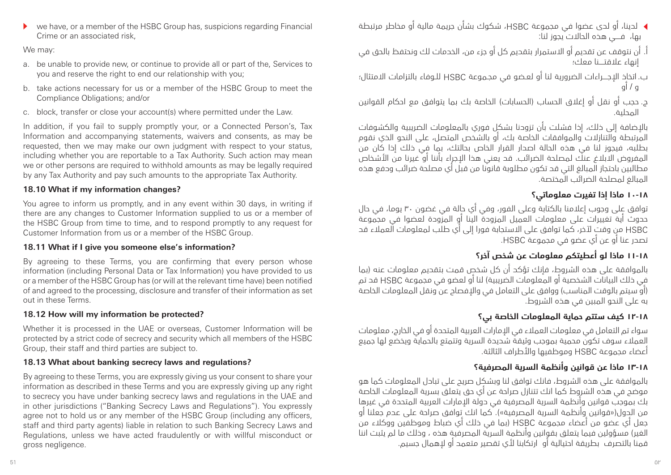- <sup>t</sup> لدينا، أو لدى عضوا في مجموعة HSBC، شكوك بشأن جريمة مالية أو مخاطر مرتبطة بها، فــــي هذه الحاالت يجوز لنا:
	- أ. أن نتوقف عن تقديم أو االستمرار بتقديم كل أو جزء من، الخدمات لك ونحتفظ بالحق في إنهاء عالقتــــنا معك؛
	- ب. اتخاذ اإلجــــراءات الضرورية لنا أو لعـضو في مجـموعة HSBC للـوفاء بالتزامات االمتثال؛ و / أو
	- ج. حجب أو نقل أو إغلاق الحساب (الحسابات) الخاصة بك بما يتوافق مع احكام القوانين المحلية.

باإلضافة إلى ذلك، إذا فشلت بأن تزودنا بشكل فوري بالمعلومات الضريبية والكشوفات المرتبطة والتنازالت والموافقات الخاصة بك، أو بالشخص المتصل، على النحو الذي نقوم بطلبه، فيجوز لنا في هذه الحالة اصدار القرار الخاص بحالتك، بما في ذلك إذا كان من المفروض االبالغ عنك لمصلحة الضرائب. قد يعني هذا اإلجراء بأننا أو غيرنا من األشخاص مطالبين باحتجاز المبالغ التي قد تكون مطلوبة قانونا من قبل أي مصلحة ضرائب ودفع هذه المبالغ لمصلحة الضرائب المختصة.

# **10-١٨ ماذا إذا تغيرت معلوماتي؟**

توافق على وجوب إعالمنا بالكتابة وعلى الفور، وفي أي حالة في غضون 30 يوما، في حال حدوث أية تغييرات على معلومات العميل المزودة الينا أو المزودة لعضوا في مجموعة HSBC من وقت آلخر، كما توافق على االستجابة فورا إلى أي طلب لمعلومات العمالء قد تصدر عنا أو عن أي عضو في مجموعة HSBC.

# **١١-١٨ ماذا لو أعطيتكم معلومات عن شخص آخر؟**

بالموافقة على هذه الشروط، فإنك تؤكد أن كل شخص قمت بتقديم معلومات عنه )بما في ذلك البيانات الشخصية أو المعلومات الضريبية( لنا أو لعضو في مجموعة HSBC قد تم )أو سيتم بالوقت المناسب( ووافق على التعامل في واإلفصاح عن ونقل المعلومات الخاصة به على النحو المبين في هذه الشروط.

# **١٢-١٨ كيف ستتم حماية المعلومات الخاصة بي؟**

سواء تم التعامل في معلومات العمالء في اإلمارات العربية المتحدة أو في الخارج، معلومات العمالء سوف تكون محمية بموجب وثيقة شديدة السرية وتتمتع بالحماية ويخضع لها جميع أعضاء مجموعة HSBC وموظفيها واألطراف الثالثة.

# **١٣-١٨ ماذا عن قوانين وأنظمة السرية المصرفية؟**

بالموافقة على هذه الشروط، فانك توافق لنا وبشكل صريح على تبادل المعلومات كما هو موضح في هذه الشروط كما انك تتنازل صراحة عن أي حق يتعلق بسرية المعلومات الخاصة بك بموجب قوانين وأنظمة السرية المصرفية في دولة اإلمارات العربية المتحدة في غيرها من الدول)»قوانين وأنظمة السرية المصرفية«(. كما انك توافق صراحة على عدم جعلنا أو جعل أي عضو من أعضاء مجموعة HSBC( بما في ذلك أي ضباط وموظفين ووكالء من الغير) مسؤولين فيما يتعلق بقوانين وأنظمة السرية المصرفية هذه ، وذلك ما لم يثبت اننا قمنا بالتصرف بطريقة احتيالية أو ارتكابنا لأي تقصير متعمد أو لاهمال جسيم.

We may:

- a. be unable to provide new, or continue to provide all or part of the, Services to you and reserve the right to end our relationship with you;
- b. take actions necessary for us or a member of the HSBC Group to meet the Compliance Obligations; and/or
- c. block, transfer or close your account(s) where permitted under the Law.

In addition, if you fail to supply promptly your, or a Connected Person's, Tax Information and accompanying statements, waivers and consents, as may be requested, then we may make our own judgment with respect to your status, including whether you are reportable to a Tax Authority. Such action may mean we or other persons are required to withhold amounts as may be legally required by any Tax Authority and pay such amounts to the appropriate Tax Authority.

# **18.10 What if my information changes?**

You agree to inform us promptly, and in any event within 30 days, in writing if there are any changes to Customer Information supplied to us or a member of the HSBC Group from time to time, and to respond promptly to any request for Customer Information from us or a member of the HSBC Group.

# **18.11 What if I give you someone else's information?**

By agreeing to these Terms, you are confirming that every person whose information (including Personal Data or Tax Information) you have provided to us or a member of the HSBC Group has (or will at the relevant time have) been notified of and agreed to the processing, disclosure and transfer of their information as set out in these Terms.

# **18.12 How will my information be protected?**

Whether it is processed in the UAE or overseas, Customer Information will be protected by a strict code of secrecy and security which all members of the HSBC Group, their staff and third parties are subject to.

# **18.13 What about banking secrecy laws and regulations?**

By agreeing to these Terms, you are expressly giving us your consent to share your information as described in these Terms and you are expressly giving up any right to secrecy you have under banking secrecy laws and regulations in the UAE and in other jurisdictions ("Banking Secrecy Laws and Regulations"). You expressly agree not to hold us or any member of the HSBC Group (including any officers, staff and third party agents) liable in relation to such Banking Secrecy Laws and Regulations, unless we have acted fraudulently or with willful misconduct or gross negligence.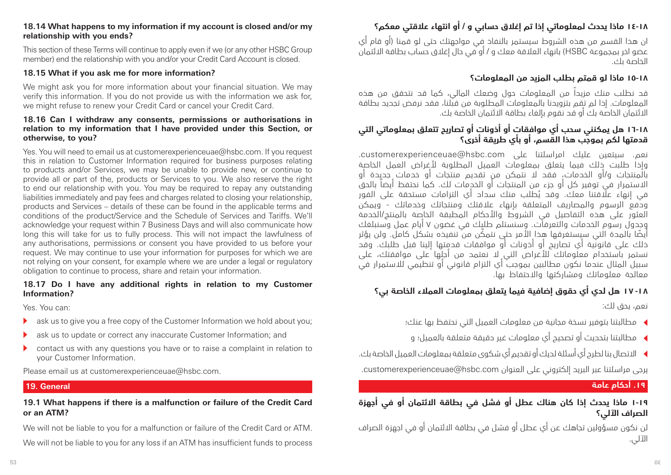#### **18.14 What happens to my information if my account is closed and/or my relationship with you ends?**

This section of these Terms will continue to apply even if we (or any other HSBC Group member) end the relationship with you and/or your Credit Card Account is closed.

#### **18.15 What if you ask me for more information?**

We might ask you for more information about your financial situation. We may verify this information. If you do not provide us with the information we ask for, we might refuse to renew your Credit Card or cancel your Credit Card.

#### **18.16 Can I withdraw any consents, permissions or authorisations in relation to my information that I have provided under this Section, or otherwise, to you?**

Yes. You will need to email us at customerexperienceuae@hsbc.com. If you request this in relation to Customer Information required for business purposes relating to products and/or Services, we may be unable to provide new, or continue to provide all or part of the, products or Services to you. We also reserve the right to end our relationship with you. You may be required to repay any outstanding liabilities immediately and pay fees and charges related to closing your relationship, products and Services – details of these can be found in the applicable terms and conditions of the product/Service and the Schedule of Services and Tariffs. We'll acknowledge your request within 7 Business Days and will also communicate how long this will take for us to fully process. This will not impact the lawfulness of any authorisations, permissions or consent you have provided to us before your request. We may continue to use your information for purposes for which we are not relying on your consent, for example where we are under a legal or regulatory obligation to continue to process, share and retain your information.

#### **18.17 Do I have any additional rights in relation to my Customer Information?**

Yes. You can:

- $\blacktriangleright$  ask us to give you a free copy of the Customer Information we hold about you;
- $\blacktriangleright$  ask us to update or correct any inaccurate Customer Information; and
- $\triangleright$  contact us with any questions you have or to raise a complaint in relation to your Customer Information.

Please email us at customerexperienceuae@hsbc.com.

#### **19. General**

#### **19.1 What happens if there is a malfunction or failure of the Credit Card or an ATM?**

We will not be liable to you for a malfunction or failure of the Credit Card or ATM.

We will not be liable to you for any loss if an ATM has insufficient funds to process

# **١٤-١٨ ماذا يحدث لمعلوماتي إذا تم إغالق حسابي و / أو انتهاء عالقتي معكم؟**

ان هذا القسم من هذه الشروط سيستمر بالنفاذ في مواجهتك حتى لو قمنا )أو قام أي عضو اخر بمجموعة HSBC )بانهاء العالقة معك و / أو في حال إغالق حساب بطاقة االئتمان الخاصة بك.

### **١٥-١٨ ماذا لو قمتم بطلب المزيد من المعلومات؟**

قد نطلب منك مزيداً من المعلومات حول وضعك المالي، كما قد نتحقق من هذه المعلومات. إذا لم تقم بتزويدنا بالمعلومات المطلوبة من قبلنا، فقد نرفض تجديد بطاقة االئتمان الخاصة بك أو قد نقوم بإلغاء بطاقة االئتمان الخاصة بك.

### **١6-١٨ هل يمكنني سحب أي موافقات أو أذونات أو تصاريح تتعلق بمعلوماتي التي قدمتها لكم بموجب هذا القسم، أو بأي طريقة أخرى؟**

نعم. سيتعين عليك امراسلتنا على customerexperienceuae@hsbc.com. وإذا طلبت ذلك فيما يتعلق بمعلومات العميل المطلوبة ألغراض العمل الخاصة بالمنتجات و/أو الخدمات، فقد ال نتمكن من تقديم منتجات أو خدمات جديدة أو االستمرار في توفير كل أو جزء من المنتجات أو الخدمات لك. كما نحتفظ أيضاً بالحق ُ في إنهاء عالقتنا معك. وقد يطلب منك سداد أي التزامات مستحقة على الفور ودفع الرسوم والمصاريف المتعلقة بانهاء علاقتك ومنتجاتك وخدماتك - ويمكن العثور على هذه التفاصيل في الشروط واألحكام المطبقة الخاصة بالمنتج/الخدمة وجدول رسوم الخدمات والتعرفات. وسنستلم طلبك في غضون 7 أيام عمل وسنبلغك ً أيض ّ ا بالمدة التي سيستغرقها هذا األمر حتى نتمكن من تنفيذه بشكل كامل. ولن يؤثر ذلك على قانونية أي تصاريح أو أذونات أو موافقات قدمتها إلينا قبل طلبك. وقد نستمر باستخدام معلوماتك لألغراض التي ال نعتمد من أجلها على موافقتك، على سبيل المثال عندما نكون مطالبين بموجب أي التزام قانوني أو تنظيمي لالستمرار في معالجة معلوماتك ومشاركتها واالحتفاظ بها.

# **-١٨ ١7 هل لدي أي حقوق إضافية فيما يتعلق بمعلومات العمالء الخاصة بي؟**

نعم، يحق لك:

- <sup>t</sup> مطالبتنا بتوفير نسخة مجانية من معلومات العميل التي نحتفظ بها عنك؛
- <sup>t</sup> مطالبتنا بتحديث أو تصحيح أي معلومات غير دقيقة متعلقة بالعميل؛ و
- <sup>t</sup> االتصال بنا لطرح أي أسئلة لديك أو تقديم أي شكوى متعلقة بمعلومات العميل الخاصة بك.

يرجى مراسلتنا عبر البريد إلكتروني على العنوان com.hsbc@customerexperienceuae.

#### **.19 أحكام عامة**

# **١-١٩ ماذا يحدث إذا كان هناك عطل أو فشل في بطاقة االئتمان أو في أجهزة الصراف اآللي؟**

لن نكون مسؤولين تجاهك عن أي عطل أو فشل في بطاقة االئتمان أو في اجهزة الصراف اآللي.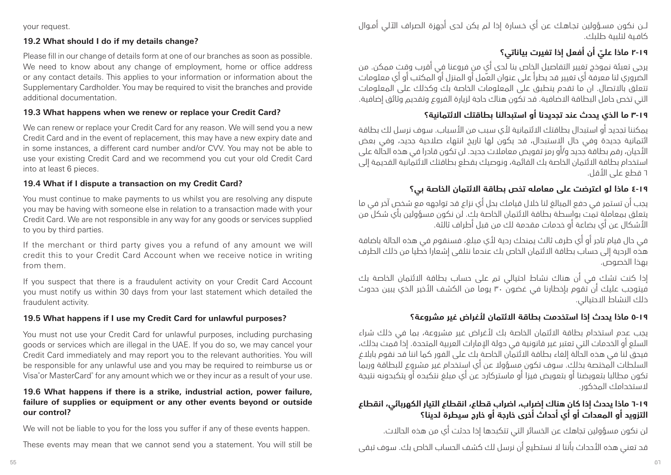your request.

#### **19.2 What should I do if my details change?**

Please fill in our change of details form at one of our branches as soon as possible. We need to know about any change of employment, home or office address or any contact details. This applies to your information or information about the Supplementary Cardholder. You may be required to visit the branches and provide additional documentation.

#### **19.3 What happens when we renew or replace your Credit Card?**

We can renew or replace your Credit Card for any reason. We will send you a new Credit Card and in the event of replacement, this may have a new expiry date and in some instances, a different card number and/or CVV. You may not be able to use your existing Credit Card and we recommend you cut your old Credit Card into at least 6 pieces.

#### **19.4 What if I dispute a transaction on my Credit Card?**

You must continue to make payments to us whilst you are resolving any dispute you may be having with someone else in relation to a transaction made with your Credit Card. We are not responsible in any way for any goods or services supplied to you by third parties.

If the merchant or third party gives you a refund of any amount we will credit this to your Credit Card Account when we receive notice in writing from them.

If you suspect that there is a fraudulent activity on your Credit Card Account you must notify us within 30 days from your last statement which detailed the fraudulent activity.

#### **19.5 What happens if I use my Credit Card for unlawful purposes?**

You must not use your Credit Card for unlawful purposes, including purchasing goods or services which are illegal in the UAE. If you do so, we may cancel your Credit Card immediately and may report you to the relevant authorities. You will be responsible for any unlawful use and you may be required to reimburse us or Visa® or MasterCard® for any amount which we or they incur as a result of your use.

#### **19.6 What happens if there is a strike, industrial action, power failure, failure of supplies or equipment or any other events beyond or outside our control?**

We will not be liable to you for the loss you suffer if any of these events happen.

These events may mean that we cannot send you a statement. You will still be

لــن نكون مسـؤولين تجـاهـك عن أي خـسارة إذا لم يكن لدى أجهزة الصراف اآللي أمـوال كافـية لتلبية طلبك.

# **٢-١٩ ّ ماذا علي أن أفعل إذا تغيرت بياناتي؟**

يرجى تعبئة نموذج تغيير التفاصيل الخاص بنا لدى أي من فروعنا في أقرب وقتٍ ممكن. من الضروري لنا معرفة أي تغيير قد يطرأ على عنوان العمل أو المنزل أو المكتب أو أي معلومات تتعلق باالتصال. ان ما تقدم ينطبق على المعلومات الخاصة بك وكذلك على المعلومات التي تخص حامل البطاقة االضافية. قد تكون هناك حاجة لزيارة الفروع وتقديم وثائق إضافية.

# **3-١٩ ما الذي يحدث عند تجديدنا أو استبدالنا بطاقتك االئتمانية؟**

يمكننا تجديد أو استبدال بطاقتك االئتمانية ألي سبب من األسباب. سوف نرسل لك بطاقة ائتمانية جديدة وفي حال االستبدال، قد يكون لها تاريخ انتهاء صالحية جديد، وفي بعض األحيان، رقم بطاقة جديد و/أو رمز تفويض معامالت جديد. لن تكون قادرا في هذه الحالة على استخدام بطاقة االئتمان الخاصة بك القائمة، ونوصيك بقطع بطاقتك االئتمانية القديمة إلى 6 قطع على األقل.

# **٤-١٩ ماذا لو اعترضت على معامله تخص بطاقة االئتمان الخاصة بي؟**

يجب أن تستمر في دفع المبالغ لنا خالل قيامك بحل أي نزاع قد تواجهه مع شخص آخر في ما يتعلق بمعاملة تمت بواسطة بطاقة االئتمان الخاصة بك. لن نكون مسؤولين بأي شكل من األشكال عن أي بضاعة أو خدمات مقدمة لك من قبل أطراف ثالثة.

في حال قيام تاجر أو أي طرف ثالث يمنحك ردية ألي مبلغ، فسنقوم في هذه الحالة باضافة هذه الردية إلى حساب بطاقة االئتمان الخاص بك عندما نتلقى إشعارا خطيا من ذلك الطرف بهذا الخصوص.

إذا كنت تشك في أن هناك نشاط احتيالي تم على حساب بطاقة االئتمان الخاصة بك .<br>فيتوجب عليك أن تقوم بإخطارنا في غضون ٣٠ يوماً من الكشف الأخير الذي يبين حدوث ذلك النشاط االحتيالي.

# **٥-١٩ ماذا يحدث إذا استخدمت بطاقة االئتمان ألغراض غير مشروعة؟**

يجب عدم استخدام بطاقة االئتمان الخاصة بك ألغراض غير مشروعة، بما في ذلك شراء السلع أو الخدمات التي تعتبر غير قانونية في دولة اإلمارات العربية المتحدة. إذا قمت بذلك، فيحق لنا في هذه الحالة إلغاء بطاقة االئتمان الخاصة بك على الفور كما اننا قد نقوم بابالغ السلطات المختصة بذلك. سوف تكون مسؤوال عن أي استخدام غير مشروع للبطاقة وربما تكون مطالبا بتعويضنا أو بتعويض فيزا أو ماستركارد عن أي مبلغ نتكبده أو يتكبدونه نتيجة الستخدامك المذكور.

# **٦-١٩ ماذا يحدث إذا كان هناك إضراب، اضراب قطاع، انقطاع التيار الكهربائي، انقطاع التزويد أو المعدات أو أي أحداث أخرى خارجة أو خارج سيطرة لدينا؟**

لن نكون مسؤولين تجاهك عن الخسائر التي تتكبدها إذا حدثت أي من هذه الحاالت.

قد تعني هذه الأحداث بأننا لا نستطيع أن نرسل لك كشف الحساب الخاص بك. سوف تبقى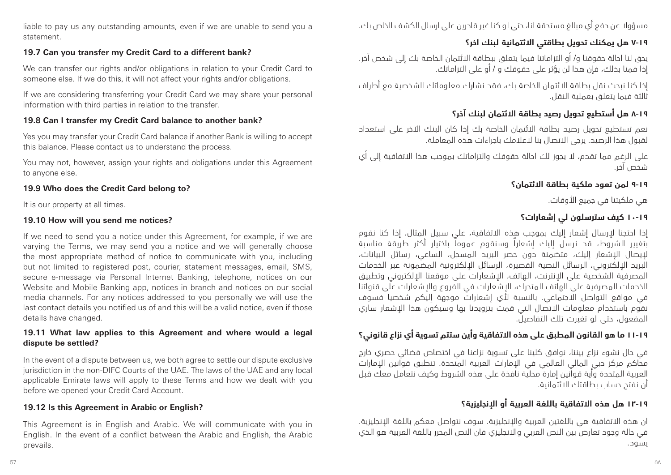liable to pay us any outstanding amounts, even if we are unable to send you a statement.

### **19.7 Can you transfer my Credit Card to a different bank?**

We can transfer our rights and/or obligations in relation to your Credit Card to someone else. If we do this, it will not affect your rights and/or obligations.

If we are considering transferring your Credit Card we may share your personal information with third parties in relation to the transfer.

### **19.8 Can I transfer my Credit Card balance to another bank?**

Yes you may transfer your Credit Card balance if another Bank is willing to accept this balance. Please contact us to understand the process.

You may not, however, assign your rights and obligations under this Agreement to anyone else.

### **19.9 Who does the Credit Card belong to?**

It is our property at all times.

### **19.10 How will you send me notices?**

If we need to send you a notice under this Agreement, for example, if we are varying the Terms, we may send you a notice and we will generally choose the most appropriate method of notice to communicate with you, including but not limited to registered post, courier, statement messages, email, SMS, secure e-message via Personal Internet Banking, telephone, notices on our Website and Mobile Banking app, notices in branch and notices on our social media channels. For any notices addressed to you personally we will use the last contact details you notified us of and this will be a valid notice, even if those details have changed.

#### **19.11 What law applies to this Agreement and where would a legal dispute be settled?**

In the event of a dispute between us, we both agree to settle our dispute exclusive jurisdiction in the non-DIFC Courts of the UAE. The laws of the UAE and any local applicable Emirate laws will apply to these Terms and how we dealt with you before we opened your Credit Card Account.

### **19.12 Is this Agreement in Arabic or English?**

This Agreement is in English and Arabic. We will communicate with you in English. In the event of a conflict between the Arabic and English, the Arabic prevails.

مسؤوال عن دفع أي مبالغ مستحقة لنا، حتى لو كنا غير قادرين على ارسال الكشف الخاص بك.

# **٧-١٩ هل يمكنك تحويل بطاقتي االئتمانية لبنك اخر؟**

يحق لنا احالة حقوقنا و/ أو التزاماتنا فيما يتعلق ببطاقة االئتمان الخاصة بك إلى شخص آخر. إذا قمنا بذلك، فإن هذا لن يؤثر على حقوقك و / أو على التزاماتك.

إذا كنا نبحث نقل بطاقة االئتمان الخاصة بك، فقد نشارك معلوماتك الشخصية مع أطراف ثالثة فيما يتعلق بعملية النقل.

# **٨-١٩ هل أستطيع تحويل رصيد بطاقة االئتمان لبنك آخر؟**

نعم تستطيع تحويل رصيد بطاقة االئتمان الخاصة بك إذا كان البنك اآلخر على استعداد لقبول هذا الرصيد. يرجى االتصال بنا العالمك باجراءات هذه المعاملة.

على الرغم مما تقدم، ال يجوز لك احالة حقوقك والتزاماتك بموجب هذا االتفاقية إلى أي شخص آخر.

# **٩-١٩ لمن تعود ملكية بطاقة االئتمان؟**

هي ملكيتنا في جميع األوقات.

# **١٠-١٩ كيف سترسلون لي إشعارات؟**

إذا احتجنا إلرسال إشعار إليك بموجب هذه االتفاقية، على سبيل المثال، إذا كنا نقوم بتغيير الشروط، قد نرسل إليك إشعاراً وسنقوم عموماً باختيار أكثر طريقة مناسبة إليصال اإلشعار إليك، متضمنة دون حصر البريد المسجل، الساعي، رسائل البيانات، البريد اإللكتروني، الرسائل النصية القصيرة، الرسائل اإللكترونية المضمونة عبر الخدمات المصرفية الشخصية على الإنترنت، الهاتف، الإشعارات على موقعنا الإلكتروني وتطبيق الخدمات المصرفية على الهاتف المتحرك، اإلشعارات في الفروع واإلشعارات على قنواتنا في مواقع التواصل االجتماعي. بالنسبة ألي إشعارات موجهة إليكم شخصيا فسوف نقوم باستخدام معلومات الاتصال التي قمت بتزويدنا بها وسيكون هذا الاشعار ساري المفعول، حتى لو تغيرت تلك التفاصيل.

# **١١-١٩ ما هو القانون المطبق على هذه االتفاقية وأين ستتم تسوية أي نزاع قانوني؟**

في حال نشوء نزاع بيننا، نوافق كلينا على تسوية نزاعنا في اختصاص قضائي حصري خارج محاكم مركز دبي المالي العالمي في اإلمارات العربية المتحدة. تنطبق قوانين اإلمارات العربية المتحدة وأية قوانين إمارة محلية نافذة على هذه الشروط وكيف نتعامل معك قبل أن نفتح حساب بطاقتك االئتمانية.

# **١2-١٩ هل هذه االتفاقية باللغة العربية أو اإلنجليزية؟**

ان هذه االتفاقية هي باللغتين العربية واإلنجليزية. سوف نتواصل معكم باللغة اإلنجليزية. في حالة وجود تعارض بين النص العربي واالنجليزي فان النص المحرر باللغة العربية هو الذي يسود.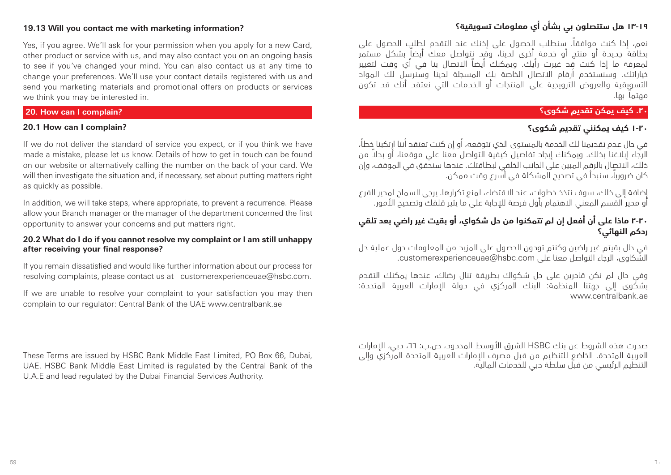# **١3-١٩ هل ستتصلون بي بشأن أي معلومات تسويقية؟**

نعم، إذا كنت موافقا.ً سنطلب الحصول على إذنك عند التقدم لطلب الحصول على بطاقة جديدة أو منتج أو خدمة أخرى لدينا، وقد نتواصل معك أيضاً بشكل مستمر لمعرفة ما إذا كنت قد غيرت رأيك. ويمكنك أيضاً االتصال بنا في أي وقت لتغيير خياراتك. وسنستخدم أرقام االتصال الخاصة بك المسجلة لدينا وسنرسل لك المواد التسويقية والعروض الترويجية على المنتجات أو الخدمات التي نعتقد أنك قد تكون مهتماً بها.

#### **.20 كيف يمكن تقديم شكوى؟**

# **1-20 كيف يمكنني تقديم شكوى؟**

في حال عدم تقديمنا لك الخدمة بالمستوى الذي تتوقعه، أو إن كنت تعتقد أننا ارتكبنا خطأ، ً الرجاء إبالغنا بذلك. ويمكنك إيجاد تفاصيل كيفية التواصل معنا علي موقعنا، أو بدال من ذلك، االتصال بالرقم المبين على الجانب الخلفي لبطاقتك. عندها سنحقق في الموقف، وإن كان ضروريا،ً سنبدأ في تصحيح المشكلة في أسرع وقت ممكن.

إضافة إلى ذلك، سوف نتخذ خطوات، عند االقتضاء، لمنع تكرارها. يرجى السماح لمدير الفرع أو مدير القسم المعنى الاهتمام بأول فرصة للإجابة على ما يثير قلقك وتصحيح الأمور.

# **2-20 ماذا على أن أفعل إن لم تتمكنوا من حل شكواي، أو بقيت غير راضي بعد تلقي ردكم النهائي؟**

في حال بقيتم غير راضين وكنتم تودون الحصول على المزيد من المعلومات حول عملية حل الشكاوى، الرجاء التواصل معنا على customerexperienceuae@hsbc.com.

وفي حال لم نكن قادرين على حل شكواك بطريقة تنال رضاك، عندها يمكنك التقدم بشكوى إلى جهتنا المنظمة: البنك المركزي في دولة اإلمارات العربية المتحدة: www.centralbank.ae

صدرت هذه الشروط عن بنك HSBC الشرق األوسط المحدود، ص.ب: ،66 دبي، اإلمارات العربية المتحدة. الخاضع للتنظيم من قبل مصرف اإلمارات العربية المتحدة المركزي وإلى التنظيم الرئيسي من قبل سلطة دبي للخدمات المالية.

### **19.13 Will you contact me with marketing information?**

Yes, if you agree. We'll ask for your permission when you apply for a new Card, other product or service with us, and may also contact you on an ongoing basis to see if you've changed your mind. You can also contact us at any time to change your preferences. We'll use your contact details registered with us and send you marketing materials and promotional offers on products or services we think you may be interested in.

### **20. How can I complain?**

# **20.1 How can I complain?**

If we do not deliver the standard of service you expect, or if you think we have made a mistake, please let us know. Details of how to get in touch can be found on our website or alternatively calling the number on the back of your card. We will then investigate the situation and, if necessary, set about putting matters right as quickly as possible.

In addition, we will take steps, where appropriate, to prevent a recurrence. Please allow your Branch manager or the manager of the department concerned the first opportunity to answer your concerns and put matters right.

#### **20.2 What do I do if you cannot resolve my complaint or I am still unhappy after receiving your final response?**

If you remain dissatisfied and would like further information about our process for resolving complaints, please contact us at customerexperienceuae@hsbc.com.

If we are unable to resolve your complaint to your satisfaction you may then complain to our regulator: Central Bank of the UAE www.centralbank.ae

These Terms are issued by HSBC Bank Middle East Limited, PO Box 66, Dubai, UAE. HSBC Bank Middle East Limited is regulated by the Central Bank of the U.A.E and lead regulated by the Dubai Financial Services Authority.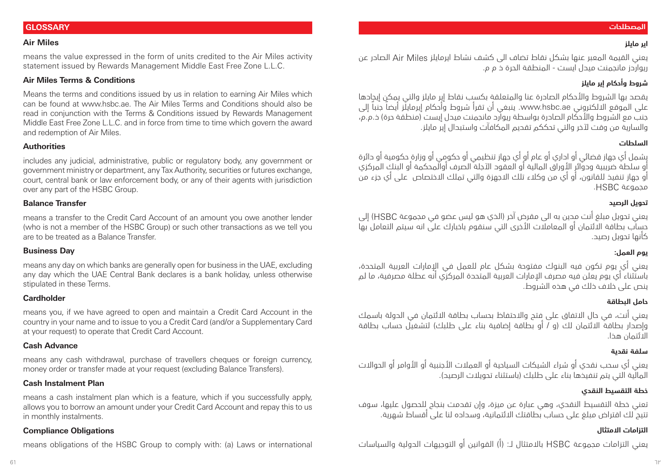#### **المصطلحات**

**اير مايلز**

#### **GLOSSARY**

#### **Air Miles**

means the value expressed in the form of units credited to the Air Miles activity statement issued by Rewards Management Middle East Free Zone L.L.C.

#### **Air Miles Terms & Conditions**

Means the terms and conditions issued by us in relation to earning Air Miles which can be found at www.hsbc.ae. The Air Miles Terms and Conditions should also be read in conjunction with the Terms & Conditions issued by Rewards Management Middle East Free Zone L.L.C. and in force from time to time which govern the award and redemption of Air Miles.

#### **Authorities**

includes any judicial, administrative, public or regulatory body, any government or government ministry or department, any Tax Authority, securities or futures exchange, court, central bank or law enforcement body, or any of their agents with jurisdiction over any part of the HSBC Group.

#### **Balance Transfer**

means a transfer to the Credit Card Account of an amount you owe another lender (who is not a member of the HSBC Group) or such other transactions as we tell you are to be treated as a Balance Transfer.

#### **Business Day**

means any day on which banks are generally open for business in the UAE, excluding any day which the UAE Central Bank declares is a bank holiday, unless otherwise stipulated in these Terms.

#### **Cardholder**

means you, if we have agreed to open and maintain a Credit Card Account in the country in your name and to issue to you a Credit Card (and/or a Supplementary Card at your request) to operate that Credit Card Account.

#### **Cash Advance**

means any cash withdrawal, purchase of travellers cheques or foreign currency, money order or transfer made at your request (excluding Balance Transfers).

#### **Cash Instalment Plan**

means a cash instalment plan which is a feature, which if you successfully apply, allows you to borrow an amount under your Credit Card Account and repay this to us in monthly instalments.

#### **Compliance Obligations**

means obligations of the HSBC Group to comply with: (a) Laws or international

يعني القيمة المعبر عنها بشكل نقاط تضاف الى كشف نشاط ايرمايلز Miles Air الصادر عن ريواردز مانجمنت ميدل ايست - المنطقة الحرة ذ م م.

#### **شروط وأحكام إير مايلز**

يقصد بها الشروط واألحكام الصادرة عنا والمتعلقة بكسب نقاط إير مايلز والتي يمكن إيجادها على الموقع الالكتروني www.hsbc.ae. ينبغي أن تقرأ شروط وأحكام إيرمايلز أيضاً جنباً إلى جنب مع الشروط والأحكام الصادرة بواسطة ريوارد مانجمنت ميدل إيست (منطقة حرة) ذ.م.م، والسارية من وقت آلخر والتي تحككم تقديم المكافآت واستبدال إير مايلز.

#### **السلطات**

يشمل أي جهاز قضائي أو اداري أو عام أو أي جهاز تنظيمي أو حكومي أو وزارة حكومية أو دائرة أو سلطة ضريبية ودوائر األوراق المالية أو العقود اآلجلة الصرف أوالمحكمة أو البنك المركزي أو جهاز تنفيذ للقانون، أو أي من وكالء تلك االجهزة والتي تملك االختصاص على أي جزء من مجموعة HSBC.

#### **تحويل الرصيد**

يعني تحويل مبلغ أنت مدين به الى مقرض آخر )الذي هو ليس عضو في مجموعة HSBC )إلى حساب بطاقة االئتمان أو المعامالت األخرى التي سنقوم باخبارك على انه سيتم التعامل بها كأنها تحويل رصيد.

#### **يوم العمل:**

يعني أي يوم تكون فيه البنوك مفتوحة بشكل عام للعمل في اإلمارات العربية المتحدة، باستثناء أي يوم يعلن فيه مصرف اإلمارات العربية المتحدة المركزي أنه عطلة مصرفية، ما لم ينص على خالف ذلك في هذه الشروط.

#### **حامل البطاقة**

يعني أنت، في حال االتفاق على فتح واالحتفاظ بحساب بطاقة االئتمان في الدولة باسمك .<br>واصدار بطاقة الائتمان لك (و / أو بطاقة إضافية بناء على طلبك) لتشغيل حساب بطاقة االئتمان هذا.

#### **سلفة نقدية**

يعني أي سحب نقدي أو شراء الشيكات السياحية أو العمالت األجنبية أو األوامر أو الحواالت المالّية التي يتم تنفيذها بناء على طلبك (باستثناء تحويلات الرصيد).

#### **خطة التقسيط النقدي**

تعني خطة التقسيط النقدي، وهي عبارة عن ميزة، وإن تقدمت بنجاح للحصول عليها، سوف تتيح لك اقتراض مبلغ على حساب بطاقتك االئتمانية، وسداده لنا على أقساط شهرية.

#### **التزامات االمتثال**

يعني التزامات مجموعة HSBC باالمتثال لـ: )أ( القوانين أو التوجيهات الدولية والسياسات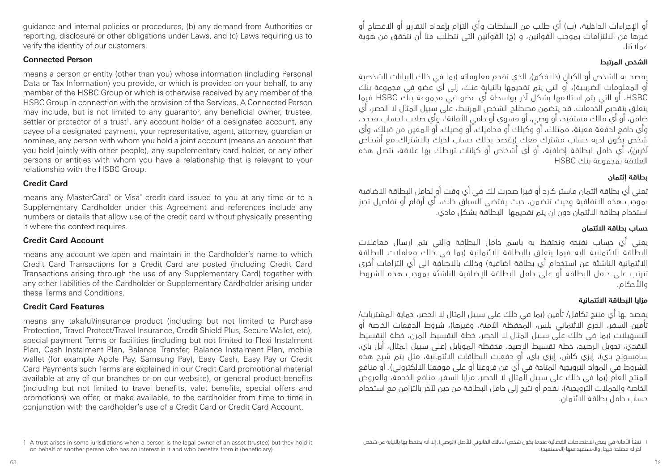guidance and internal policies or procedures, (b) any demand from Authorities or reporting, disclosure or other obligations under Laws, and (c) Laws requiring us to verify the identity of our customers.

#### **Connected Person**

means a person or entity (other than you) whose information (including Personal Data or Tax Information) you provide, or which is provided on your behalf, to any member of the HSBC Group or which is otherwise received by any member of the HSBC Group in connection with the provision of the Services. A Connected Person may include, but is not limited to any guarantor, any beneficial owner, trustee, settler or protector of a trust<sup>1</sup>, any account holder of a designated account, any payee of a designated payment, your representative, agent, attorney, guardian or nominee, any person with whom you hold a joint account (means an account that you hold jointly with other people), any supplementary card holder, or any other persons or entities with whom you have a relationship that is relevant to your relationship with the HSBC Group.

#### **Credit Card**

means any MasterCard® or Visa® credit card issued to you at any time or to a Supplementary Cardholder under this Agreement and references include any numbers or details that allow use of the credit card without physically presenting it where the context requires.

#### **Credit Card Account**

means any account we open and maintain in the Cardholder's name to which Credit Card Transactions for a Credit Card are posted (including Credit Card Transactions arising through the use of any Supplementary Card) together with any other liabilities of the Cardholder or Supplementary Cardholder arising under these Terms and Conditions.

#### **Credit Card Features**

means any takaful/insurance product (including but not limited to Purchase Protection, Travel Protect/Travel Insurance, Credit Shield Plus, Secure Wallet, etc), special payment Terms or facilities (including but not limited to Flexi Instalment Plan, Cash Instalment Plan, Balance Transfer, Balance Instalment Plan, mobile wallet (for example Apple Pay, Samsung Pay), Easy Cash, Easy Pay or Credit Card Payments such Terms are explained in our Credit Card promotional material available at any of our branches or on our website), or general product benefits (including but not limited to travel benefits, valet benefits, special offers and promotions) we offer, or make available, to the cardholder from time to time in conjunction with the cardholder's use of a Credit Card or Credit Card Account.

أو الإحراءات الداخلية، (ب) أي طلب من السلطات وأي التزام بإعداد التقارير أو الإفصاح أو غيرها من االلتزامات بموجب القوانين، و )ج( القوانين التي تتطلب منا أن نتحقق من هوية عمالئنا.

### **الشخص المرتبط**

يقصد به الشخص أو الكيان (خلافكم)، الذي تقدم معلوماته (بما في ذلك السانات الشخصية أو المعلومات الضريبية(، أو التي يتم تقديمها بالنيابة عنك، إلى أي عضو في مجموعة بنك HSBC، أو التي يتم استالمها بشكل آخر بواسطة أي عضو في مجموعة بنك HSBC فيما يتعلق بتقديم الخدمات. قد يتضمن مصطلح الشخص المرتبط، على سبيل المثال ال الحصر، أي ضامن، او اي مالك مستفيد، او وصي، او مسوي او حامي الأمانة'، واي صاحب لحساب محدد، وأي دافع لدفعة معينة، ممثلك، أو وكيلك أو محاميك، أو وصيك، أو المعين من قبلك، وأي شخص يكون لديه حساب مشترك معك )يقصد بذلك حساب لديك باالشتراك مع أشخاص .<br>آخرين)، أي حامل لبطاقة إضافية، أو أي أشخاص أو كيانات تربطك بها علاقة، تتصل هذه العالقة بمجموعة بنك HSBC

### **بطاقة إئتمان**

تعني أي بطاقة ائتمان ماستر كارد أو فيزا صدرت لك في أي وقت أو لحامل البطاقة االضافية بموجب هذه االتفاقية وحيث تتضمن، حيث يقتضي السباق ذلك، أي أرقام أو تفاصيل تجيز استخدام بطاقة االئتمان دون ان يتم تقديمها البطاقة بشكل مادي.

#### **حساب بطاقة االئتمان**

يعني أي حساب نفتحه ونحتفظ به باسم حامل البطاقة والتي يتم ارسال معامالت البطاقة الائتمانية اليه فيما يتعلق بالبطاقة الائتمانية (بما في ذلك معاملات البطاقة الائتمانية الناشئة عن استخدام أي بطاقة اضافية) وذلك بالاضافة الى أي التزامات أخرى تترتب على حامل البطاقة أو على حامل البطاقة اإلضافية الناشئة بموجب هذه الشروط واألحكام.

#### **مزايا البطاقة االئتمانية**

يقصد بها أي منتج تكافل/ تأمين (بما في ذلك على سبيل المثال لا الحصر، حماية المشتريات/ تأمين السفر، الدرع الائتماني بلس، المحفظة الآمنة، وغيرها)، شروط الدفعات الخاصة أو التسهيالت )بما في ذلك على سبيل المثال ال الحصر، خطة التقسيط المرن، خطة التقسيط النقدي، تحويل الرصيد، خطة تقسيط الرصيد، محفظة الموبايل )على سبيل المثال، أبل باي، سامسونج باي)، إيزي كاش، إيزي باي، أو حفعات البطاقات الائتمانية، مثل يتم شرح هذه الشروط في المواد الترويجية المتاحة في أي من فروعنا أو على موقعنا االلكتروني(، أو منافع المنتج العام )بما في ذلك على سبيل المثال ال الحصر، مزايا السفر، منافع الخدمة، والعروض الخاصة والحملات الترويجية)، نقدم أو نتيح إلى حامل البطاقة من حين لآخر بالتزامن مع استخدام حساب حامل بطاقة االئتمان.

تنشأ الأمانة في بعض الاختصاصات القضائية عندما يكون شخص المالك القانوني للأصل (الوصي), إلا أنه يحتفظ بها بالنيابة عن شخص آخر له مصلحة فيها, والمستفيد منها )المستفيد(.

<sup>1</sup> A trust arises in some jurisdictions when a person is the legal owner of an asset (trustee) but they hold it on behalf of another person who has an interest in it and who benefits from it (beneficiary)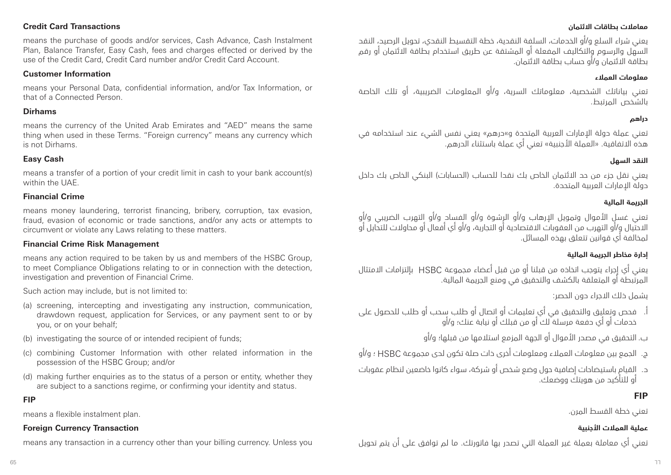#### **Credit Card Transactions**

means the purchase of goods and/or services, Cash Advance, Cash Instalment Plan, Balance Transfer, Easy Cash, fees and charges effected or derived by the use of the Credit Card, Credit Card number and/or Credit Card Account.

#### **Customer Information**

means your Personal Data, confidential information, and/or Tax Information, or that of a Connected Person.

#### **Dirhams**

means the currency of the United Arab Emirates and "AED" means the same thing when used in these Terms. "Foreign currency" means any currency which is not Dirhams.

#### **Easy Cash**

means a transfer of a portion of your credit limit in cash to your bank account(s) within the UAE.

#### **Financial Crime**

means money laundering, terrorist financing, bribery, corruption, tax evasion, fraud, evasion of economic or trade sanctions, and/or any acts or attempts to circumvent or violate any Laws relating to these matters.

#### **Financial Crime Risk Management**

means any action required to be taken by us and members of the HSBC Group, to meet Compliance Obligations relating to or in connection with the detection, investigation and prevention of Financial Crime.

Such action may include, but is not limited to:

- (a) screening, intercepting and investigating any instruction, communication, drawdown request, application for Services, or any payment sent to or by you, or on your behalf;
- (b) investigating the source of or intended recipient of funds;
- (c) combining Customer Information with other related information in the possession of the HSBC Group; and/or
- (d) making further enquiries as to the status of a person or entity, whether they are subject to a sanctions regime, or confirming your identity and status.

#### **FIP**

means a flexible instalment plan.

#### **Foreign Currency Transaction**

means any transaction in a currency other than your billing currency. Unless you

#### **معامالت بطاقات االئتمان**

يعني شراء السلع و/أو الخدمات، السلفة النقدية، خطة التقسيط النقدي، تحويل الرصيد، النقد السهل والرسوم والتكاليف المفعلة أو المشتقة عن طريق استخدام بطاقة االئتمان أو رقم بطاقة االئتمان و/أو حساب بطاقة االئتمان.

#### **معلومات العمالء**

تعني بياناتك الشخصية، معلوماتك السرية، و/أو المعلومات الضريبية، أو تلك الخاصة بالشخص المرتبط.

#### **دراهم**

تعني عملة دولة اإلمارات العربية المتحدة و«درهم« يعني نفس الشيء عند استخدامه في هذه االتفاقية. »العملة األجنبية« تعني أي عملة باستثناء الدرهم.

#### **النقد السهل**

يعني نقل جزء من حد الائتمان الخاص بك نقدا للحساب (الحسابات) البنكي الخاص بك داخل دولة اإلمارات العربية المتحدة.

#### **الجريمة المالية**

تعني غسل الأموال وتمويل الإرهاب و/أو الرشوة و/أو الفساد و/أو التهرب الضريبي و/أو االحتيال و/أو التهرب من العقوبات االقتصادية أو التجارية، و/أو أي أفعال أو محاوالت للتحايل أو لمخالفة أي قوانين تتعلق بهذه المسائل.

#### **إدارة مخاطر الجريمة المالية**

يعني أي إجراء يتوجب اتخاذه من قبلنا أو من قبل أعضاء مجموعة HSBC بإلتزامات االمتثال المرتبطة أو المتعلقة بالكشف والتحقيق في ومنع الجريمة المالية.

يشمل ذلك االجراء دون الحصر:

أ. فحص وتعليق والتحقيق في أي تعليمات أو اتصال أو طلب سحب أو طلب للحصول على خدمات أو أي دفعة مرسلة لك أو من قبلك أو نيابة عنك؛ و/أو

ب. التحقيق في مصدر األموال أو الجهة المزمع استالمها من قبلها؛ و/أو

- ج. الجمع بين معلومات العمالء ومعلومات أخرى ذات صلة تكون لدى مجموعة HSBC ؛ و/أو
- د. القيام باستيضاحات إضافية حول وضع شخص أو شركة، سواء كانوا خاضعين لنظام عقوبات أو للتأكيد من هويتك ووضعك.

### **FIP**

تعني خطة القسط المرن.

### **عملية العمالت األجنبية**

تعني أي معاملة بعملة غير العملة التي تصدر بها فاتورتك. ما لم توافق على أن يتم تحويل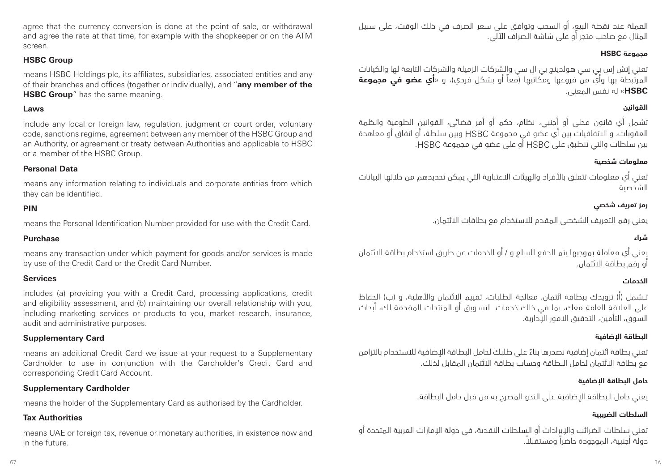agree that the currency conversion is done at the point of sale, or withdrawal and agree the rate at that time, for example with the shopkeeper or on the ATM screen.

#### **HSBC Group**

means HSBC Holdings plc, its affiliates, subsidiaries, associated entities and any of their branches and offices (together or individually), and "**any member of the HSBC Group**" has the same meaning.

#### **Laws**

include any local or foreign law, regulation, judgment or court order, voluntary code, sanctions regime, agreement between any member of the HSBC Group and an Authority, or agreement or treaty between Authorities and applicable to HSBC or a member of the HSBC Group.

#### **Personal Data**

means any information relating to individuals and corporate entities from which they can be identified.

#### **PIN**

means the Personal Identification Number provided for use with the Credit Card.

#### **Purchase**

means any transaction under which payment for goods and/or services is made by use of the Credit Card or the Credit Card Number.

#### **Services**

includes (a) providing you with a Credit Card, processing applications, credit and eligibility assessment, and (b) maintaining our overall relationship with you, including marketing services or products to you, market research, insurance, audit and administrative purposes.

#### **Supplementary Card**

means an additional Credit Card we issue at your request to a Supplementary Cardholder to use in conjunction with the Cardholder's Credit Card and corresponding Credit Card Account.

#### **Supplementary Cardholder**

means the holder of the Supplementary Card as authorised by the Cardholder.

#### **Tax Authorities**

means UAE or foreign tax, revenue or monetary authorities, in existence now and in the future.

العملة عند نقطة البيع، أو السحب وتوافق على سعر الصرف في ذلك الوقت، على سبيل المثال مع صاحب متجر أو على شاشة الصراف اآللي.

# **مجموعة HSBC**

تعني إتش إس بي سي هولدينج بي ال سي والشركات الزميلة والشركات التابعة لها والكيانات المرتبطة بها وأي من فروعها ومكاتبها )معاً أو بشكل فردي(، و »**أي عضو في مجموعة HSBC** »له نفس المعنى.

# **القوانين**

تشمل أي قانون محلي أو أجنبي، نظام، حكم أو أمر قضائي، القوانين الطوعية وانظمة العقوبات، و االتفاقيات بين أي عضو في مجموعة HSBC وبين سلطة، أو اتفاق أو معاهدة بين سلطات والتي تنطبق على HSBC أو على عضو في مجموعة HSBC.

### **معلومات شخصية**

تعني أي معلومات تتعلق باألفراد والهيئات االعتبارية التي يمكن تحديدهم من خاللها البيانات الشخصية

# **رمز تعريف شخصي**

يعني رقم التعريف الشخصي المقدم لالستخدام مع بطاقات االئتمان.

#### **شراء**

يعني أي معاملة بموجبها يتم الدفع للسلع و / أو الخدمات عن طريق استخدام بطاقة االئتمان أو رقم بطاقة االئتمان.

#### **الخدمات**

تــشمل (أ) تزويدك ببطاقة ائتمان، معالجة الطلبات، تقييم الائتمان والأهلية، و (ب) الحفاظ على العالقة العامة معك، بما في ذلك خدمات لتسـويق أو المنتجات المقدمة لك، أبحاث السوق، التأمين، التدقيق االمور اإلدارية.

#### **البطاقة اإلضافية**

ً تعني بطاقة ائتمان إضافية نصدرها بناء على طلبك لحامل البطاقة اإلضافية لالستخدام بالتزامن مع بطاقة االئتمان لحامل البطاقة وحساب بطاقة االئتمان المقابل لذلك.

#### **حامل البطاقة اإلضافية**

يعني حامل البطاقة اإلضافية على النحو المصرح به من قبل حامل البطاقة.

#### **السلطات الضريبية**

تعني سلطات الضرائب واإليرادات أو السلطات النقدية، في دولة اإلمارات العربية المتحدة أو دولة أجنبية، الموجودة حاضراً ً ومستقبال.